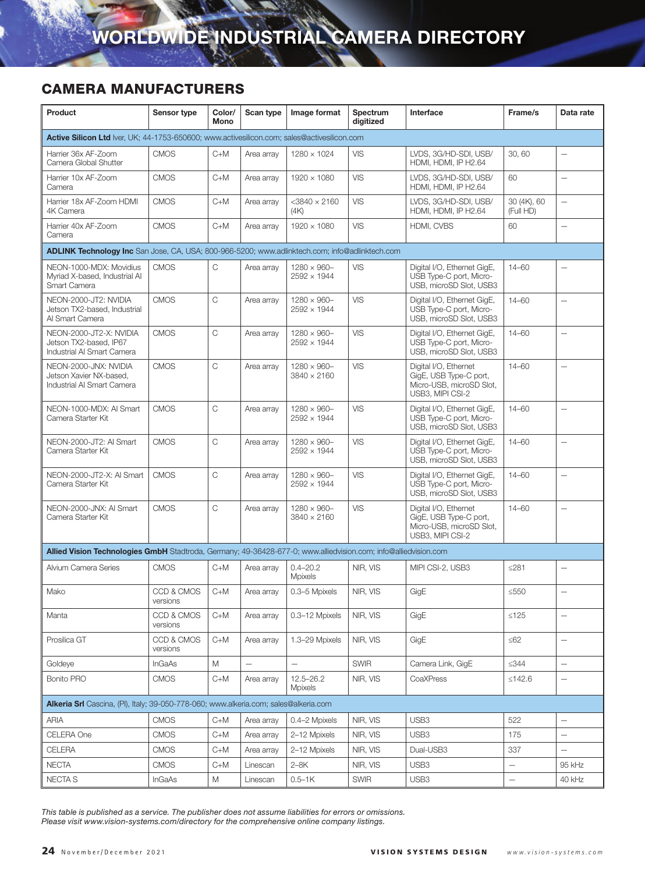| Product                                                                                                         | Sensor type            | Color/<br>Mono | Scan type  | Image format                              | Spectrum<br>digitized | Interface                                                                                       | Frame/s                  | Data rate                |
|-----------------------------------------------------------------------------------------------------------------|------------------------|----------------|------------|-------------------------------------------|-----------------------|-------------------------------------------------------------------------------------------------|--------------------------|--------------------------|
| Active Silicon Ltd Iver, UK; 44-1753-650600; www.activesilicon.com; sales@activesilicon.com                     |                        |                |            |                                           |                       |                                                                                                 |                          |                          |
| Harrier 36x AF-Zoom<br>Camera Global Shutter                                                                    | <b>CMOS</b>            | $C+M$          | Area array | $1280 \times 1024$                        | VIS                   | LVDS, 3G/HD-SDI, USB/<br>HDMI, HDMI, IP H2.64                                                   | 30,60                    | $\overline{\phantom{0}}$ |
| Harrier 10x AF-Zoom<br>Camera                                                                                   | <b>CMOS</b>            | $C+M$          | Area array | 1920 × 1080                               | <b>VIS</b>            | LVDS. 3G/HD-SDI. USB/<br>HDMI, HDMI, IP H2.64                                                   | 60                       | $\overline{\phantom{0}}$ |
| Harrier 18x AF-Zoom HDMI<br>4K Camera                                                                           | <b>CMOS</b>            | $C+M$          | Area array | $<$ 3840 $\times$ 2160<br>(4K)            | <b>VIS</b>            | LVDS, 3G/HD-SDI, USB/<br>HDMI, HDMI, IP H2.64                                                   | 30 (4K), 60<br>(Full HD) | $\overline{\phantom{0}}$ |
| Harrier 40x AF-Zoom<br>Camera                                                                                   | <b>CMOS</b>            | $C+M$          | Area array | $1920 \times 1080$                        | <b>VIS</b>            | HDMI, CVBS                                                                                      | 60                       | $\overline{\phantom{0}}$ |
| ADLINK Technology Inc San Jose, CA, USA; 800-966-5200; www.adlinktech.com; info@adlinktech.com                  |                        |                |            |                                           |                       |                                                                                                 |                          |                          |
| NEON-1000-MDX: Movidius<br>Myriad X-based, Industrial AI<br>Smart Camera                                        | <b>CMOS</b>            | $\mathsf C$    | Area array | $1280 \times 960 -$<br>$2592 \times 1944$ | <b>VIS</b>            | Digital I/O, Ethernet GigE,<br>USB Type-C port, Micro-<br>USB, microSD Slot, USB3               | $14 - 60$                |                          |
| NEON-2000-JT2: NVIDIA<br>Jetson TX2-based, Industrial<br>Al Smart Camera                                        | <b>CMOS</b>            | C              | Area array | $1280 \times 960 -$<br>$2592 \times 1944$ | <b>VIS</b>            | Digital I/O, Ethernet GigE,<br>USB Type-C port, Micro-<br>USB, microSD Slot, USB3               | $14 - 60$                | $\overline{\phantom{0}}$ |
| NEON-2000-JT2-X: NVIDIA<br>Jetson TX2-based, IP67<br>Industrial AI Smart Camera                                 | <b>CMOS</b>            | C              | Area array | $1280 \times 960 -$<br>$2592 \times 1944$ | <b>VIS</b>            | Digital I/O, Ethernet GigE,<br>USB Type-C port, Micro-<br>USB, microSD Slot, USB3               | $14 - 60$                | $\overline{\phantom{0}}$ |
| NEON-2000-JNX: NVIDIA<br>Jetson Xavier NX-based.<br>Industrial AI Smart Camera                                  | <b>CMOS</b>            | C              | Area array | $1280 \times 960 -$<br>$3840 \times 2160$ | <b>VIS</b>            | Digital I/O, Ethernet<br>GigE, USB Type-C port,<br>Micro-USB, microSD Slot,<br>USB3, MIPI CSI-2 | $14 - 60$                | $\overline{\phantom{0}}$ |
| NEON-1000-MDX: AI Smart<br>Camera Starter Kit                                                                   | <b>CMOS</b>            | C              | Area array | $1280 \times 960 -$<br>$2592 \times 1944$ | VIS                   | Digital I/O, Ethernet GigE,<br>USB Type-C port, Micro-<br>USB, microSD Slot, USB3               | $14 - 60$                | $\overline{\phantom{0}}$ |
| NEON-2000-JT2: AI Smart<br>Camera Starter Kit                                                                   | <b>CMOS</b>            | C              | Area array | $1280 \times 960 -$<br>$2592 \times 1944$ | <b>VIS</b>            | Digital I/O, Ethernet GigE,<br>USB Type-C port, Micro-<br>USB, microSD Slot, USB3               | $14 - 60$                |                          |
| NEON-2000-JT2-X: AI Smart<br>Camera Starter Kit                                                                 | <b>CMOS</b>            | $\mathsf{C}$   | Area array | $1280 \times 960 -$<br>$2592 \times 1944$ | <b>VIS</b>            | Digital I/O, Ethernet GigE,<br>USB Type-C port, Micro-<br>USB, microSD Slot, USB3               | $14 - 60$                | $\overline{\phantom{0}}$ |
| NEON-2000-JNX: AI Smart<br>Camera Starter Kit                                                                   | <b>CMOS</b>            | C              | Area array | $1280 \times 960 -$<br>$3840 \times 2160$ | <b>VIS</b>            | Digital I/O, Ethernet<br>GigE, USB Type-C port,<br>Micro-USB, microSD Slot,<br>USB3, MIPI CSI-2 | $14 - 60$                | $\overline{\phantom{0}}$ |
| Allied Vision Technologies GmbH Stadtroda, Germany; 49-36428-677-0; www.alliedvision.com; info@alliedvision.com |                        |                |            |                                           |                       |                                                                                                 |                          |                          |
| Alvium Camera Series                                                                                            | <b>CMOS</b>            | $C+M$          | Area array | $0.4 - 20.2$<br><b>Mpixels</b>            | NIR, VIS              | MIPI CSI-2, USB3                                                                                | ≤281                     | $\overline{\phantom{0}}$ |
| Mako                                                                                                            | CCD & CMOS<br>versions | $C+M$          | Area array | 0.3-5 Mpixels                             | NIR, VIS              | GigE                                                                                            | $≤550$                   | $\overline{\phantom{0}}$ |
| Manta                                                                                                           | CCD & CMOS<br>versions | $C+M$          | Area array | 0.3-12 Mpixels                            | NIR, VIS              | GigE                                                                                            | $≤125$                   |                          |
| Prosilica GT                                                                                                    | CCD & CMOS<br>versions | $C+M$          | Area array | 1.3-29 Mpixels                            | NIR. VIS              | GigE                                                                                            | ≤62                      | $\qquad \qquad -$        |
| Goldeye                                                                                                         | <b>InGaAs</b>          | М              |            |                                           | <b>SWIR</b>           | Camera Link, GigE                                                                               | ≤344                     | $\overline{\phantom{0}}$ |
| <b>Bonito PRO</b>                                                                                               | <b>CMOS</b>            | $C+M$          | Area array | $12.5 - 26.2$<br><b>Mpixels</b>           | NIR, VIS              | CoaXPress                                                                                       | ≤142.6                   | $\overline{\phantom{0}}$ |
| Alkeria Srl Cascina, (PI), Italy; 39-050-778-060; www.alkeria.com; sales@alkeria.com                            |                        |                |            |                                           |                       |                                                                                                 |                          |                          |
| ARIA                                                                                                            | <b>CMOS</b>            | $C+M$          | Area array | 0.4-2 Mpixels                             | NIR, VIS              | USB <sub>3</sub>                                                                                | 522                      | $\overline{\phantom{0}}$ |
| CELERA One                                                                                                      | <b>CMOS</b>            | $C+M$          | Area array | 2-12 Mpixels                              | NIR, VIS              | USB3                                                                                            | 175                      | $\overline{\phantom{0}}$ |
| CELERA                                                                                                          | <b>CMOS</b>            | $C+M$          | Area array | 2-12 Mpixels                              | NIR, VIS              | Dual-USB3                                                                                       | 337                      | -                        |
| <b>NECTA</b>                                                                                                    | <b>CMOS</b>            | $C+M$          | Linescan   | $2 - 8K$                                  | NIR, VIS              | USB <sub>3</sub>                                                                                | $\qquad \qquad -$        | 95 kHz                   |
| <b>NECTA S</b>                                                                                                  | <b>InGaAs</b>          | M              | Linescan   | $0.5 - 1K$                                | <b>SWIR</b>           | USB <sub>3</sub>                                                                                | $\qquad \qquad -$        | 40 kHz                   |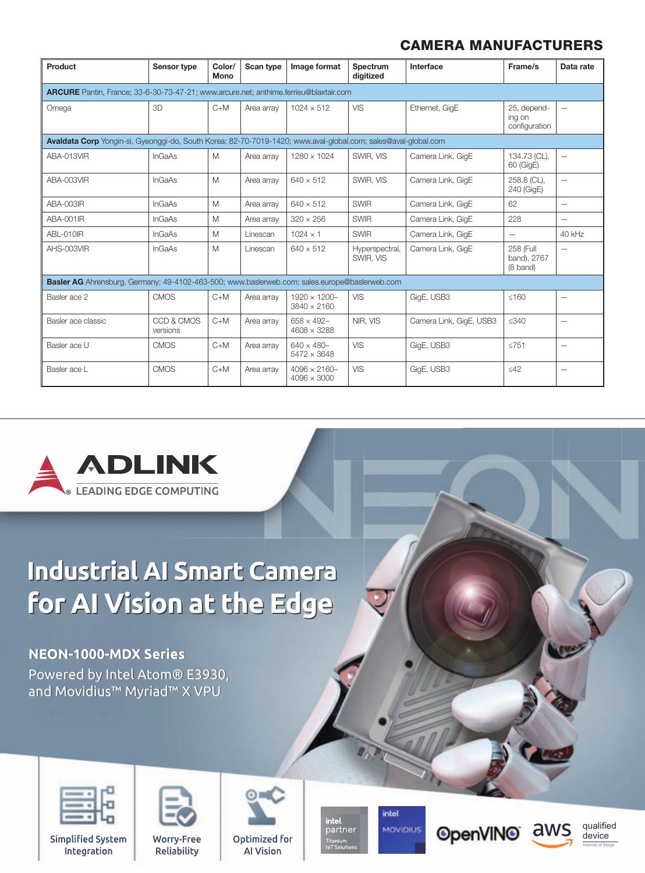| Product                                                                                                        | Sensor type                                                                           | Color/<br>Mono | Scan type  | Image format                               | Spectrum<br>digitized       | Interface               | Frame/s                                | Data rate                |  |  |  |
|----------------------------------------------------------------------------------------------------------------|---------------------------------------------------------------------------------------|----------------|------------|--------------------------------------------|-----------------------------|-------------------------|----------------------------------------|--------------------------|--|--|--|
|                                                                                                                | ARCURE Pantin, France: 33-6-30-73-47-21; www.arcure.net; anthime.ferrieu@blaxtair.com |                |            |                                            |                             |                         |                                        |                          |  |  |  |
| Omega                                                                                                          | 3D                                                                                    | $C+M$          | Area array | $1024 \times 512$                          | <b>VIS</b>                  | Ethernet, GigE          | 25, depend-<br>ing on<br>configuration | $\qquad \qquad -$        |  |  |  |
| Avaldata Corp Yongin-si, Gyeonggi-do, South Korea; 82-70-7019-1420; www.aval-global.com; sales@aval-global.com |                                                                                       |                |            |                                            |                             |                         |                                        |                          |  |  |  |
| ABA-013VIR                                                                                                     | <b>InGaAs</b>                                                                         | M              | Area array | $1280 \times 1024$                         | SWIR, VIS                   | Camera Link, GigE       | 134.73 (CL),<br>60 (GigE)              | $\overline{\phantom{0}}$ |  |  |  |
| ABA-003VIR                                                                                                     | <b>InGaAs</b>                                                                         | M              | Area array | $640 \times 512$                           | SWIR, VIS                   | Camera Link, GigE       | 258.8 (CL),<br>240 (GigE)              | $\overline{\phantom{0}}$ |  |  |  |
| ABA-003IR                                                                                                      | <b>InGaAs</b>                                                                         | M              | Area array | $640 \times 512$                           | <b>SWIR</b>                 | Camera Link. GigE       | 62                                     | $\overline{\phantom{0}}$ |  |  |  |
| ABA-001IR                                                                                                      | <b>InGaAs</b>                                                                         | M              | Area array | $320 \times 256$                           | <b>SWIR</b>                 | Camera Link, GigE       | 228                                    | $\overline{\phantom{0}}$ |  |  |  |
| ABL-010IR                                                                                                      | <b>InGaAs</b>                                                                         | M              | Linescan   | $1024 \times 1$                            | <b>SWIR</b>                 | Camera Link, GigE       | $\overline{\phantom{0}}$               | 40 kHz                   |  |  |  |
| AHS-003VIR                                                                                                     | <b>InGaAs</b>                                                                         | M              | Linescan   | $640 \times 512$                           | Hyperspectral,<br>SWIR, VIS | Camera Link, GigE       | 258 (Full<br>band), 2767<br>(8 band)   |                          |  |  |  |
| Basler AG Ahrensburg, Germany; 49-4102-463-500; www.baslerweb.com; sales.europe@baslerweb.com                  |                                                                                       |                |            |                                            |                             |                         |                                        |                          |  |  |  |
| Basler ace 2                                                                                                   | <b>CMOS</b>                                                                           | $C+M$          | Area array | $1920 \times 1200 -$<br>$3840 \times 2160$ | <b>VIS</b>                  | GigE, USB3              | $≤160$                                 |                          |  |  |  |
| Basler ace classic                                                                                             | CCD & CMOS<br>versions                                                                | $C+M$          | Area array | $658 \times 492 -$<br>$4608 \times 3288$   | NIR. VIS                    | Camera Link, GigE, USB3 | $≤340$                                 | $\overline{\phantom{0}}$ |  |  |  |
| Basler ace U                                                                                                   | <b>CMOS</b>                                                                           | $C+M$          | Area array | $640 \times 480 -$<br>$5472 \times 3648$   | <b>VIS</b>                  | GigE, USB3              | $≤751$                                 | $\qquad \qquad -$        |  |  |  |
| Basler ace L                                                                                                   | <b>CMOS</b>                                                                           | $C+M$          | Area array | $4096 \times 2160 -$<br>$4096 \times 3000$ | <b>VIS</b>                  | GigE, USB3              | $\leq 42$                              | $\qquad \qquad -$        |  |  |  |



# **Industrial AI Smart Camera Industrial AI Smart Camera for AI Vision at the Edge for AI Vision at the Edge**

#### **NEON-1000-MDX Series NEON-1000-MDX Series**

Powered by Intel Atom® E3930, Powered by Intel Atom® E3930, and Movidius™ Myriad™ X VPU and Movidius™ Myriad™ X VPU



**Simplified System** Integration



Worry-Free Reliability



Optimized for **Al Vision** 

intel.<br>partner Titanium<br>IoT Solution

intel **MOVIDIUS** 





qualified device internet of things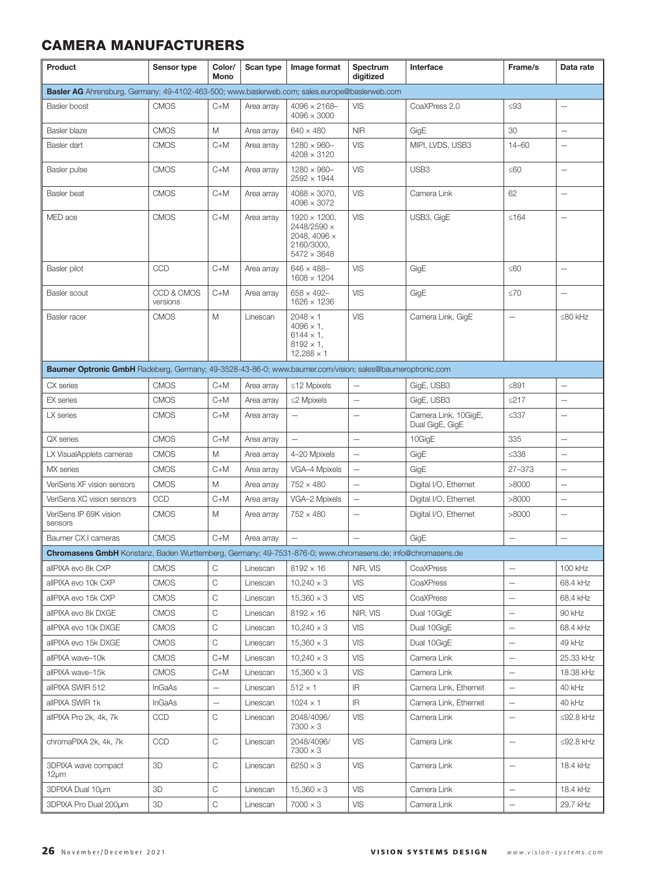| Product                                                                                                    | Sensor type            | Color/<br>Mono           | Scan type  | Image format                                                                                        | Spectrum<br>digitized             | Interface                               | Frame/s                  | Data rate                |
|------------------------------------------------------------------------------------------------------------|------------------------|--------------------------|------------|-----------------------------------------------------------------------------------------------------|-----------------------------------|-----------------------------------------|--------------------------|--------------------------|
| Basler AG Ahrensburg, Germany; 49-4102-463-500; www.baslerweb.com; sales.europe@baslerweb.com              |                        |                          |            |                                                                                                     |                                   |                                         |                          |                          |
| Basler boost                                                                                               | <b>CMOS</b>            | $C+M$                    | Area array | $4096 \times 2168 -$<br>$4096 \times 3000$                                                          | <b>VIS</b>                        | CoaXPress 2.0                           | $\leq93$                 |                          |
| Basler blaze                                                                                               | <b>CMOS</b>            | M                        | Area array | $640 \times 480$                                                                                    | <b>NIR</b>                        | GigE                                    | 30                       | $\overline{\phantom{0}}$ |
| Basler dart                                                                                                | <b>CMOS</b>            | $C+M$                    | Area array | $1280 \times 960 -$<br>$4208 \times 3120$                                                           | <b>VIS</b>                        | MIPI, LVDS, USB3                        | $14 - 60$                | Ē,                       |
| Basler pulse                                                                                               | <b>CMOS</b>            | $C+M$                    | Area array | $1280 \times 960 -$<br>$2592 \times 1944$                                                           | <b>VIS</b>                        | USB3                                    | ≤60                      |                          |
| <b>Basler</b> beat                                                                                         | <b>CMOS</b>            | $C+M$                    | Area array | $4088 \times 3070.$<br>$4096 \times 3072$                                                           | <b>VIS</b>                        | Camera Link                             | 62                       | $\overline{\phantom{0}}$ |
| MED ace                                                                                                    | <b>CMOS</b>            | $C+M$                    | Area array | $1920 \times 1200$ .<br>2448/2590 ×<br>2048, 4096 ×<br>2160/3000,<br>$5472 \times 3648$             | <b>VIS</b>                        | USB3, GigE                              | ≤164                     | Ē,                       |
| Basler pilot                                                                                               | CCD                    | $C+M$                    | Area array | $646 \times 488 -$<br>$1608 \times 1204$                                                            | <b>VIS</b>                        | GigE                                    | ≤60                      | $\overline{\phantom{0}}$ |
| Basler scout                                                                                               | CCD & CMOS<br>versions | $C+M$                    | Area array | $658 \times 492 -$<br>$1626 \times 1236$                                                            | <b>VIS</b>                        | GigE                                    | $\leq 70$                | $\overline{\phantom{0}}$ |
| Basler racer                                                                                               | <b>CMOS</b>            | M                        | Linescan   | $2048 \times 1$<br>$4096 \times 1$ ,<br>$6144 \times 1$ ,<br>$8192 \times 1$ ,<br>$12,288 \times 1$ | <b>VIS</b>                        | Camera Link, GigE                       |                          | $\leq 80$ kHz            |
| Baumer Optronic GmbH Radeberg, Germany; 49-3528-43-86-0; www.baumer.com/vision; sales@baumeroptronic.com   |                        |                          |            |                                                                                                     |                                   |                                         |                          |                          |
| CX series                                                                                                  | <b>CMOS</b>            | $C+M$                    | Area array | $\leq$ 12 Mpixels                                                                                   |                                   | GigE, USB3                              | $≤891$                   |                          |
| <b>EX</b> series                                                                                           | <b>CMOS</b>            | $C+M$                    | Area array | $\leq$ 2 Mpixels                                                                                    | $\overline{\phantom{0}}$          | GigE, USB3                              | ≤217                     |                          |
| LX series                                                                                                  | <b>CMOS</b>            | $C+M$                    | Area array | $\overline{\phantom{0}}$                                                                            |                                   | Camera Link, 10GigE,<br>Dual GigE, GigE | ≤337                     |                          |
| QX series                                                                                                  | <b>CMOS</b>            | $C+M$                    | Area array | $\overline{\phantom{0}}$                                                                            | $\overline{\phantom{0}}$          | 10GigE                                  | 335                      | $\overline{\phantom{0}}$ |
| LX VisualApplets cameras                                                                                   | <b>CMOS</b>            | Μ                        | Area array | 4-20 Mpixels                                                                                        | $\overline{\phantom{0}}$          | GigE                                    | $\leq 338$               | $\overline{\phantom{0}}$ |
| MX series                                                                                                  | <b>CMOS</b>            | $C+M$                    | Area array | VGA-4 Mpixels                                                                                       |                                   | GigE                                    | 27-373                   |                          |
| VeriSens XF vision sensors                                                                                 | <b>CMOS</b>            | M                        | Area array | $752 \times 480$                                                                                    | $\qquad \qquad -$                 | Digital I/O, Ethernet                   | >8000                    | $\overline{\phantom{0}}$ |
| VeriSens XC vision sensors                                                                                 | CCD                    | $C+M$                    | Area array | VGA-2 Mpixels                                                                                       | $\overline{\phantom{0}}$          | Digital I/O, Ethernet                   | >8000                    | $\overline{\phantom{0}}$ |
| VeriSens IP 69K vision<br>sensors                                                                          | <b>CMOS</b>            | Μ                        | Area array | $752 \times 480$                                                                                    | $\overline{\phantom{0}}$          | Digital I/O, Ethernet                   | >8000                    |                          |
| Baumer CX.I cameras                                                                                        | <b>CMOS</b>            | $C+M$                    | Area array |                                                                                                     |                                   | GigE                                    | $\overline{\phantom{0}}$ | $\overline{\phantom{0}}$ |
| Chromasens GmbH Konstanz, Baden Wurttemberg, Germany; 49-7531-876-0; www.chromasens.de; info@chromasens.de |                        |                          |            |                                                                                                     |                                   |                                         |                          |                          |
| allPIXA evo 8k CXP                                                                                         | <b>CMOS</b>            | C                        | Linescan   | $8192 \times 16$                                                                                    | NIR, VIS                          | CoaXPress                               |                          | 100 kHz                  |
| allPIXA evo 10k CXP                                                                                        | <b>CMOS</b>            | С                        | Linescan   | $10,240 \times 3$                                                                                   | <b>VIS</b>                        | CoaXPress                               | $\qquad \qquad -$        | 68.4 kHz                 |
| allPIXA evo 15k CXP                                                                                        | <b>CMOS</b>            | С                        | Linescan   | $15,360 \times 3$                                                                                   | <b>VIS</b>                        | <b>CoaXPress</b>                        | $\qquad \qquad -$        | 68.4 kHz                 |
| allPIXA evo 8k DXGE                                                                                        | <b>CMOS</b>            | C                        | Linescan   | $8192 \times 16$                                                                                    | NIR, VIS                          | Dual 10GigE                             | $\qquad \qquad -$        | 90 kHz                   |
| allPIXA evo 10k DXGE                                                                                       | <b>CMOS</b>            | C                        | Linescan   | $10,240 \times 3$                                                                                   | <b>VIS</b>                        | Dual 10GigE                             | $\qquad \qquad -$        | 68.4 kHz                 |
| allPIXA evo 15k DXGE                                                                                       | <b>CMOS</b>            | С                        | Linescan   | $15,360 \times 3$                                                                                   | VIS                               | Dual 10GigE                             | $\qquad \qquad -$        | 49 kHz                   |
| allPIXA wave-10k                                                                                           | <b>CMOS</b>            | C+M                      | Linescan   | $10,240 \times 3$                                                                                   | VIS                               | Camera Link                             | $\qquad \qquad -$        | 25.33 kHz                |
| allPIXA wave-15k                                                                                           | <b>CMOS</b>            | $C+M$                    | Linescan   | $15,360 \times 3$                                                                                   | VIS                               | Camera Link                             | $\qquad \qquad -$        | 18.38 kHz                |
| allPIXA SWIR 512                                                                                           | InGaAs                 | $\overline{\phantom{0}}$ | Linescan   | $512 \times 1$                                                                                      | IR.                               | Camera Link, Ethernet                   | $\qquad \qquad -$        | 40 kHz                   |
| allPIXA SWIR 1k                                                                                            | <b>InGaAs</b>          | $\qquad \qquad -$        | Linescan   | $1024 \times 1$                                                                                     | $\ensuremath{\mathsf{IR}}\xspace$ | Camera Link, Ethernet                   | $\qquad \qquad -$        | 40 kHz                   |
| allPIXA Pro 2k, 4k, 7k                                                                                     | <b>CCD</b>             | С                        | Linescan   | 2048/4096/<br>$7300 \times 3$                                                                       | VIS                               | Camera Link                             | $\overline{\phantom{m}}$ | $\leq$ 92.8 kHz          |
| chromaPIXA 2k, 4k, 7k                                                                                      | <b>CCD</b>             | С                        | Linescan   | 2048/4096/<br>$7300 \times 3$                                                                       | VIS                               | Camera Link                             | $\overline{\phantom{m}}$ | $\leq$ 92.8 kHz          |
| 3DPIXA wave compact<br>$12 \mu m$                                                                          | 3D                     | C                        | Linescan   | $6250 \times 3$                                                                                     | <b>VIS</b>                        | Camera Link                             | $\overline{\phantom{0}}$ | 18.4 kHz                 |
| 3DPIXA Dual 10um                                                                                           | 3D                     | С                        | Linescan   | $15,360 \times 3$                                                                                   | <b>VIS</b>                        | Camera Link                             | $\qquad \qquad -$        | 18.4 kHz                 |
| 3DPIXA Pro Dual 200um                                                                                      | 3D                     | C                        | Linescan   | $7000 \times 3$                                                                                     | <b>VIS</b>                        | Camera Link                             | $\overline{\phantom{0}}$ | 29.7 kHz                 |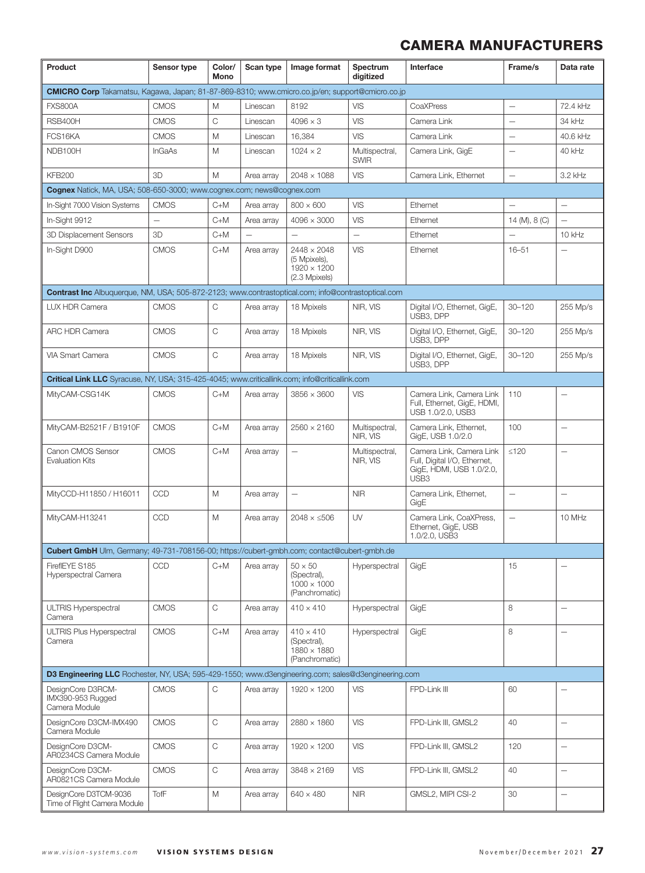| Product                                                                                                   | Sensor type              | Color/<br>Mono | Scan type  | Image format                                                              | Spectrum<br>digitized         | Interface                                                                                                | Frame/s                         | Data rate                |
|-----------------------------------------------------------------------------------------------------------|--------------------------|----------------|------------|---------------------------------------------------------------------------|-------------------------------|----------------------------------------------------------------------------------------------------------|---------------------------------|--------------------------|
| <b>CMICRO Corp</b> Takamatsu, Kagawa, Japan; 81-87-869-8310; www.cmicro.co.jp/en; support@cmicro.co.jp    |                          |                |            |                                                                           |                               |                                                                                                          |                                 |                          |
| <b>FXS800A</b>                                                                                            | <b>CMOS</b>              | M              | Linescan   | 8192                                                                      | VIS                           | CoaXPress                                                                                                | $\overline{\phantom{0}}$        | 72.4 kHz                 |
| RSB400H                                                                                                   | <b>CMOS</b>              | C              | Linescan   | $4096 \times 3$                                                           | VIS                           | Camera Link                                                                                              | ÷                               | 34 kHz                   |
| FCS16KA                                                                                                   | <b>CMOS</b>              | M              | Linescan   | 16,384                                                                    | VIS                           | Camera Link                                                                                              | $\qquad \qquad -$               | 40.6 kHz                 |
| NDB100H                                                                                                   | InGaAs                   | M              | Linescan   | $1024 \times 2$                                                           | Multispectral,<br><b>SWIR</b> | Camera Link, GigE                                                                                        | $\overbrace{\phantom{1232211}}$ | 40 kHz                   |
| <b>KFB200</b>                                                                                             | 3D                       | M              | Area array | $2048 \times 1088$                                                        | <b>VIS</b>                    | Camera Link, Ethernet                                                                                    | $\overline{\phantom{0}}$        | 3.2 kHz                  |
| Cognex Natick, MA, USA; 508-650-3000; www.cognex.com; news@cognex.com                                     |                          |                |            |                                                                           |                               |                                                                                                          |                                 |                          |
| In-Sight 7000 Vision Systems                                                                              | <b>CMOS</b>              | $C+M$          | Area array | $800 \times 600$                                                          | VIS                           | Ethernet                                                                                                 | $\qquad \qquad -$               | $\overline{\phantom{0}}$ |
| In-Sight 9912                                                                                             | $\overline{\phantom{0}}$ | $C+M$          | Area array | $4096 \times 3000$                                                        | VIS                           | Ethernet                                                                                                 | 14 (M), 8 (C)                   | $\overline{\phantom{0}}$ |
| 3D Displacement Sensors                                                                                   | 3D                       | $C+M$          |            |                                                                           | $\overline{\phantom{0}}$      | Ethernet                                                                                                 |                                 | 10 kHz                   |
| In-Sight D900                                                                                             | <b>CMOS</b>              | $C+M$          | Area array | $2448 \times 2048$<br>(5 Mpixels),<br>$1920 \times 1200$<br>(2.3 Mpixels) | VIS                           | Ethernet                                                                                                 | $16 - 51$                       |                          |
| <b>Contrast Inc</b> Albuquerque, NM, USA; 505-872-2123; www.contrastoptical.com; info@contrastoptical.com |                          |                |            |                                                                           |                               |                                                                                                          |                                 |                          |
| LUX HDR Camera                                                                                            | <b>CMOS</b>              | С              | Area array | 18 Mpixels                                                                | NIR, VIS                      | Digital I/O, Ethernet, GigE,<br>USB3, DPP                                                                | $30 - 120$                      | 255 Mp/s                 |
| ARC HDR Camera                                                                                            | <b>CMOS</b>              | C              | Area array | 18 Mpixels                                                                | NIR, VIS                      | Digital I/O, Ethernet, GigE,<br>USB3, DPP                                                                | $30 - 120$                      | 255 Mp/s                 |
| VIA Smart Camera                                                                                          | <b>CMOS</b>              | C              | Area array | 18 Mpixels                                                                | NIR, VIS                      | Digital I/O, Ethernet, GigE,<br>USB3, DPP                                                                | $30 - 120$                      | 255 Mp/s                 |
| Critical Link LLC Syracuse, NY, USA; 315-425-4045; www.criticallink.com; info@criticallink.com            |                          |                |            |                                                                           |                               |                                                                                                          |                                 |                          |
| MityCAM-CSG14K                                                                                            | <b>CMOS</b>              | $C+M$          | Area array | $3856 \times 3600$                                                        | VIS                           | Camera Link, Camera Link<br>Full, Ethernet, GigE, HDMI,<br>USB 1.0/2.0, USB3                             | 110                             |                          |
| MityCAM-B2521F / B1910F                                                                                   | <b>CMOS</b>              | $C+M$          | Area array | $2560 \times 2160$                                                        | Multispectral,<br>NIR, VIS    | Camera Link, Ethernet,<br>GigE, USB 1.0/2.0                                                              | 100                             | $\overline{\phantom{0}}$ |
| Canon CMOS Sensor<br><b>Evaluation Kits</b>                                                               | <b>CMOS</b>              | $C+M$          | Area array | $\overline{\phantom{0}}$                                                  | Multispectral,<br>NIR, VIS    | Camera Link, Camera Link<br>Full, Digital I/O, Ethernet,<br>GigE, HDMI, USB 1.0/2.0,<br>USB <sub>3</sub> | $≤120$                          | $\overline{\phantom{0}}$ |
| MityCCD-H11850 / H16011                                                                                   | <b>CCD</b>               | M              | Area array |                                                                           | <b>NIR</b>                    | Camera Link, Ethernet,<br>GigE                                                                           | $\overline{\phantom{0}}$        |                          |
| MityCAM-H13241                                                                                            | CCD                      | M              | Area array | $2048 \times 506$                                                         | UV                            | Camera Link. CoaXPress.<br>Ethernet, GigE, USB<br>1.0/2.0. USB3                                          | $\overline{\phantom{0}}$        | 10 MHz                   |
| <b>Cubert GmbH</b> Ulm, Germany; 49-731-708156-00; https://cubert-gmbh.com; contact@cubert-gmbh.de        |                          |                |            |                                                                           |                               |                                                                                                          |                                 |                          |
| FireflEYE S185<br>Hyperspectral Camera                                                                    | <b>CCD</b>               | $C+M$          | Area arrav | $50 \times 50$<br>(Spectral),<br>$1000 \times 1000$<br>(Panchromatic)     | Hyperspectral                 | GigE                                                                                                     | 15                              |                          |
| <b>ULTRIS Hyperspectral</b><br>Camera                                                                     | <b>CMOS</b>              | C              | Area array | $410 \times 410$                                                          | Hyperspectral                 | GigE                                                                                                     | 8                               | $\qquad \qquad -$        |
| <b>ULTRIS Plus Hyperspectral</b><br>Camera                                                                | <b>CMOS</b>              | $C+M$          | Area array | $410 \times 410$<br>(Spectral),<br>1880 × 1880<br>(Panchromatic)          | Hyperspectral                 | GigE                                                                                                     | 8                               | $\overline{\phantom{0}}$ |
| D3 Engineering LLC Rochester, NY, USA; 595-429-1550; www.d3engineering.com; sales@d3engineering.com       |                          |                |            |                                                                           |                               |                                                                                                          |                                 |                          |
| DesignCore D3RCM-<br>IMX390-953 Rugged<br>Camera Module                                                   | <b>CMOS</b>              | C              | Area array | $1920 \times 1200$                                                        | <b>VIS</b>                    | FPD-Link III                                                                                             | 60                              | $\overline{\phantom{0}}$ |
| DesignCore D3CM-IMX490<br>Camera Module                                                                   | <b>CMOS</b>              | $\mathsf C$    | Area array | $2880 \times 1860$                                                        | <b>VIS</b>                    | FPD-Link III, GMSL2                                                                                      | 40                              | $\overline{\phantom{0}}$ |
| DesignCore D3CM-<br>AR0234CS Camera Module                                                                | <b>CMOS</b>              | C              | Area array | $1920 \times 1200$                                                        | <b>VIS</b>                    | FPD-Link III, GMSL2                                                                                      | 120                             | $\qquad \qquad -$        |
| DesignCore D3CM-<br>AR0821CS Camera Module                                                                | <b>CMOS</b>              | $\mathsf C$    | Area array | $3848 \times 2169$                                                        | <b>VIS</b>                    | FPD-Link III, GMSL2                                                                                      | 40                              | $\overline{\phantom{0}}$ |
| DesignCore D3TCM-9036<br>Time of Flight Camera Module                                                     | <b>TofF</b>              | M              | Area array | $640 \times 480$                                                          | <b>NIR</b>                    | GMSL2, MIPI CSI-2                                                                                        | 30                              | $\overline{\phantom{0}}$ |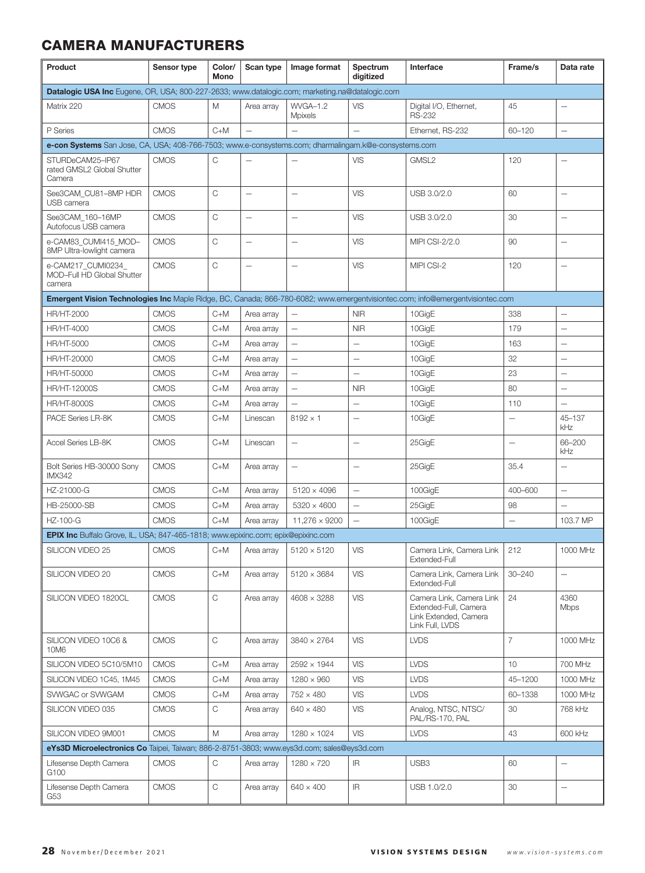| Product                                                                                                                       | Sensor type | Color/<br>Mono | Scan type                | Image format             | Spectrum<br>diaitized    | Interface                                                                                     | Frame/s                  | Data rate                |  |
|-------------------------------------------------------------------------------------------------------------------------------|-------------|----------------|--------------------------|--------------------------|--------------------------|-----------------------------------------------------------------------------------------------|--------------------------|--------------------------|--|
| Datalogic USA Inc Eugene, OR, USA; 800-227-2633; www.datalogic.com; marketing.na@datalogic.com                                |             |                |                          |                          |                          |                                                                                               |                          |                          |  |
| Matrix 220                                                                                                                    | <b>CMOS</b> | Μ              | Area array               | WVGA-1.2<br>Mpixels      | VIS                      | Digital I/O, Ethernet,<br><b>RS-232</b>                                                       | 45                       |                          |  |
| P Series                                                                                                                      | <b>CMOS</b> | $C+M$          | $\overline{\phantom{0}}$ | $\overline{\phantom{0}}$ |                          | Ethernet, RS-232                                                                              | 60-120                   | $\overline{\phantom{0}}$ |  |
| e-con Systems San Jose, CA, USA; 408-766-7503; www.e-consystems.com; dharmalingam.k@e-consystems.com                          |             |                |                          |                          |                          |                                                                                               |                          |                          |  |
| STURDeCAM25-IP67<br>rated GMSL2 Global Shutter<br>Camera                                                                      | <b>CMOS</b> | C              |                          |                          | VIS                      | GMSL2                                                                                         | 120                      |                          |  |
| See3CAM_CU81-8MP HDR<br>USB camera                                                                                            | <b>CMOS</b> | C              |                          | Ē,                       | <b>VIS</b>               | USB 3.0/2.0                                                                                   | 60                       | $\overline{\phantom{0}}$ |  |
| See3CAM 160-16MP<br>Autofocus USB camera                                                                                      | <b>CMOS</b> | С              |                          |                          | <b>VIS</b>               | USB 3.0/2.0                                                                                   | 30                       |                          |  |
| e-CAM83_CUMI415_MOD-<br>8MP Ultra-lowlight camera                                                                             | <b>CMOS</b> | C              | $\overline{\phantom{0}}$ | Ē,                       | <b>VIS</b>               | MIPI CSI-2/2.0                                                                                | 90                       |                          |  |
| e-CAM217_CUMI0234_<br>MOD-Full HD Global Shutter<br>camera                                                                    | <b>CMOS</b> | С              |                          |                          | <b>VIS</b>               | MIPI CSI-2                                                                                    | 120                      |                          |  |
| Emergent Vision Technologies Inc Maple Ridge, BC, Canada; 866-780-6082; www.emergentvisiontec.com; info@emergentvisiontec.com |             |                |                          |                          |                          |                                                                                               |                          |                          |  |
| HR/HT-2000                                                                                                                    | <b>CMOS</b> | $C+M$          | Area array               | $\overline{\phantom{0}}$ | <b>NIR</b>               | 10GigE                                                                                        | 338                      | $\overline{\phantom{0}}$ |  |
| HR/HT-4000                                                                                                                    | <b>CMOS</b> | $C+M$          | Area array               | $\overline{\phantom{0}}$ | <b>NIR</b>               | 10GigE                                                                                        | 179                      | $\overline{\phantom{0}}$ |  |
| HR/HT-5000                                                                                                                    | <b>CMOS</b> | $C+M$          | Area array               | $\overline{\phantom{0}}$ |                          | 10GigE                                                                                        | 163                      | $\overline{\phantom{0}}$ |  |
| HR/HT-20000                                                                                                                   | <b>CMOS</b> | $C+M$          | Area array               | $\overline{\phantom{0}}$ |                          | 10GigE                                                                                        | 32                       | $\overline{\phantom{0}}$ |  |
| HR/HT-50000                                                                                                                   | <b>CMOS</b> | $C+M$          | Area array               | $\qquad \qquad -$        | $\overline{\phantom{0}}$ | 10GigE                                                                                        | 23                       | $\overline{\phantom{0}}$ |  |
| <b>HR/HT-12000S</b>                                                                                                           | <b>CMOS</b> | $C+M$          | Area array               | $\overline{\phantom{0}}$ | <b>NIR</b>               | 10GigE                                                                                        | 80                       | $\overline{\phantom{0}}$ |  |
| <b>HR/HT-8000S</b>                                                                                                            | <b>CMOS</b> | C+M            | Area array               | $\overline{\phantom{0}}$ | $\overline{\phantom{0}}$ | 10GigE                                                                                        | 110                      | $\overline{\phantom{0}}$ |  |
| PACE Series LR-8K                                                                                                             | <b>CMOS</b> | $C+M$          | Linescan                 | $8192 \times 1$          |                          | 10GigE                                                                                        | $\overline{\phantom{0}}$ | 45-137<br>kHz            |  |
| Accel Series LB-8K                                                                                                            | <b>CMOS</b> | $C+M$          | Linescan                 | $\qquad \qquad -$        | $\overline{\phantom{0}}$ | 25GigE                                                                                        | $\overline{\phantom{0}}$ | 66-200<br>kHz            |  |
| Bolt Series HB-30000 Sony<br><b>IMX342</b>                                                                                    | <b>CMOS</b> | $C+M$          | Area array               |                          |                          | 25GigE                                                                                        | 35.4                     |                          |  |
| HZ-21000-G                                                                                                                    | <b>CMOS</b> | C+M            | Area array               | $5120 \times 4096$       | $\overline{\phantom{0}}$ | 100GigE                                                                                       | 400-600                  | $\overline{\phantom{0}}$ |  |
| HB-25000-SB                                                                                                                   | <b>CMOS</b> | C+M            | Area array               | $5320 \times 4600$       | $\qquad \qquad -$        | 25GigE                                                                                        | 98                       | $\overline{\phantom{0}}$ |  |
| HZ-100-G                                                                                                                      | <b>CMOS</b> | $C+M$          | Area array               | 11,276 × 9200            | $\overline{\phantom{0}}$ | 100GigE                                                                                       | $\overline{\phantom{0}}$ | 103.7 MP                 |  |
| EPIX Inc Buffalo Grove, IL, USA; 847-465-1818; www.epixinc.com; epix@epixinc.com                                              |             |                |                          |                          |                          |                                                                                               |                          |                          |  |
| SILICON VIDEO 25                                                                                                              | <b>CMOS</b> | C+M            | Area array               | $5120 \times 5120$       | <b>VIS</b>               | Camera Link, Camera Link<br>Extended-Full                                                     | 212                      | 1000 MHz                 |  |
| SILICON VIDEO 20                                                                                                              | <b>CMOS</b> | $C+M$          | Area array               | $5120 \times 3684$       | <b>VIS</b>               | Camera Link, Camera Link<br>Extended-Full                                                     | $30 - 240$               | $\overline{\phantom{0}}$ |  |
| SILICON VIDEO 1820CL                                                                                                          | <b>CMOS</b> | С              | Area array               | $4608 \times 3288$       | <b>VIS</b>               | Camera Link, Camera Link<br>Extended-Full, Camera<br>Link Extended, Camera<br>Link Full, LVDS | 24                       | 4360<br><b>Mbps</b>      |  |
| SILICON VIDEO 10C6 &<br>10M6                                                                                                  | <b>CMOS</b> | C              | Area array               | $3840 \times 2764$       | <b>VIS</b>               | <b>LVDS</b>                                                                                   | $\overline{7}$           | 1000 MHz                 |  |
| SILICON VIDEO 5C10/5M10                                                                                                       | <b>CMOS</b> | C+M            | Area array               | $2592 \times 1944$       | VIS                      | <b>LVDS</b>                                                                                   | 10                       | 700 MHz                  |  |
| SILICON VIDEO 1C45, 1M45                                                                                                      | <b>CMOS</b> | $C+M$          | Area array               | $1280 \times 960$        | VIS                      | <b>LVDS</b>                                                                                   | 45-1200                  | 1000 MHz                 |  |
| SVWGAC or SVWGAM                                                                                                              | <b>CMOS</b> | C+M            | Area array               | $752 \times 480$         | VIS                      | <b>LVDS</b>                                                                                   | 60-1338                  | 1000 MHz                 |  |
| SILICON VIDEO 035                                                                                                             | <b>CMOS</b> | С              | Area array               | $640 \times 480$         | VIS                      | Analog, NTSC, NTSC/<br>PAL/RS-170, PAL                                                        | 30                       | 768 kHz                  |  |
| SILICON VIDEO 9M001                                                                                                           | <b>CMOS</b> | M              | Area array               | $1280 \times 1024$       | <b>VIS</b>               | <b>LVDS</b>                                                                                   | 43                       | 600 kHz                  |  |
| eYs3D Microelectronics Co Taipei, Taiwan; 886-2-8751-3803; www.eys3d.com; sales@eys3d.com                                     |             |                |                          |                          |                          |                                                                                               |                          |                          |  |
| Lifesense Depth Camera<br>G100                                                                                                | <b>CMOS</b> | С              | Area array               | $1280 \times 720$        | ΙR                       | USB <sub>3</sub>                                                                              | 60                       | $\overline{\phantom{0}}$ |  |
| Lifesense Depth Camera<br>G53                                                                                                 | CMOS        | С              | Area array               | $640 \times 400$         | IR                       | USB 1.0/2.0                                                                                   | 30                       | $\overline{\phantom{0}}$ |  |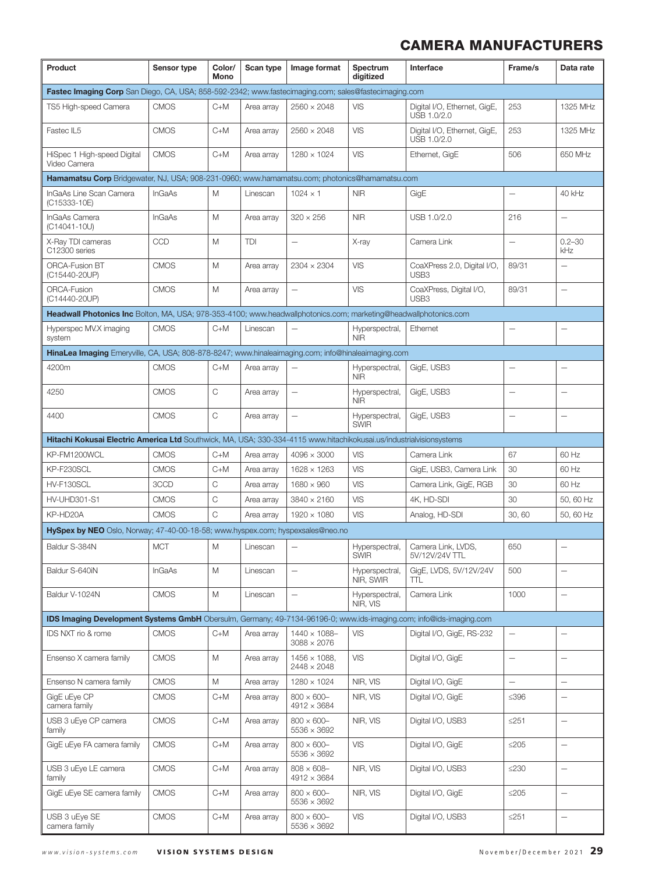| Product                                                                                                             | Sensor type   | Color/<br>Mono | Scan type  | Image format                               | Spectrum<br>digitized         | Interface                                       | Frame/s                  | Data rate                |
|---------------------------------------------------------------------------------------------------------------------|---------------|----------------|------------|--------------------------------------------|-------------------------------|-------------------------------------------------|--------------------------|--------------------------|
| Fastec Imaging Corp San Diego, CA, USA; 858-592-2342; www.fastecimaging.com; sales@fastecimaging.com                |               |                |            |                                            |                               |                                                 |                          |                          |
| TS5 High-speed Camera                                                                                               | <b>CMOS</b>   | $C+M$          | Area array | $2560 \times 2048$                         | VIS                           | Digital I/O, Ethernet, GigE,<br>USB 1.0/2.0     | 253                      | 1325 MHz                 |
| Fastec IL5                                                                                                          | <b>CMOS</b>   | $C+M$          | Area array | $2560 \times 2048$                         | VIS                           | Digital I/O, Ethernet, GigE,<br>USB 1.0/2.0     | 253                      | 1325 MHz                 |
| HiSpec 1 High-speed Digital<br>Video Camera                                                                         | <b>CMOS</b>   | $C+M$          | Area array | $1280 \times 1024$                         | <b>VIS</b>                    | Ethernet, GigE                                  | 506                      | 650 MHz                  |
| Hamamatsu Corp Bridgewater, NJ, USA; 908-231-0960; www.hamamatsu.com; photonics@hamamatsu.com                       |               |                |            |                                            |                               |                                                 |                          |                          |
| InGaAs Line Scan Camera<br>(C15333-10E)                                                                             | <b>InGaAs</b> | M              | Linescan   | $1024 \times 1$                            | <b>NIR</b>                    | GigE                                            |                          | 40 kHz                   |
| InGaAs Camera<br>(C14041-10U)                                                                                       | <b>InGaAs</b> | M              | Area array | $320 \times 256$                           | <b>NIR</b>                    | USB 1.0/2.0                                     | 216                      | $\overline{\phantom{0}}$ |
| X-Ray TDI cameras<br>C12300 series                                                                                  | CCD           | M              | TDI        |                                            | X-ray                         | Camera Link                                     | $\qquad \qquad -$        | $0.2 - 30$<br>kHz        |
| <b>ORCA-Fusion BT</b><br>(C15440-20UP)                                                                              | <b>CMOS</b>   | M              | Area array | $2304 \times 2304$                         | VIS                           | CoaXPress 2.0, Digital I/O,<br>USB <sub>3</sub> | 89/31                    |                          |
| <b>ORCA-Fusion</b><br>(C14440-20UP)                                                                                 | <b>CMOS</b>   | M              | Area array | $\overline{\phantom{0}}$                   | <b>VIS</b>                    | CoaXPress, Digital I/O,<br>USB3                 | 89/31                    | $\overline{\phantom{0}}$ |
| Headwall Photonics Inc Bolton, MA, USA; 978-353-4100; www.headwallphotonics.com; marketing@headwallphotonics.com    |               |                |            |                                            |                               |                                                 |                          |                          |
| Hyperspec MV.X imaging<br>system                                                                                    | <b>CMOS</b>   | $C+M$          | Linescan   |                                            | Hyperspectral,<br><b>NIR</b>  | Ethernet                                        | $\overline{\phantom{0}}$ | $\overline{\phantom{0}}$ |
| HinaLea Imaging Emeryville, CA, USA; 808-878-8247; www.hinaleaimaging.com; info@hinaleaimaging.com                  |               |                |            |                                            |                               |                                                 |                          |                          |
| 4200m                                                                                                               | <b>CMOS</b>   | $C+M$          | Area array |                                            | Hyperspectral,<br><b>NIR</b>  | GigE, USB3                                      |                          |                          |
| 4250                                                                                                                | <b>CMOS</b>   | C              | Area array | $\overline{\phantom{0}}$                   | Hyperspectral,<br><b>NIR</b>  | GigE, USB3                                      | $\overline{\phantom{0}}$ | $\overline{\phantom{0}}$ |
| 4400                                                                                                                | <b>CMOS</b>   | C              | Area array | $\overline{\phantom{0}}$                   | Hyperspectral,<br><b>SWIR</b> | GigE, USB3                                      |                          | $\overline{\phantom{0}}$ |
| Hitachi Kokusai Electric America Ltd Southwick, MA, USA; 330-334-4115 www.hitachikokusai.us/industrialvisionsystems |               |                |            |                                            |                               |                                                 |                          |                          |
| KP-FM1200WCL                                                                                                        | <b>CMOS</b>   | $C+M$          | Area array | $4096 \times 3000$                         | <b>VIS</b>                    | Camera Link                                     | 67                       | 60 Hz                    |
| KP-F230SCL                                                                                                          | <b>CMOS</b>   | $C+M$          | Area array | $1628 \times 1263$                         | <b>VIS</b>                    | GigE, USB3, Camera Link                         | 30                       | 60 Hz                    |
| HV-F130SCL                                                                                                          | 3CCD          | C              | Area array | $1680 \times 960$                          | <b>VIS</b>                    | Camera Link, GigE, RGB                          | 30                       | 60 Hz                    |
| <b>HV-UHD301-S1</b>                                                                                                 | <b>CMOS</b>   | C              | Area array | $3840 \times 2160$                         | VIS                           | 4K, HD-SDI                                      | 30                       | 50, 60 Hz                |
| KP-HD20A                                                                                                            | <b>CMOS</b>   | C              | Area array | 1920 × 1080                                | <b>VIS</b>                    | Analog, HD-SDI                                  | 30,60                    | 50, 60 Hz                |
| HySpex by NEO Oslo, Norway; 47-40-00-18-58; www.hyspex.com; hyspexsales@neo.no                                      |               |                |            |                                            |                               |                                                 |                          |                          |
| Baldur S-384N                                                                                                       | <b>MCT</b>    | Μ              | Linescan   |                                            | Hyperspectral,<br><b>SWIR</b> | Camera Link, LVDS,<br>5V/12V/24V TTL            | 650                      | $\overline{\phantom{0}}$ |
| Baldur S-640iN                                                                                                      | <b>InGaAs</b> | M              | Linescan   |                                            | Hyperspectral,<br>NIR, SWIR   | GigE, LVDS, 5V/12V/24V<br>TTL                   | 500                      |                          |
| Baldur V-1024N                                                                                                      | <b>CMOS</b>   | М              | Linescan   | $\overline{\phantom{0}}$                   | Hyperspectral,<br>NIR, VIS    | Camera Link                                     | 1000                     | $\overline{\phantom{0}}$ |
| IDS Imaging Development Systems GmbH Obersulm, Germany; 49-7134-96196-0; www.ids-imaging.com; info@ids-imaging.com  |               |                |            |                                            |                               |                                                 |                          |                          |
| IDS NXT rio & rome                                                                                                  | <b>CMOS</b>   | $C+M$          | Area array | $1440 \times 1088 -$<br>$3088 \times 2076$ | <b>VIS</b>                    | Digital I/O, GigE, RS-232                       | $\qquad \qquad -$        | $\overline{\phantom{0}}$ |
| Ensenso X camera family                                                                                             | <b>CMOS</b>   | М              | Area array | $1456 \times 1088$ .<br>2448 × 2048        | <b>VIS</b>                    | Digital I/O, GigE                               | $\overline{\phantom{0}}$ | $\overline{\phantom{0}}$ |
| Ensenso N camera family                                                                                             | <b>CMOS</b>   | М              | Area array | $1280 \times 1024$                         | NIR, VIS                      | Digital I/O, GigE                               | $\overline{\phantom{0}}$ | $\overline{\phantom{0}}$ |
| GigE uEye CP<br>camera family                                                                                       | <b>CMOS</b>   | $C+M$          | Area array | $800 \times 600 -$<br>4912 × 3684          | NIR, VIS                      | Digital I/O, GigE                               | ≤396                     | $\overline{\phantom{0}}$ |
| USB 3 uEye CP camera<br>family                                                                                      | <b>CMOS</b>   | C+M            | Area array | $800 \times 600 -$<br>$5536 \times 3692$   | NIR, VIS                      | Digital I/O, USB3                               | $≤251$                   | $\overline{\phantom{0}}$ |
| GigE uEye FA camera family                                                                                          | <b>CMOS</b>   | $C+M$          | Area array | $800 \times 600 -$<br>$5536 \times 3692$   | <b>VIS</b>                    | Digital I/O, GigE                               | $\leq$ 205               | $\overline{\phantom{0}}$ |
| USB 3 uEye LE camera<br>family                                                                                      | <b>CMOS</b>   | $C+M$          | Area array | $808 \times 608 -$<br>4912 × 3684          | NIR, VIS                      | Digital I/O, USB3                               | $\leq$ 230               | $\overline{\phantom{0}}$ |
| GigE uEye SE camera family                                                                                          | <b>CMOS</b>   | $C+M$          | Area array | $800 \times 600 -$<br>$5536 \times 3692$   | NIR, VIS                      | Digital I/O, GigE                               | $\leq$ 205               | $\overline{\phantom{0}}$ |
| USB 3 uEye SE<br>camera family                                                                                      | <b>CMOS</b>   | $C+M$          | Area array | $800 \times 600 -$<br>$5536 \times 3692$   | <b>VIS</b>                    | Digital I/O, USB3                               | $≤251$                   | $\overline{\phantom{0}}$ |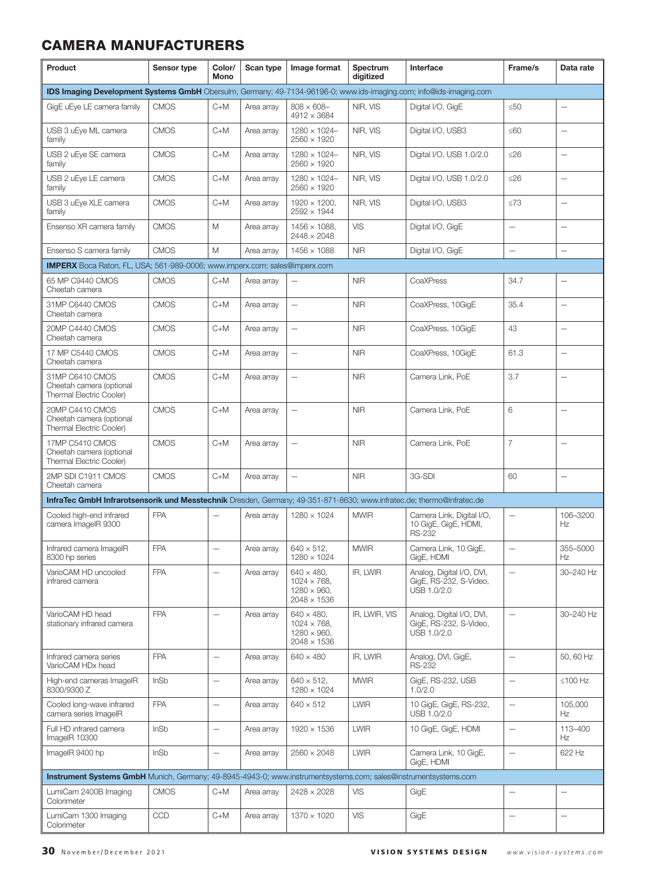| Product                                                                                                               | Sensor type | Color/<br>Mono           | Scan type  | Image format                                                                           | Spectrum<br>digitized | Interface                                                          | Frame/s                  | Data rate                |
|-----------------------------------------------------------------------------------------------------------------------|-------------|--------------------------|------------|----------------------------------------------------------------------------------------|-----------------------|--------------------------------------------------------------------|--------------------------|--------------------------|
| IDS Imaging Development Systems GmbH Obersulm, Germany; 49-7134-96196-0; www.ids-imaging.com; info@ids-imaging.com    |             |                          |            |                                                                                        |                       |                                                                    |                          |                          |
| GigE uEye LE camera family                                                                                            | <b>CMOS</b> | $C+M$                    | Area array | $808 \times 608 -$<br>$4912 \times 3684$                                               | NIR, VIS              | Digital I/O, GigE                                                  | $\leq 50$                |                          |
| USB 3 uEye ML camera<br>family                                                                                        | <b>CMOS</b> | $C+M$                    | Area array | $1280 \times 1024 -$<br>$2560 \times 1920$                                             | NIR. VIS              | Digital I/O, USB3                                                  | $\leq 60$                | $\overline{\phantom{0}}$ |
| USB 2 uEye SE camera<br>family                                                                                        | <b>CMOS</b> | $C+M$                    | Area array | $1280 \times 1024 -$<br>$2560 \times 1920$                                             | NIR, VIS              | Digital I/O, USB 1.0/2.0                                           | $\leq$ 26                | $\overline{\phantom{0}}$ |
| USB 2 uEye LE camera<br>family                                                                                        | <b>CMOS</b> | $C+M$                    | Area array | $1280 \times 1024 -$<br>$2560 \times 1920$                                             | NIR, VIS              | Digital I/O, USB 1.0/2.0                                           | $\leq$ 26                | <u>.</u>                 |
| USB 3 uEye XLE camera<br>family                                                                                       | <b>CMOS</b> | $C+M$                    | Area array | $1920 \times 1200$ ,<br>2592 × 1944                                                    | NIR, VIS              | Digital I/O, USB3                                                  | $\leq 73$                | $\overline{\phantom{0}}$ |
| Ensenso XR camera family                                                                                              | <b>CMOS</b> | M                        | Area array | $1456 \times 1088$ ,<br>$2448 \times 2048$                                             | VIS                   | Digital I/O, GigE                                                  | $\qquad \qquad -$        | <u>.</u>                 |
| Ensenso S camera family                                                                                               | <b>CMOS</b> | M                        | Area array | $1456 \times 1088$                                                                     | <b>NIR</b>            | Digital I/O, GigE                                                  | $\overline{\phantom{0}}$ | $\overline{\phantom{0}}$ |
| <b>IMPERX</b> Boca Raton, FL, USA; 561-989-0006; www.imperx.com; sales@imperx.com                                     |             |                          |            |                                                                                        |                       |                                                                    |                          |                          |
| 65 MP C9440 CMOS<br>Cheetah camera                                                                                    | <b>CMOS</b> | $C+M$                    | Area array | $\overline{\phantom{0}}$                                                               | <b>NIR</b>            | CoaXPress                                                          | 34.7                     |                          |
| 31MP C6440 CMOS<br>Cheetah camera                                                                                     | <b>CMOS</b> | $C+M$                    | Area array | $\overline{\phantom{0}}$                                                               | <b>NIR</b>            | CoaXPress, 10GigE                                                  | 35.4                     | $\overline{\phantom{0}}$ |
| 20MP C4440 CMOS<br>Cheetah camera                                                                                     | <b>CMOS</b> | $C+M$                    | Area array | $\overline{\phantom{0}}$                                                               | <b>NIR</b>            | CoaXPress, 10GigE                                                  | 43                       |                          |
| 17 MP C5440 CMOS<br>Cheetah camera                                                                                    | <b>CMOS</b> | $C+M$                    | Area array | $\overline{\phantom{0}}$                                                               | <b>NIR</b>            | CoaXPress, 10GigE                                                  | 61.3                     | $\overline{\phantom{0}}$ |
| 31MP C6410 CMOS<br>Cheetah camera (optional<br>Thermal Electric Cooler)                                               | <b>CMOS</b> | $C+M$                    | Area array |                                                                                        | <b>NIR</b>            | Camera Link, PoE                                                   | 3.7                      |                          |
| 20MP C4410 CMOS<br>Cheetah camera (optional<br>Thermal Electric Cooler)                                               | <b>CMOS</b> | $C+M$                    | Area array | $\qquad \qquad -$                                                                      | <b>NIR</b>            | Camera Link, PoE                                                   | 6                        | $\overline{\phantom{0}}$ |
| 17MP C5410 CMOS<br>Cheetah camera (optional<br>Thermal Electric Cooler)                                               | <b>CMOS</b> | $C+M$                    | Area array | $\qquad \qquad -$                                                                      | <b>NIR</b>            | Camera Link, PoE                                                   | $\overline{7}$           | <u>.</u>                 |
| 2MP SDI C1911 CMOS<br>Cheetah camera                                                                                  | <b>CMOS</b> | $C+M$                    | Area array | $\qquad \qquad -$                                                                      | <b>NIR</b>            | 3G-SDI                                                             | 60                       | $\overline{\phantom{0}}$ |
| InfraTec GmbH Infrarotsensorik und Messtechnik Dresden, Germany; 49-351-871-8630; www.infratec.de; thermo@infratec.de |             |                          |            |                                                                                        |                       |                                                                    |                          |                          |
| Cooled high-end infrared<br>camera ImageIR 9300                                                                       | <b>FPA</b>  |                          | Area array | $1280 \times 1024$                                                                     | <b>MWIR</b>           | Camera Link. Digital I/O.<br>10 GigE, GigE, HDMI,<br><b>RS-232</b> | $\overline{\phantom{0}}$ | 106-3200<br>Hz           |
| Infrared camera ImageIR<br>8300 hp series                                                                             | <b>FPA</b>  | $\overline{\phantom{0}}$ | Area array | $640 \times 512$ .<br>$1280 \times 1024$                                               | <b>MWIR</b>           | Camera Link, 10 GigE,<br>GigE, HDMI                                | $\overline{\phantom{0}}$ | 355-5000<br>Hz           |
| VarioCAM HD uncooled<br>infrared camera                                                                               | <b>FPA</b>  | $\overline{\phantom{0}}$ | Area array | $640 \times 480$ ,<br>$1024 \times 768$ ,<br>$1280 \times 960$ ,<br>$2048 \times 1536$ | IR, LWIR              | Analog, Digital I/O, DVI,<br>GigE, RS-232, S-Video,<br>USB 1.0/2.0 | $\overline{\phantom{0}}$ | 30-240 Hz                |
| VarioCAM HD head<br>stationary infrared camera                                                                        | <b>FPA</b>  | $\overline{\phantom{0}}$ | Area array | $640 \times 480$ ,<br>$1024 \times 768$ ,<br>$1280 \times 960$ ,<br>$2048 \times 1536$ | IR, LWIR, VIS         | Analog, Digital I/O, DVI,<br>GigE, RS-232, S-Video,<br>USB 1.0/2.0 | $\overline{\phantom{0}}$ | 30-240 Hz                |
| Infrared camera series<br>VarioCAM HDx head                                                                           | <b>FPA</b>  | $\overline{\phantom{0}}$ | Area array | $640 \times 480$                                                                       | IR, LWIR              | Analog, DVI, GigE,<br><b>RS-232</b>                                | $\qquad \qquad -$        | 50, 60 Hz                |
| High-end cameras ImageIR<br>8300/9300 Z                                                                               | <b>InSb</b> | $\overline{\phantom{0}}$ | Area array | $640 \times 512$ ,<br>$1280 \times 1024$                                               | <b>MWIR</b>           | GigE, RS-232, USB<br>1.0/2.0                                       | $\overline{\phantom{0}}$ | $\leq 100$ Hz            |
| Cooled long-wave infrared<br>camera series ImageIR                                                                    | <b>FPA</b>  | $\overline{\phantom{0}}$ | Area array | $640 \times 512$                                                                       | <b>LWIR</b>           | 10 GigE, GigE, RS-232,<br>USB 1.0/2.0                              | $\overline{\phantom{0}}$ | 105,000<br>Hz            |
| Full HD infrared camera<br>ImageIR 10300                                                                              | InSb        | $\overline{\phantom{0}}$ | Area array | $1920 \times 1536$                                                                     | <b>LWIR</b>           | 10 GigE, GigE, HDMI                                                | $\overline{\phantom{0}}$ | 113-400<br>Hz            |
| ImageIR 9400 hp                                                                                                       | InSb        | $\overline{\phantom{0}}$ | Area array | $2560 \times 2048$                                                                     | <b>LWIR</b>           | Camera Link, 10 GigE,<br>GigE, HDMI                                | $\qquad \qquad -$        | 622 Hz                   |
| Instrument Systems GmbH Munich, Germany; 49-8945-4943-0; www.instrumentsystems.com; sales@instrumentsystems.com       |             |                          |            |                                                                                        |                       |                                                                    |                          |                          |
| LumiCam 2400B Imaging<br>Colorimeter                                                                                  | <b>CMOS</b> | $C+M$                    | Area array | 2428 × 2028                                                                            | VIS                   | GigE                                                               |                          | <u>.</u>                 |
| LumiCam 1300 Imaging<br>Colorimeter                                                                                   | <b>CCD</b>  | $C+M$                    | Area array | $1370 \times 1020$                                                                     | VIS                   | GigE                                                               |                          | $\overline{\phantom{0}}$ |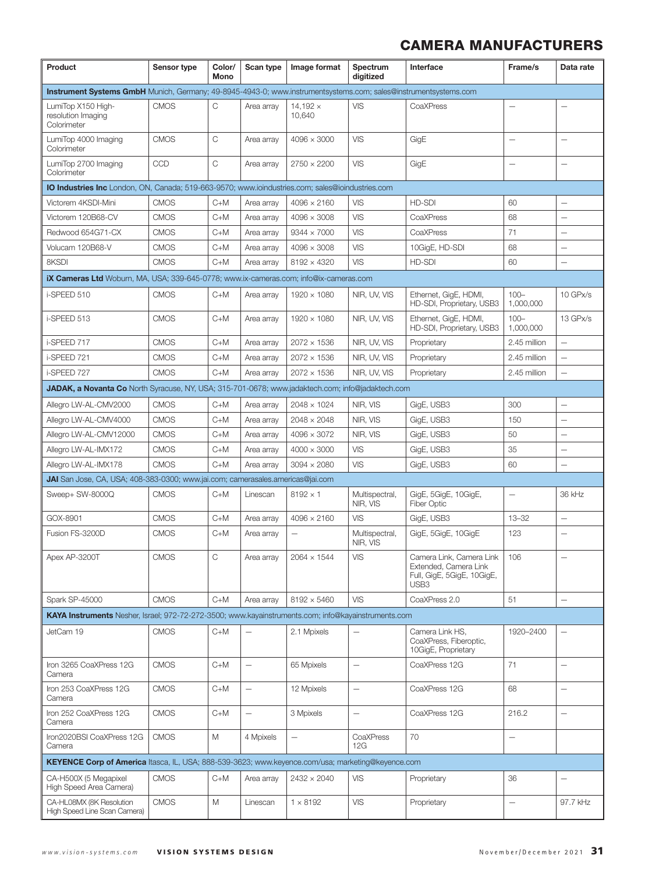| Product                                                                                                         | Sensor type | Color/<br>Mono | Scan type                | Image format              | Spectrum<br>digitized      | Interface                                                                               | Frame/s                  | Data rate                |  |
|-----------------------------------------------------------------------------------------------------------------|-------------|----------------|--------------------------|---------------------------|----------------------------|-----------------------------------------------------------------------------------------|--------------------------|--------------------------|--|
| Instrument Systems GmbH Munich, Germany; 49-8945-4943-0; www.instrumentsystems.com; sales@instrumentsystems.com |             |                |                          |                           |                            |                                                                                         |                          |                          |  |
| LumiTop X150 High-<br>resolution Imaging<br>Colorimeter                                                         | <b>CMOS</b> | С              | Area array               | $14,192 \times$<br>10,640 | VIS                        | CoaXPress                                                                               |                          |                          |  |
| LumiTop 4000 Imaging<br>Colorimeter                                                                             | <b>CMOS</b> | C              | Area array               | $4096 \times 3000$        | <b>VIS</b>                 | GigE                                                                                    |                          | $\overline{\phantom{0}}$ |  |
| LumiTop 2700 Imaging<br>Colorimeter                                                                             | CCD         | C              | Area array               | $2750 \times 2200$        | <b>VIS</b>                 | GigE                                                                                    |                          | $\overline{\phantom{0}}$ |  |
| <b>IO Industries Inc</b> London, ON, Canada; 519-663-9570; www.ioindustries.com; sales@ioindustries.com         |             |                |                          |                           |                            |                                                                                         |                          |                          |  |
| Victorem 4KSDI-Mini                                                                                             | <b>CMOS</b> | $C+M$          | Area array               | $4096 \times 2160$        | <b>VIS</b>                 | HD-SDI                                                                                  | 60                       | —                        |  |
| Victorem 120B68-CV                                                                                              | <b>CMOS</b> | $C+M$          | Area array               | $4096 \times 3008$        | <b>VIS</b>                 | CoaXPress                                                                               | 68                       | L.                       |  |
| Redwood 654G71-CX                                                                                               | <b>CMOS</b> | $C+M$          | Area array               | $9344 \times 7000$        | <b>VIS</b>                 | CoaXPress                                                                               | 71                       |                          |  |
| Volucam 120B68-V                                                                                                | <b>CMOS</b> | $C+M$          | Area array               | $4096 \times 3008$        | <b>VIS</b>                 | 10GigE, HD-SDI                                                                          | 68                       | $\overline{\phantom{0}}$ |  |
| 8KSDI                                                                                                           | <b>CMOS</b> | $C+M$          | Area array               | $8192 \times 4320$        | <b>VIS</b>                 | HD-SDI                                                                                  | 60                       | $\overline{\phantom{0}}$ |  |
| iX Cameras Ltd Woburn, MA, USA; 339-645-0778; www.ix-cameras.com; info@ix-cameras.com                           |             |                |                          |                           |                            |                                                                                         |                          |                          |  |
| i-SPEED 510                                                                                                     | <b>CMOS</b> | C+M            | Area array               | $1920 \times 1080$        | NIR, UV, VIS               | Ethernet, GigE, HDMI,<br>HD-SDI, Proprietary, USB3                                      | $100 -$<br>1,000,000     | 10 GPx/s                 |  |
| i-SPEED 513                                                                                                     | <b>CMOS</b> | $C+M$          | Area array               | 1920 × 1080               | NIR, UV, VIS               | Ethernet, GigE, HDMI,<br>HD-SDI, Proprietary, USB3                                      | $100 -$<br>1.000.000     | 13 GPx/s                 |  |
| i-SPEED 717                                                                                                     | <b>CMOS</b> | $C+M$          | Area array               | $2072 \times 1536$        | NIR, UV, VIS               | Proprietary                                                                             | 2.45 million             | $\overline{\phantom{0}}$ |  |
| i-SPEED 721                                                                                                     | <b>CMOS</b> | $C+M$          | Area array               | $2072 \times 1536$        | NIR, UV, VIS               | Proprietary                                                                             | 2.45 million             | $\overline{\phantom{0}}$ |  |
| i-SPEED 727                                                                                                     | <b>CMOS</b> | $C+M$          | Area array               | $2072 \times 1536$        | NIR, UV, VIS               | Proprietary                                                                             | 2.45 million             | $\overline{\phantom{0}}$ |  |
| JADAK, a Novanta Co North Syracuse, NY, USA; 315-701-0678; www.jadaktech.com; info@jadaktech.com                |             |                |                          |                           |                            |                                                                                         |                          |                          |  |
| Allegro LW-AL-CMV2000                                                                                           | <b>CMOS</b> | $C+M$          | Area array               | $2048 \times 1024$        | NIR, VIS                   | GigE, USB3                                                                              | 300                      |                          |  |
| Allegro LW-AL-CMV4000                                                                                           | <b>CMOS</b> | $C+M$          | Area array               | $2048 \times 2048$        | NIR, VIS                   | GigE, USB3                                                                              | 150                      | ÷                        |  |
| Allegro LW-AL-CMV12000                                                                                          | <b>CMOS</b> | $C+M$          | Area array               | $4096 \times 3072$        | NIR, VIS                   | GigE, USB3                                                                              | 50                       | $\overline{\phantom{0}}$ |  |
| Allegro LW-AL-IMX172                                                                                            | <b>CMOS</b> | $C+M$          | Area array               | $4000 \times 3000$        | <b>VIS</b>                 | GigE, USB3                                                                              | 35                       |                          |  |
| Allegro LW-AL-IMX178                                                                                            | <b>CMOS</b> | $C+M$          | Area array               | $3094 \times 2080$        | <b>VIS</b>                 | GigE, USB3                                                                              | 60                       |                          |  |
| JAI San Jose, CA, USA; 408-383-0300; www.jai.com; camerasales.americas@jai.com                                  |             |                |                          |                           |                            |                                                                                         |                          |                          |  |
| Sweep+ SW-8000Q                                                                                                 | <b>CMOS</b> | $C+M$          | Linescan                 | $8192 \times 1$           | Multispectral,<br>NIR, VIS | GigE, 5GigE, 10GigE,<br><b>Fiber Optic</b>                                              |                          | 36 kHz                   |  |
| GOX-8901                                                                                                        | <b>CMOS</b> | $C+M$          | Area array               | $4096 \times 2160$        | <b>VIS</b>                 | GigE, USB3                                                                              | $13 - 32$                | $\qquad \qquad -$        |  |
| Fusion FS-3200D                                                                                                 | <b>CMOS</b> | $C+M$          | Area array               |                           | Multispectral,<br>NIR, VIS | GigE, 5GigE, 10GigE                                                                     | 123                      |                          |  |
| Apex AP-3200T                                                                                                   | CMOS        | C              | Area array               | $2064 \times 1544$        | <b>VIS</b>                 | Camera Link, Camera Link<br>Extended, Camera Link<br>Full, GigE, 5GigE, 10GigE,<br>USB3 | 106                      | $\overline{\phantom{0}}$ |  |
| Spark SP-45000                                                                                                  | <b>CMOS</b> | $C+M$          | Area arrav               | $8192 \times 5460$        | <b>VIS</b>                 | CoaXPress 2.0                                                                           | 51                       | $\qquad \qquad -$        |  |
| KAYA Instruments Nesher, Israel; 972-72-272-3500; www.kayainstruments.com; info@kayainstruments.com             |             |                |                          |                           |                            |                                                                                         |                          |                          |  |
| JetCam 19                                                                                                       | <b>CMOS</b> | $C+M$          |                          | 2.1 Mpixels               |                            | Camera Link HS.<br>CoaXPress, Fiberoptic,<br>10GigE, Proprietary                        | 1920-2400                |                          |  |
| Iron 3265 CoaXPress 12G<br>Camera                                                                               | <b>CMOS</b> | $C+M$          | $\qquad \qquad -$        | 65 Mpixels                | $\qquad \qquad -$          | CoaXPress 12G                                                                           | 71                       | $\overline{\phantom{0}}$ |  |
| Iron 253 CoaXPress 12G<br>Camera                                                                                | <b>CMOS</b> | $C+M$          | $\qquad \qquad -$        | 12 Mpixels                | $\overline{\phantom{0}}$   | CoaXPress 12G                                                                           | 68                       | $\overline{\phantom{0}}$ |  |
| Iron 252 CoaXPress 12G<br>Camera                                                                                | <b>CMOS</b> | $C+M$          | $\overline{\phantom{0}}$ | 3 Mpixels                 | $\overline{\phantom{m}}$   | CoaXPress 12G                                                                           | 216.2                    | $\overline{\phantom{0}}$ |  |
| Iron2020BSI CoaXPress 12G<br>Camera                                                                             | <b>CMOS</b> | M              | 4 Mpixels                | $\overline{\phantom{0}}$  | CoaXPress<br>12G           | 70                                                                                      | $\overline{\phantom{0}}$ |                          |  |
| KEYENCE Corp of America Itasca, IL, USA; 888-539-3623; www.keyence.com/usa; marketing@keyence.com               |             |                |                          |                           |                            |                                                                                         |                          |                          |  |
| CA-H500X (5 Megapixel<br>High Speed Area Camera)                                                                | <b>CMOS</b> | $C+M$          | Area array               | $2432 \times 2040$        | <b>VIS</b>                 | Proprietary                                                                             | 36                       |                          |  |
| CA-HL08MX (8K Resolution<br>High Speed Line Scan Camera)                                                        | <b>CMOS</b> | M              | Linescan                 | $1 \times 8192$           | <b>VIS</b>                 | Proprietary                                                                             | $\qquad \qquad -$        | 97.7 kHz                 |  |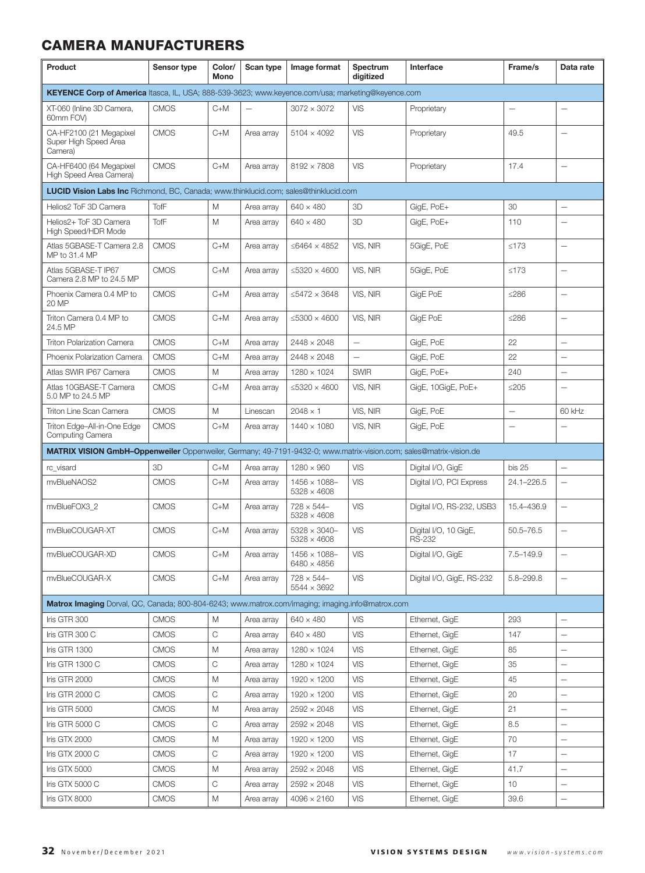| Product                                                                                                            | Sensor type | Color/<br>Mono                 | Scan type  | Image format                               | Spectrum<br>digitized    | Interface                              | Frame/s                  | Data rate                |
|--------------------------------------------------------------------------------------------------------------------|-------------|--------------------------------|------------|--------------------------------------------|--------------------------|----------------------------------------|--------------------------|--------------------------|
| KEYENCE Corp of America Itasca, IL, USA; 888-539-3623; www.keyence.com/usa; marketing@keyence.com                  |             |                                |            |                                            |                          |                                        |                          |                          |
| XT-060 (Inline 3D Camera,<br>60mm FOV)                                                                             | <b>CMOS</b> | $C+M$                          |            | $3072 \times 3072$                         | VIS                      | Proprietary                            |                          |                          |
| CA-HF2100 (21 Megapixel<br>Super High Speed Area<br>Camera)                                                        | <b>CMOS</b> | $C+M$                          | Area arrav | $5104 \times 4092$                         | VIS                      | Proprietary                            | 49.5                     | $\overline{\phantom{0}}$ |
| CA-HF6400 (64 Megapixel<br>High Speed Area Camera)                                                                 | <b>CMOS</b> | $C+M$                          | Area array | $8192 \times 7808$                         | VIS                      | Proprietary                            | 17.4                     | $\overline{\phantom{0}}$ |
| LUCID Vision Labs Inc Richmond, BC, Canada; www.thinklucid.com; sales@thinklucid.com                               |             |                                |            |                                            |                          |                                        |                          |                          |
| Helios2 ToF 3D Camera                                                                                              | TofF        | M                              | Area array | $640 \times 480$                           | 3D                       | GigE, PoE+                             | 30                       | $\overline{\phantom{0}}$ |
| Helios2+ ToF 3D Camera<br>High Speed/HDR Mode                                                                      | TofF        | M                              | Area array | $640 \times 480$                           | 3D                       | GigE, PoE+                             | 110                      | Ē,                       |
| Atlas 5GBASE-T Camera 2.8<br>MP to 31.4 MP                                                                         | <b>CMOS</b> | $C+M$                          | Area array | ≤6464 $\times$ 4852                        | VIS, NIR                 | 5GigE, PoE                             | $≤173$                   |                          |
| Atlas 5GBASE-T IP67<br>Camera 2.8 MP to 24.5 MP                                                                    | <b>CMOS</b> | $C+M$                          | Area array | $\leq$ 5320 $\times$ 4600                  | VIS, NIR                 | 5GigE, PoE                             | ≤173                     | $\overline{\phantom{0}}$ |
| Phoenix Camera 0.4 MP to<br>20 MP                                                                                  | <b>CMOS</b> | $C+M$                          | Area array | $\leq$ 5472 $\times$ 3648                  | VIS, NIR                 | GigE PoE                               | $≤286$                   | $\overline{\phantom{0}}$ |
| Triton Camera 0.4 MP to<br>24.5 MP                                                                                 | <b>CMOS</b> | $C+M$                          | Area array | ≤5300 $\times$ 4600                        | VIS, NIR                 | GigE PoE                               | $≤286$                   | $\overline{\phantom{0}}$ |
| Triton Polarization Camera                                                                                         | <b>CMOS</b> | $C+M$                          | Area array | $2448 \times 2048$                         | $\overline{\phantom{0}}$ | GigE, PoE                              | 22                       | $\overline{\phantom{0}}$ |
| Phoenix Polarization Camera                                                                                        | <b>CMOS</b> | $C+M$                          | Area array | $2448 \times 2048$                         |                          | GigE, PoE                              | 22                       | $\overline{\phantom{0}}$ |
| Atlas SWIR IP67 Camera                                                                                             | <b>CMOS</b> | M                              | Area array | $1280 \times 1024$                         | <b>SWIR</b>              | GigE, PoE+                             | 240                      | L.                       |
| Atlas 10GBASE-T Camera<br>5.0 MP to 24.5 MP                                                                        | <b>CMOS</b> | $C+M$                          | Area array | $\leq 5320 \times 4600$                    | VIS, NIR                 | GigE, 10GigE, PoE+                     | $\leq$ 205               | Ē,                       |
| Triton Line Scan Camera                                                                                            | <b>CMOS</b> | M                              | Linescan   | $2048 \times 1$                            | VIS, NIR                 | GigE, PoE                              | $\overline{\phantom{0}}$ | 60 kHz                   |
| Triton Edge-All-in-One Edge<br>Computing Camera                                                                    | <b>CMOS</b> | $C+M$                          | Area array | $1440 \times 1080$                         | VIS, NIR                 | GigE, PoE                              |                          |                          |
| MATRIX VISION GmbH-Oppenweiler Oppenweiler, Germany; 49-7191-9432-0; www.matrix-vision.com; sales@matrix-vision.de |             |                                |            |                                            |                          |                                        |                          |                          |
| rc_visard                                                                                                          | 3D          | $C+M$                          | Area array | $1280 \times 960$                          | <b>VIS</b>               | Digital I/O, GigE                      | bis 25                   | -                        |
| mvBlueNAOS2                                                                                                        | <b>CMOS</b> | $C+M$                          | Area array | 1456 × 1088-<br>$5328 \times 4608$         | <b>VIS</b>               | Digital I/O, PCI Express               | 24.1-226.5               | $\overline{\phantom{0}}$ |
| mvBlueFOX3 2                                                                                                       | <b>CMOS</b> | $C+M$                          | Area array | $728 \times 544 -$<br>$5328 \times 4608$   | VIS                      | Digital I/O, RS-232, USB3              | 15.4-436.9               | $\overline{\phantom{0}}$ |
| mvBlueCOUGAR-XT                                                                                                    | <b>CMOS</b> | $C+M$                          | Area array | $5328 \times 3040 -$<br>$5328 \times 4608$ | VIS                      | Digital I/O, 10 GigE,<br><b>RS-232</b> | 50.5-76.5                |                          |
| mvBlueCOUGAR-XD                                                                                                    | <b>CMOS</b> | $C+M$                          | Area array | $1456 \times 1088 -$<br>$6480 \times 4856$ | VIS                      | Digital I/O, GigE                      | 7.5-149.9                | $\overline{\phantom{0}}$ |
| mvBlueCOUGAR-X                                                                                                     | CMOS        | $\mathrm{C}\text{+}\mathrm{M}$ | Area array | $728 \times 544 -$<br>5544 × 3692          | VIS                      | Digital I/O, GigE, RS-232              | $5.8 - 299.8$            |                          |
| Matrox Imaging Dorval, QC, Canada; 800-804-6243; www.matrox.com/imaging; imaging.info@matrox.com                   |             |                                |            |                                            |                          |                                        |                          |                          |
| Iris GTR 300                                                                                                       | <b>CMOS</b> | M                              | Area arrav | $640 \times 480$                           | <b>VIS</b>               | Ethernet, GigE                         | 293                      | —                        |
| Iris GTR 300 C                                                                                                     | CMOS        | C                              | Area array | $640 \times 480$                           | VIS                      | Ethernet, GigE                         | 147                      |                          |
| Iris GTR 1300                                                                                                      | CMOS        | M                              | Area array | $1280 \times 1024$                         | VIS                      | Ethernet, GigE                         | 85                       | —                        |
| Iris GTR 1300 C                                                                                                    | <b>CMOS</b> | C                              | Area array | $1280 \times 1024$                         | VIS                      | Ethernet, GigE                         | 35                       | -                        |
| Iris GTR 2000                                                                                                      | <b>CMOS</b> | M                              | Area array | 1920 × 1200                                | VIS                      | Ethernet, GigE                         | 45                       | —                        |
| Iris GTR 2000 C                                                                                                    | <b>CMOS</b> | C                              | Area array | $1920 \times 1200$                         | <b>VIS</b>               | Ethernet, GigE                         | 20                       | $\overline{\phantom{0}}$ |
| Iris GTR 5000                                                                                                      | <b>CMOS</b> | M                              | Area array | $2592 \times 2048$                         | <b>VIS</b>               | Ethernet, GigE                         | 21                       | -                        |
| Iris GTR 5000 C                                                                                                    | CMOS        | C                              | Area array | $2592 \times 2048$                         | <b>VIS</b>               | Ethernet, GigE                         | 8.5                      | -                        |
| Iris GTX 2000                                                                                                      | CMOS        | M                              | Area array | $1920 \times 1200$                         | <b>VIS</b>               | Ethernet, GigE                         | 70                       |                          |
| Iris GTX 2000 C                                                                                                    | <b>CMOS</b> | С                              | Area array | 1920 × 1200                                | VIS                      | Ethernet, GigE                         | 17                       | $\overline{\phantom{0}}$ |
| Iris GTX 5000                                                                                                      | <b>CMOS</b> | M                              | Area array | 2592 × 2048                                | VIS                      | Ethernet, GigE                         | 41.7                     | $\overline{\phantom{0}}$ |
| Iris GTX 5000 C                                                                                                    | <b>CMOS</b> | С                              | Area array | $2592 \times 2048$                         | VIS                      | Ethernet, GigE                         | 10                       | $\overline{\phantom{0}}$ |
| Iris GTX 8000                                                                                                      | <b>CMOS</b> | Μ                              | Area array | $4096 \times 2160$                         | <b>VIS</b>               | Ethernet, GigE                         | 39.6                     | —                        |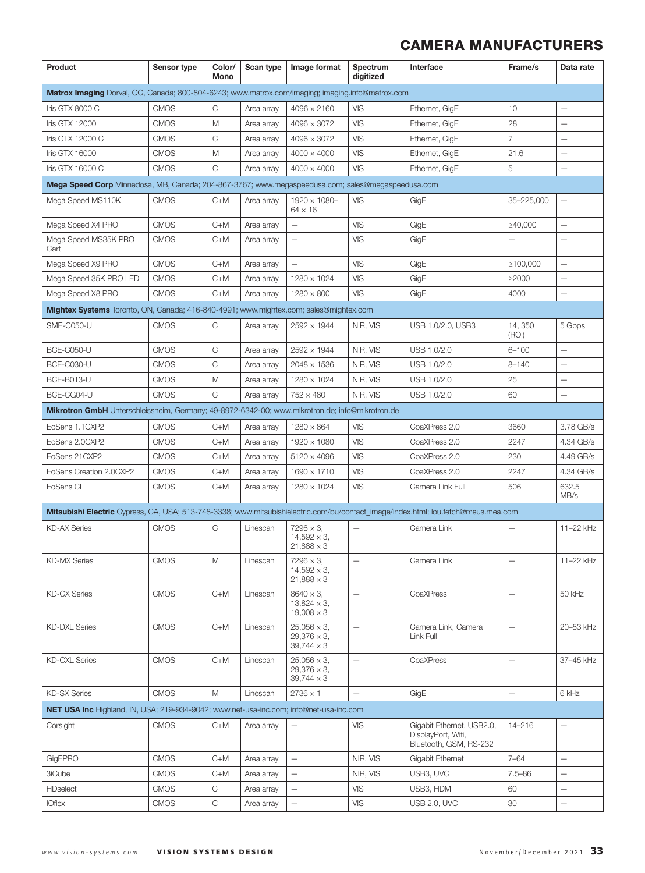| Product                                                                                                                            | Sensor type | Color/<br>Mono | Scan type  | Image format                                                  | Spectrum<br>digitized            | Interface                                                                 | Frame/s           | Data rate                |  |
|------------------------------------------------------------------------------------------------------------------------------------|-------------|----------------|------------|---------------------------------------------------------------|----------------------------------|---------------------------------------------------------------------------|-------------------|--------------------------|--|
| Matrox Imaging Dorval, QC, Canada; 800-804-6243; www.matrox.com/imaging; imaging.info@matrox.com                                   |             |                |            |                                                               |                                  |                                                                           |                   |                          |  |
| Iris GTX 8000 C                                                                                                                    | <b>CMOS</b> | С              | Area array | $4096 \times 2160$                                            | <b>VIS</b>                       | Ethernet, GigE                                                            | 10                | $\overline{\phantom{0}}$ |  |
| Iris GTX 12000                                                                                                                     | <b>CMOS</b> | M              | Area array | $4096 \times 3072$                                            | VIS                              | Ethernet, GigE                                                            | 28                | $\overline{\phantom{0}}$ |  |
| Iris GTX 12000 C                                                                                                                   | <b>CMOS</b> | C              | Area array | $4096 \times 3072$                                            | <b>VIS</b>                       | Ethernet, GigE                                                            | $\overline{7}$    | $\overline{\phantom{0}}$ |  |
| Iris GTX 16000                                                                                                                     | <b>CMOS</b> | M              | Area array | $4000 \times 4000$                                            | <b>VIS</b>                       | Ethernet, GigE                                                            | 21.6              | $\overline{\phantom{0}}$ |  |
| Iris GTX 16000 C                                                                                                                   | <b>CMOS</b> | C              | Area array | $4000 \times 4000$                                            | <b>VIS</b>                       | Ethernet, GigE                                                            | 5                 | Ē,                       |  |
| Mega Speed Corp Minnedosa, MB, Canada; 204-867-3767; www.megaspeedusa.com; sales@megaspeedusa.com                                  |             |                |            |                                                               |                                  |                                                                           |                   |                          |  |
| Mega Speed MS110K                                                                                                                  | <b>CMOS</b> | $C+M$          | Area array | 1920 × 1080-<br>$64 \times 16$                                | <b>VIS</b>                       | GigE                                                                      | 35-225,000        | $\overline{\phantom{0}}$ |  |
| Mega Speed X4 PRO                                                                                                                  | <b>CMOS</b> | $C+M$          | Area array | $\qquad \qquad -$                                             | <b>VIS</b>                       | GigE                                                                      | ≥40,000           | $\overline{\phantom{0}}$ |  |
| Mega Speed MS35K PRO<br>Cart                                                                                                       | <b>CMOS</b> | $C+M$          | Area array | $\overline{\phantom{0}}$                                      | <b>VIS</b>                       | GigE                                                                      |                   | $\overline{\phantom{0}}$ |  |
| Mega Speed X9 PRO                                                                                                                  | <b>CMOS</b> | $C+M$          | Area array | $\overline{\phantom{0}}$                                      | <b>VIS</b>                       | GigE                                                                      | ≥100,000          | $\overline{\phantom{0}}$ |  |
| Mega Speed 35K PRO LED                                                                                                             | <b>CMOS</b> | $C+M$          | Area array | $1280 \times 1024$                                            | <b>VIS</b>                       | GigE                                                                      | ≥2000             | $\overline{\phantom{0}}$ |  |
| Mega Speed X8 PRO                                                                                                                  | <b>CMOS</b> | $C+M$          | Area array | $1280 \times 800$                                             | <b>VIS</b>                       | GigE                                                                      | 4000              |                          |  |
| Mightex Systems Toronto, ON, Canada; 416-840-4991; www.mightex.com; sales@mightex.com                                              |             |                |            |                                                               |                                  |                                                                           |                   |                          |  |
| SME-C050-U                                                                                                                         | <b>CMOS</b> | С              | Area array | $2592 \times 1944$                                            | NIR. VIS                         | USB 1.0/2.0, USB3                                                         | 14, 350<br>(ROI)  | 5 Gbps                   |  |
| <b>BCE-C050-U</b>                                                                                                                  | <b>CMOS</b> | C              | Area array | $2592 \times 1944$                                            | NIR, VIS                         | USB 1.0/2.0                                                               | $6 - 100$         | $\equiv$                 |  |
| <b>BCE-C030-U</b>                                                                                                                  | <b>CMOS</b> | $\mathsf C$    | Area array | $2048 \times 1536$                                            | NIR, VIS                         | USB 1.0/2.0                                                               | $8 - 140$         | Ē,                       |  |
| BCE-B013-U                                                                                                                         | <b>CMOS</b> | M              | Area array | $1280 \times 1024$                                            | NIR, VIS                         | USB 1.0/2.0                                                               | 25                | $\overline{\phantom{0}}$ |  |
| BCE-CG04-U                                                                                                                         | <b>CMOS</b> | C              | Area array | $752 \times 480$                                              | NIR, VIS                         | USB 1.0/2.0                                                               | 60                | $\overline{\phantom{0}}$ |  |
| Mikrotron GmbH Unterschleissheim, Germany; 49-8972-6342-00; www.mikrotron.de; info@mikrotron.de                                    |             |                |            |                                                               |                                  |                                                                           |                   |                          |  |
| EoSens 1.1CXP2                                                                                                                     | <b>CMOS</b> | C+M            | Area array | $1280 \times 864$                                             | <b>VIS</b>                       | CoaXPress 2.0                                                             | 3660              | 3.78 GB/s                |  |
| EoSens 2.0CXP2                                                                                                                     | <b>CMOS</b> | $C+M$          | Area array | $1920 \times 1080$                                            | <b>VIS</b>                       | CoaXPress 2.0                                                             | 2247              | 4.34 GB/s                |  |
| EoSens 21CXP2                                                                                                                      | <b>CMOS</b> | $C+M$          | Area array | $5120 \times 4096$                                            | <b>VIS</b>                       | CoaXPress 2.0                                                             | 230               | 4.49 GB/s                |  |
| EoSens Creation 2.0CXP2                                                                                                            | <b>CMOS</b> | $C+M$          | Area array | $1690 \times 1710$                                            | <b>VIS</b>                       | CoaXPress 2.0                                                             | 2247              | 4.34 GB/s                |  |
| EoSens CL                                                                                                                          | <b>CMOS</b> | $C+M$          | Area array | $1280 \times 1024$                                            | <b>VIS</b>                       | Camera Link Full                                                          | 506               | 632.5<br>MB/s            |  |
| Mitsubishi Electric Cypress, CA, USA; 513-748-3338; www.mitsubishielectric.com/bu/contact_image/index.html; lou.fetch@meus.mea.com |             |                |            |                                                               |                                  |                                                                           |                   |                          |  |
| <b>KD-AX Series</b>                                                                                                                | <b>CMOS</b> | C              | Linescan   | $7296 \times 3$ ,<br>$14,592 \times 3,$<br>$21,888 \times 3$  |                                  | Camera Link                                                               |                   | 11-22 kHz                |  |
| <b>KD-MX Series</b>                                                                                                                | <b>CMOS</b> | M              | Linescan   | $7296 \times 3$ .<br>$14,592 \times 3$<br>$21,888 \times 3$   | $\overbrace{\phantom{12322111}}$ | Camera Link                                                               | $\qquad \qquad -$ | 11-22 kHz                |  |
| <b>KD-CX Series</b>                                                                                                                | <b>CMOS</b> | $C+M$          | Linescan   | $8640 \times 3$ ,<br>$13,824 \times 3$ ,<br>$19,008 \times 3$ | $\overline{\phantom{0}}$         | CoaXPress                                                                 | $\qquad \qquad -$ | 50 kHz                   |  |
| <b>KD-DXL Series</b>                                                                                                               | <b>CMOS</b> | $C+M$          | Linescan   | $25,056 \times 3,$<br>$29,376 \times 3,$<br>$39,744 \times 3$ | $\qquad \qquad -$                | Camera Link. Camera<br>Link Full                                          | $\qquad \qquad -$ | 20-53 kHz                |  |
| <b>KD-CXL Series</b>                                                                                                               | <b>CMOS</b> | $C+M$          | Linescan   | $25,056 \times 3,$<br>$29,376 \times 3,$<br>$39,744 \times 3$ | $\overline{\phantom{0}}$         | CoaXPress                                                                 | $\qquad \qquad -$ | 37-45 kHz                |  |
| <b>KD-SX Series</b>                                                                                                                | <b>CMOS</b> | M              | Linescan   | $2736 \times 1$                                               | $\overline{\phantom{m}}$         | GigE                                                                      | $\qquad \qquad -$ | 6 kHz                    |  |
| <b>NET USA Inc</b> Highland, IN, USA; 219-934-9042; www.net-usa-inc.com; info@net-usa-inc.com                                      |             |                |            |                                                               |                                  |                                                                           |                   |                          |  |
| Corsight                                                                                                                           | <b>CMOS</b> | $C+M$          | Area array | $\overline{\phantom{0}}$                                      | <b>VIS</b>                       | Gigabit Ethernet, USB2.0.<br>DisplayPort, Wifi,<br>Bluetooth, GSM, RS-232 | 14-216            | -                        |  |
| GigEPRO                                                                                                                            | <b>CMOS</b> | $C+M$          | Area array | $\qquad \qquad -$                                             | NIR, VIS                         | Gigabit Ethernet                                                          | $7 - 64$          | $\overline{\phantom{0}}$ |  |
| 3iCube                                                                                                                             | <b>CMOS</b> | $C+M$          | Area array | —                                                             | NIR, VIS                         | USB3, UVC                                                                 | $7.5 - 86$        | -                        |  |
| <b>HDselect</b>                                                                                                                    | <b>CMOS</b> | C              | Area array | $\overline{\phantom{0}}$                                      | <b>VIS</b>                       | USB3, HDMI                                                                | 60                | $\overline{\phantom{0}}$ |  |
| <b>IOflex</b>                                                                                                                      | <b>CMOS</b> | C              | Area array | $\overline{\phantom{0}}$                                      | <b>VIS</b>                       | <b>USB 2.0, UVC</b>                                                       | 30                | $\overline{\phantom{0}}$ |  |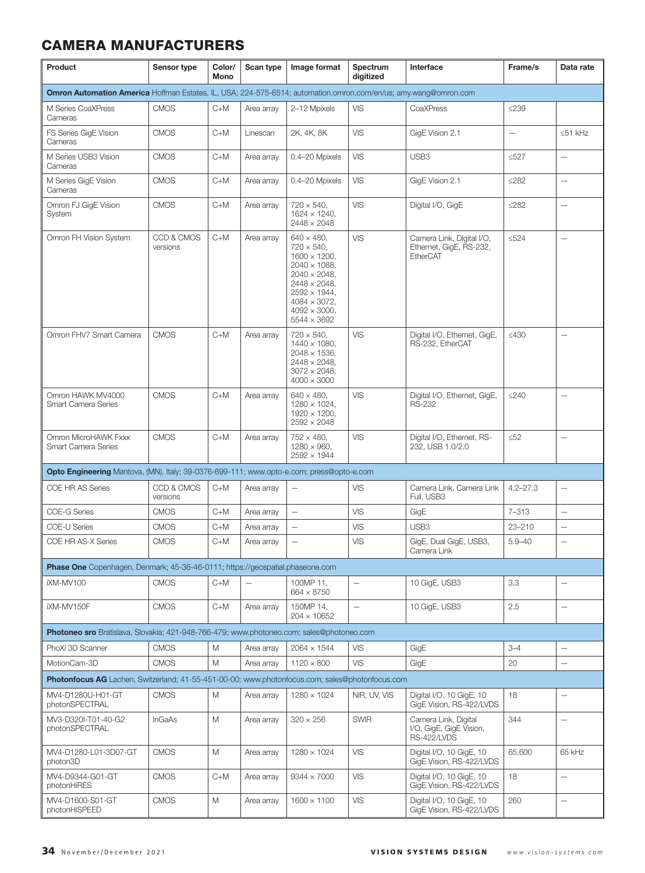| Product                                                                                                         | Sensor type            | Color/<br>Mono | Scan type                | Image format                                                                                                                                                                                                                          | Spectrum<br>digitized | Interface                                                             | Frame/s                  | Data rate                |
|-----------------------------------------------------------------------------------------------------------------|------------------------|----------------|--------------------------|---------------------------------------------------------------------------------------------------------------------------------------------------------------------------------------------------------------------------------------|-----------------------|-----------------------------------------------------------------------|--------------------------|--------------------------|
| Omron Automation America Hoffman Estates, IL, USA; 224-575-6514; automation.omron.com/en/us; amy.wang@omron.com |                        |                |                          |                                                                                                                                                                                                                                       |                       |                                                                       |                          |                          |
| M Series CoaXPress<br>Cameras                                                                                   | <b>CMOS</b>            | C+M            | Area array               | 2-12 Mpixels                                                                                                                                                                                                                          | VIS                   | CoaXPress                                                             | $\leq$ 239               |                          |
| FS Series GigE Vision<br>Cameras                                                                                | <b>CMOS</b>            | $C+M$          | Linescan                 | 2K, 4K, 8K                                                                                                                                                                                                                            | VIS                   | GigE Vision 2.1                                                       | $\overline{\phantom{0}}$ | $\leq 51$ kHz            |
| M Series USB3 Vision<br>Cameras                                                                                 | <b>CMOS</b>            | $C+M$          | Area array               | 0.4-20 Mpixels                                                                                                                                                                                                                        | VIS                   | USB <sub>3</sub>                                                      | $\leq 527$               | $\overline{\phantom{0}}$ |
| M Series GigE Vision<br>Cameras                                                                                 | <b>CMOS</b>            | $C+M$          | Area array               | 0.4-20 Mpixels                                                                                                                                                                                                                        | VIS                   | GigE Vision 2.1                                                       | ≤282                     | $\overline{\phantom{0}}$ |
| Omron FJ GigE Vision<br>System                                                                                  | <b>CMOS</b>            | $C+M$          | Area array               | $720 \times 540$ ,<br>$1624 \times 1240.$<br>$2448 \times 2048$                                                                                                                                                                       | <b>VIS</b>            | Digital I/O, GigE                                                     | ≤282                     | $\overline{\phantom{0}}$ |
| Omron FH Vision System                                                                                          | CCD & CMOS<br>versions | $C+M$          | Area array               | $640 \times 480.$<br>$720 \times 540$ ,<br>$1600 \times 1200$ ,<br>$2040 \times 1088$ ,<br>$2040 \times 2048$ ,<br>$2448 \times 2048$ ,<br>$2592 \times 1944$ ,<br>$4084 \times 3072$ ,<br>$4092 \times 3000$ ,<br>$5544 \times 3692$ | VIS                   | Camera Link, Digital I/O,<br>Ethernet, GigE, RS-232,<br>EtherCAT      | $\leq 524$               | $\overline{\phantom{0}}$ |
| Omron FHV7 Smart Camera                                                                                         | <b>CMOS</b>            | $C+M$          | Area array               | $720 \times 540$ ,<br>$1440 \times 1080$ ,<br>$2048 \times 1536$ .<br>$2448 \times 2048$ ,<br>$3072 \times 2048$ ,<br>$4000 \times 3000$                                                                                              | VIS                   | Digital I/O, Ethernet, GigE,<br>RS-232, EtherCAT                      | ≤430                     |                          |
| Omron HAWK MV4000<br>Smart Camera Series                                                                        | <b>CMOS</b>            | $C+M$          | Area array               | $640 \times 480$ ,<br>$1280 \times 1024$ ,<br>$1920 \times 1200$ ,<br>2592 × 2048                                                                                                                                                     | VIS                   | Digital I/O, Ethernet, GigE,<br><b>RS-232</b>                         | ≤240                     | $\overline{\phantom{0}}$ |
| Omron MicroHAWK Fxxx<br>Smart Camera Series                                                                     | <b>CMOS</b>            | $C+M$          | Area array               | $752 \times 480$ ,<br>$1280 \times 960$ ,<br>2592 × 1944                                                                                                                                                                              | <b>VIS</b>            | Digital I/O, Ethernet, RS-<br>232, USB 1.0/2.0                        | $\leq 52$                | $\overline{\phantom{0}}$ |
| Opto Engineering Mantova, (MN), Italy; 39-0376-699-111; www.opto-e.com; press@opto-e.com                        |                        |                |                          |                                                                                                                                                                                                                                       |                       |                                                                       |                          |                          |
| COE HR AS Series                                                                                                | CCD & CMOS<br>versions | $C+M$          | Area array               | $\overline{\phantom{0}}$                                                                                                                                                                                                              | VIS                   | Camera Link, Camera Link<br>Full, USB3                                | $4.2 - 27.3$             |                          |
| <b>COE-G Series</b>                                                                                             | <b>CMOS</b>            | $C+M$          | Area array               | $\overline{\phantom{0}}$                                                                                                                                                                                                              | VIS                   | GigE                                                                  | $7 - 313$                | $\overline{\phantom{0}}$ |
| <b>COE-U Series</b>                                                                                             | <b>CMOS</b>            | $C+M$          | Area array               | $\qquad \qquad -$                                                                                                                                                                                                                     | <b>VIS</b>            | USB <sub>3</sub>                                                      | 23-210                   | $\equiv$                 |
| COE HR AS-X Series                                                                                              | <b>CMOS</b>            | $C+M$          | Area array               | $\overline{\phantom{0}}$                                                                                                                                                                                                              | VIS                   | GigE, Dual GigE, USB3,<br>Camera Link                                 | $5.9 - 40$               | $\overline{\phantom{0}}$ |
| Phase One Copenhagen, Denmark; 45-36-46-0111; https://geospatial.phaseone.com                                   |                        |                |                          |                                                                                                                                                                                                                                       |                       |                                                                       |                          |                          |
| iXM-MV100                                                                                                       | <b>CMOS</b>            | C+M            | $\overline{\phantom{m}}$ | 100MP 11,<br>664 × 8750                                                                                                                                                                                                               |                       | 10 GigE, USB3                                                         | 3.3                      | -                        |
| iXM-MV150F                                                                                                      | <b>CMOS</b>            | $C+M$          | Area array               | 150MP 14,<br>$204 \times 10652$                                                                                                                                                                                                       | $\qquad \qquad -$     | 10 GigE, USB3                                                         | 2.5                      | $\qquad \qquad -$        |
| Photoneo sro Bratislava, Slovakia; 421-948-766-479; www.photoneo.com; sales@photoneo.com                        |                        |                |                          |                                                                                                                                                                                                                                       |                       |                                                                       |                          |                          |
| PhoXi 3D Scanner                                                                                                | <b>CMOS</b>            | М              | Area array               | $2064 \times 1544$                                                                                                                                                                                                                    | <b>VIS</b>            | GigE                                                                  | $3 - 4$                  |                          |
| MotionCam-3D                                                                                                    | <b>CMOS</b>            | M              | Area array               | $1120 \times 800$                                                                                                                                                                                                                     | <b>VIS</b>            | GigE                                                                  | 20                       | $\overline{\phantom{0}}$ |
| Photonfocus AG Lachen, Switzerland; 41-55-451-00-00; www.photonfocus.com; sales@photonfocus.com                 |                        |                |                          |                                                                                                                                                                                                                                       |                       |                                                                       |                          |                          |
| MV4-D1280U-H01-GT<br>photonSPECTRAL                                                                             | <b>CMOS</b>            | M              | Area array               | $1280 \times 1024$                                                                                                                                                                                                                    | NIR, UV, VIS          | Digital I/O, 10 GigE, 10<br>GigE Vision, RS-422/LVDS                  | 18                       | $\qquad \qquad -$        |
| MV3-D320I-T01-40-G2<br>photonSPECTRAL                                                                           | <b>InGaAs</b>          | M              | Area array               | $320 \times 256$                                                                                                                                                                                                                      | <b>SWIR</b>           | Camera Link, Digital<br>I/O, GigE, GigE Vision,<br><b>RS-422/LVDS</b> | 344                      | $\qquad \qquad -$        |
| MV4-D1280-L01-3D07-GT<br>photon3D                                                                               | <b>CMOS</b>            | M              | Area array               | $1280 \times 1024$                                                                                                                                                                                                                    | <b>VIS</b>            | Digital I/O, 10 GigE, 10<br>GigE Vision, RS-422/LVDS                  | 65,600                   | 65 kHz                   |
| MV4-D9344-G01-GT<br>photonHiRES                                                                                 | <b>CMOS</b>            | $C+M$          | Area array               | $9344 \times 7000$                                                                                                                                                                                                                    | <b>VIS</b>            | Digital I/O, 10 GigE, 10<br>GigE Vision, RS-422/LVDS                  | 18                       | $\overline{\phantom{0}}$ |
| MV4-D1600-S01-GT<br>photonHiSPEED                                                                               | <b>CMOS</b>            | М              | Area array               | $1600 \times 1100$                                                                                                                                                                                                                    | <b>VIS</b>            | Digital I/O, 10 GigE, 10<br>GigE Vision, RS-422/LVDS                  | 260                      | $\overline{\phantom{0}}$ |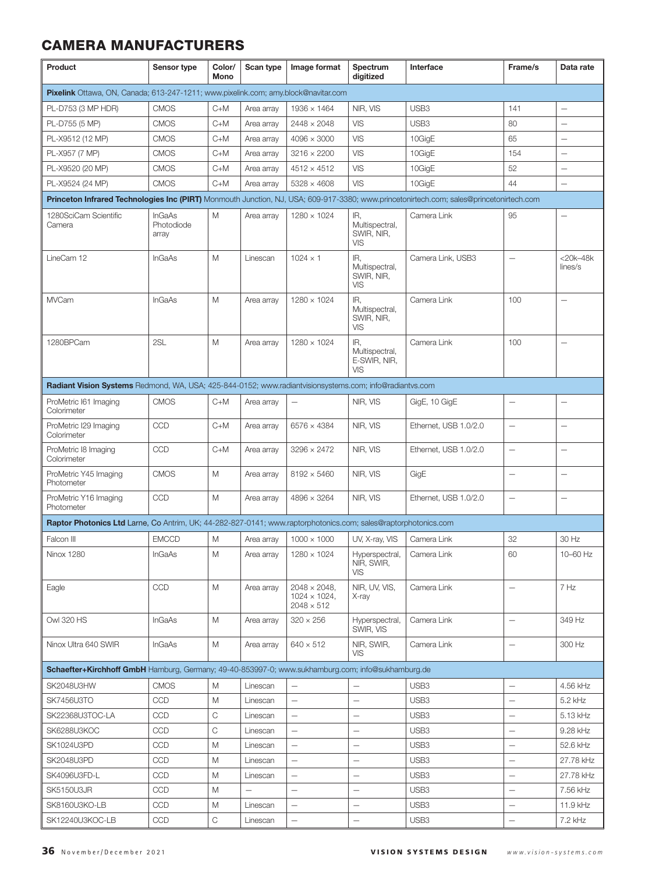| Product                                                                                                                                 | Sensor type                          | Color/<br>Mono | Scan type         | Image format                                                      | Spectrum<br>digitized                        | Interface             | Frame/s                  | Data rate                |
|-----------------------------------------------------------------------------------------------------------------------------------------|--------------------------------------|----------------|-------------------|-------------------------------------------------------------------|----------------------------------------------|-----------------------|--------------------------|--------------------------|
| Pixelink Ottawa, ON, Canada; 613-247-1211; www.pixelink.com; amy.block@navitar.com                                                      |                                      |                |                   |                                                                   |                                              |                       |                          |                          |
| PL-D753 (3 MP HDR)                                                                                                                      | <b>CMOS</b>                          | $C+M$          | Area array        | $1936 \times 1464$                                                | NIR, VIS                                     | USB <sub>3</sub>      | 141                      | $\equiv$                 |
| PL-D755 (5 MP)                                                                                                                          | <b>CMOS</b>                          | $C+M$          | Area array        | $2448 \times 2048$                                                | VIS                                          | USB <sub>3</sub>      | 80                       |                          |
| PL-X9512 (12 MP)                                                                                                                        | <b>CMOS</b>                          | $C+M$          | Area array        | $4096 \times 3000$                                                | <b>VIS</b>                                   | 10GigE                | 65                       |                          |
| PL-X957 (7 MP)                                                                                                                          | <b>CMOS</b>                          | $C+M$          | Area array        | $3216 \times 2200$                                                | VIS                                          | 10GigE                | 154                      | $\equiv$                 |
| PL-X9520 (20 MP)                                                                                                                        | <b>CMOS</b>                          | $C+M$          | Area array        | $4512 \times 4512$                                                | VIS                                          | 10GigE                | 52                       |                          |
| PL-X9524 (24 MP)                                                                                                                        | <b>CMOS</b>                          | $C+M$          | Area array        | $5328 \times 4608$                                                | VIS                                          | 10GigE                | 44                       | $\overline{\phantom{0}}$ |
| Princeton Infrared Technologies Inc (PIRT) Monmouth Junction, NJ, USA; 609-917-3380; www.princetonirtech.com; sales@princetonirtech.com |                                      |                |                   |                                                                   |                                              |                       |                          |                          |
| 1280SciCam Scientific<br>Camera                                                                                                         | <b>InGaAs</b><br>Photodiode<br>array | M              | Area array        | $1280 \times 1024$                                                | IR,<br>Multispectral,<br>SWIR, NIR,<br>VIS   | Camera Link           | 95                       | $\overline{\phantom{0}}$ |
| LineCam 12                                                                                                                              | <b>InGaAs</b>                        | M              | Linescan          | $1024 \times 1$                                                   | IR.<br>Multispectral,<br>SWIR, NIR,<br>VIS   | Camera Link, USB3     | $\overline{\phantom{0}}$ | $<$ 20k-48k<br>lines/s   |
| <b>MVCam</b>                                                                                                                            | <b>InGaAs</b>                        | M              | Area array        | $1280 \times 1024$                                                | IR,<br>Multispectral,<br>SWIR, NIR,<br>VIS   | Camera Link           | 100                      | $\overline{\phantom{0}}$ |
| 1280BPCam                                                                                                                               | 2SL                                  | M              | Area array        | $1280 \times 1024$                                                | IR,<br>Multispectral,<br>E-SWIR, NIR,<br>VIS | Camera Link           | 100                      | $\equiv$                 |
| Radiant Vision Systems Redmond, WA, USA; 425-844-0152; www.radiantvisionsystems.com; info@radiantvs.com                                 |                                      |                |                   |                                                                   |                                              |                       |                          |                          |
| ProMetric I61 Imaging<br>Colorimeter                                                                                                    | <b>CMOS</b>                          | $C+M$          | Area array        | $\overline{\phantom{m}}$                                          | NIR, VIS                                     | GigE, 10 GigE         | $\overline{\phantom{0}}$ |                          |
| ProMetric I29 Imaging<br>Colorimeter                                                                                                    | CCD                                  | $C+M$          | Area array        | $6576 \times 4384$                                                | NIR, VIS                                     | Ethernet, USB 1.0/2.0 | $\overline{\phantom{0}}$ | $\overline{\phantom{0}}$ |
| ProMetric I8 Imaging<br>Colorimeter                                                                                                     | CCD                                  | $C+M$          | Area array        | $3296 \times 2472$                                                | NIR, VIS                                     | Ethernet, USB 1.0/2.0 | $\overline{\phantom{0}}$ | $\overline{\phantom{0}}$ |
| ProMetric Y45 Imaging<br>Photometer                                                                                                     | <b>CMOS</b>                          | M              | Area array        | $8192 \times 5460$                                                | NIR, VIS                                     | GigE                  | Ē,                       | $\overline{\phantom{0}}$ |
| ProMetric Y16 Imaging<br>Photometer                                                                                                     | <b>CCD</b>                           | M              | Area array        | $4896 \times 3264$                                                | NIR, VIS                                     | Ethernet, USB 1.0/2.0 | Ē,                       | $\overline{\phantom{0}}$ |
| Raptor Photonics Ltd Larne, Co Antrim, UK; 44-282-827-0141; www.raptorphotonics.com; sales@raptorphotonics.com                          |                                      |                |                   |                                                                   |                                              |                       |                          |                          |
| Falcon III                                                                                                                              | <b>EMCCD</b>                         | M              | Area array        | $1000 \times 1000$                                                | UV, X-ray, VIS                               | Camera Link           | 32                       | 30 Hz                    |
| <b>Ninox 1280</b>                                                                                                                       | <b>InGaAs</b>                        | M              | Area array        | $1280 \times 1024$                                                | Hyperspectral,<br>NIR, SWIR,<br>VIS          | Camera Link           | 60                       | 10-60 Hz                 |
| Eagle                                                                                                                                   | <b>CCD</b>                           | M              | Area array        | $2048 \times 2048$ ,<br>$1024 \times 1024$ ,<br>$2048 \times 512$ | NIR, UV, VIS,<br>X-ray                       | Camera Link           | $\overline{\phantom{0}}$ | 7 Hz                     |
| Owl 320 HS                                                                                                                              | <b>InGaAs</b>                        | M              | Area array        | $320 \times 256$                                                  | Hyperspectral,<br>SWIR, VIS                  | Camera Link           | $\overline{\phantom{0}}$ | 349 Hz                   |
| Ninox Ultra 640 SWIR                                                                                                                    | <b>InGaAs</b>                        | M              | Area array        | $640 \times 512$                                                  | NIR, SWIR,<br><b>VIS</b>                     | Camera Link           | $\overline{\phantom{0}}$ | 300 Hz                   |
| Schaefter+Kirchhoff GmbH Hamburg, Germany; 49-40-853997-0; www.sukhamburg.com; info@sukhamburg.de                                       |                                      |                |                   |                                                                   |                                              |                       |                          |                          |
| SK2048U3HW                                                                                                                              | <b>CMOS</b>                          | M              | Linescan          | $\qquad \qquad -$                                                 |                                              | USB <sub>3</sub>      | —                        | 4.56 kHz                 |
| <b>SK7456U3TO</b>                                                                                                                       | CCD                                  | M              | Linescan          | $\overline{\phantom{0}}$                                          | $\qquad \qquad -$                            | USB <sub>3</sub>      | $\qquad \qquad -$        | 5.2 kHz                  |
| SK22368U3TOC-LA                                                                                                                         | CCD                                  | C              | Linescan          | $\overline{\phantom{0}}$                                          | $\equiv$                                     | USB <sub>3</sub>      | $\overline{\phantom{0}}$ | 5.13 kHz                 |
| SK6288U3KOC                                                                                                                             | CCD                                  | C              | Linescan          | $\qquad \qquad -$                                                 | $\overline{\phantom{0}}$                     | USB <sub>3</sub>      | $\overline{\phantom{0}}$ | 9.28 kHz                 |
| SK1024U3PD                                                                                                                              | CCD                                  | M              | Linescan          | $\overline{\phantom{0}}$                                          | $\overline{\phantom{0}}$                     | USB3                  | $\overline{\phantom{0}}$ | 52.6 kHz                 |
| SK2048U3PD                                                                                                                              | <b>CCD</b>                           | M              | Linescan          | $\overline{\phantom{0}}$                                          | $\overline{\phantom{0}}$                     | USB3                  | $\overline{\phantom{0}}$ | 27.78 kHz                |
| SK4096U3FD-L                                                                                                                            | CCD                                  | M              | Linescan          | $\qquad \qquad -$                                                 | $\qquad \qquad -$                            | USB <sub>3</sub>      | $\overline{\phantom{0}}$ | 27.78 kHz                |
| SK5150U3JR                                                                                                                              | CCD                                  | M              | $\qquad \qquad -$ | $\qquad \qquad -$                                                 | $\qquad \qquad -$                            | USB <sub>3</sub>      | $\overline{\phantom{0}}$ | 7.56 kHz                 |
| SK8160U3KO-LB                                                                                                                           | <b>CCD</b>                           | M              | Linescan          | $\qquad \qquad -$                                                 | $\overline{\phantom{0}}$                     | USB3                  | $\overline{\phantom{0}}$ | 11.9 kHz                 |
| SK12240U3KOC-LB                                                                                                                         | CCD                                  | $\mathsf C$    | Linescan          |                                                                   | —                                            | USB <sub>3</sub>      | -                        | 7.2 kHz                  |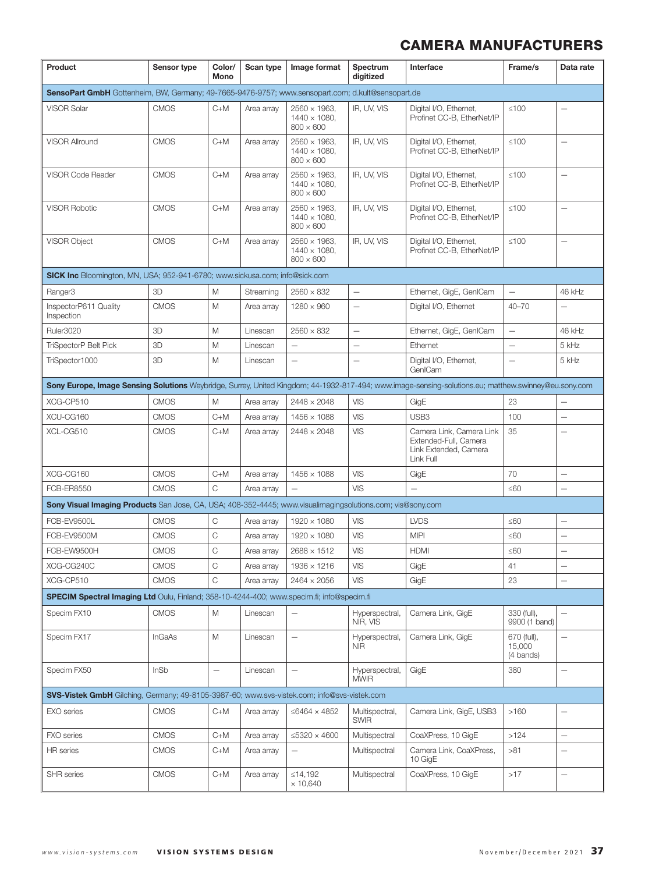| Product                                                                                                                                              | Sensor type   | Color/<br>Mono    | Scan type  | Image format                                                     | Spectrum<br>digitized         | Interface                                                                               | Frame/s                            | Data rate                |
|------------------------------------------------------------------------------------------------------------------------------------------------------|---------------|-------------------|------------|------------------------------------------------------------------|-------------------------------|-----------------------------------------------------------------------------------------|------------------------------------|--------------------------|
| SensoPart GmbH Gottenheim, BW, Germany; 49-7665-9476-9757; www.sensopart.com; d.kult@sensopart.de                                                    |               |                   |            |                                                                  |                               |                                                                                         |                                    |                          |
| <b>VISOR Solar</b>                                                                                                                                   | <b>CMOS</b>   | $C+M$             | Area array | $2560 \times 1963$ ,<br>$1440 \times 1080$ ,<br>$800 \times 600$ | IR, UV, VIS                   | Digital I/O, Ethernet,<br>Profinet CC-B, EtherNet/IP                                    | $≤100$                             |                          |
| <b>VISOR Allround</b>                                                                                                                                | <b>CMOS</b>   | $C+M$             | Area array | $2560 \times 1963$ ,<br>$1440 \times 1080$ ,<br>$800 \times 600$ | IR, UV, VIS                   | Digital I/O, Ethernet,<br>Profinet CC-B, EtherNet/IP                                    | $≤100$                             | $\overline{\phantom{0}}$ |
| VISOR Code Reader                                                                                                                                    | <b>CMOS</b>   | $C+M$             | Area array | $2560 \times 1963$ ,<br>$1440 \times 1080$ ,<br>$800 \times 600$ | IR, UV, VIS                   | Digital I/O, Ethernet,<br>Profinet CC-B. EtherNet/IP                                    | $≤100$                             |                          |
| <b>VISOR Robotic</b>                                                                                                                                 | <b>CMOS</b>   | $C+M$             | Area array | $2560 \times 1963$ ,<br>$1440 \times 1080$ ,<br>$800 \times 600$ | IR, UV, VIS                   | Digital I/O, Ethernet,<br>Profinet CC-B. EtherNet/IP                                    | $≤100$                             |                          |
| <b>VISOR Object</b>                                                                                                                                  | <b>CMOS</b>   | $C+M$             | Area array | $2560 \times 1963$ ,<br>$1440 \times 1080$ ,<br>$800 \times 600$ | IR, UV, VIS                   | Digital I/O, Ethernet,<br>Profinet CC-B, EtherNet/IP                                    | $≤100$                             |                          |
| <b>SICK Inc</b> Bloomington, MN, USA; 952-941-6780; www.sickusa.com; info@sick.com                                                                   |               |                   |            |                                                                  |                               |                                                                                         |                                    |                          |
| Ranger3                                                                                                                                              | 3D            | M                 | Streaming  | $2560 \times 832$                                                | $\overline{\phantom{0}}$      | Ethernet, GigE, GenlCam                                                                 |                                    | 46 kHz                   |
| InspectorP611 Quality<br>Inspection                                                                                                                  | <b>CMOS</b>   | M                 | Area array | $1280 \times 960$                                                |                               | Digital I/O, Ethernet                                                                   | $40 - 70$                          |                          |
| Ruler3020                                                                                                                                            | 3D            | M                 | Linescan   | $2560 \times 832$                                                | -                             | Ethernet, GigE, GenlCam                                                                 | $\overline{\phantom{0}}$           | 46 kHz                   |
| TriSpectorP Belt Pick                                                                                                                                | 3D            | Μ                 | Linescan   | $\overline{\phantom{0}}$                                         | $\overline{\phantom{0}}$      | Ethernet                                                                                | $\overline{\phantom{0}}$           | 5 kHz                    |
| TriSpector1000                                                                                                                                       | 3D            | M                 | Linescan   | $\overline{\phantom{0}}$                                         | $\overline{\phantom{0}}$      | Digital I/O, Ethernet,<br>GenICam                                                       | $\overline{\phantom{0}}$           | 5 kHz                    |
| Sony Europe, Image Sensing Solutions Weybridge, Surrey, United Kingdom; 44-1932-817-494; www.image-sensing-solutions.eu; matthew.swinney@eu.sony.com |               |                   |            |                                                                  |                               |                                                                                         |                                    |                          |
| XCG-CP510                                                                                                                                            | <b>CMOS</b>   | M                 | Area array | $2448 \times 2048$                                               | <b>VIS</b>                    | GigE                                                                                    | 23                                 |                          |
| XCU-CG160                                                                                                                                            | <b>CMOS</b>   | $C+M$             | Area array | $1456 \times 1088$                                               | <b>VIS</b>                    | USB <sub>3</sub>                                                                        | 100                                | $\overline{\phantom{0}}$ |
| XCL-CG510                                                                                                                                            | <b>CMOS</b>   | $C+M$             | Area array | $2448 \times 2048$                                               | <b>VIS</b>                    | Camera Link, Camera Link<br>Extended-Full, Camera<br>Link Extended, Camera<br>Link Full | 35                                 |                          |
| XCG-CG160                                                                                                                                            | <b>CMOS</b>   | $C+M$             | Area array | 1456 × 1088                                                      | <b>VIS</b>                    | GigE                                                                                    | 70                                 | $\overline{\phantom{0}}$ |
| <b>FCB-ER8550</b>                                                                                                                                    | <b>CMOS</b>   | C                 | Area array |                                                                  | <b>VIS</b>                    | $\overline{\phantom{0}}$                                                                | $\leq 60$                          | $\overline{\phantom{0}}$ |
| Sony Visual Imaging Products San Jose, CA, USA; 408-352-4445; www.visualimagingsolutions.com; vis@sony.com                                           |               |                   |            |                                                                  |                               |                                                                                         |                                    |                          |
| FCB-EV9500L                                                                                                                                          | <b>CMOS</b>   | C                 | Area array | 1920 × 1080                                                      | <b>VIS</b>                    | <b>LVDS</b>                                                                             | $\leq 60$                          | —                        |
| FCB-EV9500M                                                                                                                                          | <b>CMOS</b>   | C                 | Area array | 1920 × 1080                                                      | <b>VIS</b>                    | <b>MIPI</b>                                                                             | $≤60$                              |                          |
| FCB-EW9500H                                                                                                                                          | <b>CMOS</b>   | C                 | Area array | $2688 \times 1512$                                               | <b>VIS</b>                    | <b>HDMI</b>                                                                             | $≤60$                              |                          |
| XCG-CG240C                                                                                                                                           | <b>CMOS</b>   | C                 | Area arrav | $1936 \times 1216$                                               | <b>VIS</b>                    | GigE                                                                                    | 41                                 | —                        |
| XCG-CP510                                                                                                                                            | <b>CMOS</b>   | C                 | Area array | $2464 \times 2056$                                               | VIS                           | GigE                                                                                    | 23                                 | $\qquad \qquad -$        |
| <b>SPECIM Spectral Imaging Ltd</b> Oulu, Finland; 358-10-4244-400; www.specim.fi; info@specim.fi                                                     |               |                   |            |                                                                  |                               |                                                                                         |                                    |                          |
| Specim FX10                                                                                                                                          | <b>CMOS</b>   | M                 | Linescan   |                                                                  | Hyperspectral,<br>NIR, VIS    | Camera Link, GigE                                                                       | 330 (full),<br>9900 (1 band)       | $\overline{\phantom{0}}$ |
| Specim FX17                                                                                                                                          | <b>InGaAs</b> | Μ                 | Linescan   | $\overline{\phantom{0}}$                                         | Hyperspectral,<br><b>NIR</b>  | Camera Link, GigE                                                                       | 670 (full),<br>15,000<br>(4 bands) | $\overline{\phantom{0}}$ |
| Specim FX50                                                                                                                                          | InSb          | $\qquad \qquad -$ | Linescan   | $\qquad \qquad -$                                                | Hyperspectral,<br><b>MWIR</b> | GigE                                                                                    | 380                                | $\qquad \qquad -$        |
| SVS-Vistek GmbH Gilching, Germany; 49-8105-3987-60; www.svs-vistek.com; info@svs-vistek.com                                                          |               |                   |            |                                                                  |                               |                                                                                         |                                    |                          |
| <b>EXO</b> series                                                                                                                                    | <b>CMOS</b>   | $C+M$             | Area array | ≤6464 $\times$ 4852                                              | Multispectral,<br><b>SWIR</b> | Camera Link, GigE, USB3                                                                 | >160                               | $\qquad \qquad -$        |
| <b>FXO</b> series                                                                                                                                    | <b>CMOS</b>   | $C+M$             | Area array | ≤5320 $\times$ 4600                                              | Multispectral                 | CoaXPress, 10 GigE                                                                      | >124                               | $\qquad \qquad -$        |
| <b>HR</b> series                                                                                                                                     | <b>CMOS</b>   | $C+M$             | Area array |                                                                  | Multispectral                 | Camera Link, CoaXPress,<br>10 GigE                                                      | >81                                | $\overline{\phantom{0}}$ |
| <b>SHR</b> series                                                                                                                                    | <b>CMOS</b>   | C+M               | Area array | ≤14,192<br>× 10,640                                              | Multispectral                 | CoaXPress, 10 GigE                                                                      | >17                                | $\overline{\phantom{m}}$ |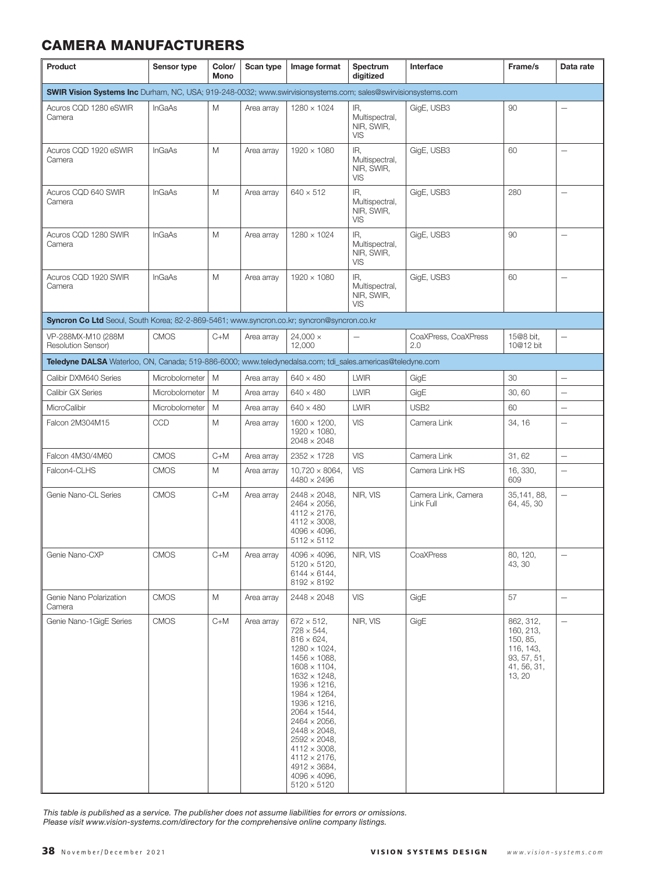| Product                                                                                                       | Sensor type    | Color/<br>Mono | Scan type  | Image format                                                                                                                                                                                                                                                                                                                                                                                                                                                 | Spectrum<br>digitized                             | Interface                        | Frame/s                                                                                | Data rate                |
|---------------------------------------------------------------------------------------------------------------|----------------|----------------|------------|--------------------------------------------------------------------------------------------------------------------------------------------------------------------------------------------------------------------------------------------------------------------------------------------------------------------------------------------------------------------------------------------------------------------------------------------------------------|---------------------------------------------------|----------------------------------|----------------------------------------------------------------------------------------|--------------------------|
| SWIR Vision Systems Inc Durham, NC, USA; 919-248-0032; www.swirvisionsystems.com; sales@swirvisionsystems.com |                |                |            |                                                                                                                                                                                                                                                                                                                                                                                                                                                              |                                                   |                                  |                                                                                        |                          |
| Acuros CQD 1280 eSWIR<br>Camera                                                                               | <b>InGaAs</b>  | M              | Area array | $1280 \times 1024$                                                                                                                                                                                                                                                                                                                                                                                                                                           | IR.<br>Multispectral,<br>NIR, SWIR,<br><b>VIS</b> | GigE, USB3                       | 90                                                                                     | $\overline{\phantom{0}}$ |
| Acuros CQD 1920 eSWIR<br>Camera                                                                               | <b>InGaAs</b>  | M              | Area array | 1920 × 1080                                                                                                                                                                                                                                                                                                                                                                                                                                                  | IR,<br>Multispectral,<br>NIR, SWIR,<br><b>VIS</b> | GigE, USB3                       | 60                                                                                     | $\qquad \qquad -$        |
| Acuros CQD 640 SWIR<br>Camera                                                                                 | <b>InGaAs</b>  | Μ              | Area array | $640 \times 512$                                                                                                                                                                                                                                                                                                                                                                                                                                             | IR,<br>Multispectral,<br>NIR, SWIR,<br><b>VIS</b> | GigE, USB3                       | 280                                                                                    | $\overline{\phantom{0}}$ |
| Acuros CQD 1280 SWIR<br>Camera                                                                                | <b>InGaAs</b>  | M              | Area array | $1280 \times 1024$                                                                                                                                                                                                                                                                                                                                                                                                                                           | IR,<br>Multispectral,<br>NIR, SWIR,<br><b>VIS</b> | GigE, USB3                       | 90                                                                                     | $\overline{\phantom{0}}$ |
| Acuros CQD 1920 SWIR<br>Camera                                                                                | <b>InGaAs</b>  | Μ              | Area array | 1920 × 1080                                                                                                                                                                                                                                                                                                                                                                                                                                                  | IR,<br>Multispectral,<br>NIR, SWIR,<br><b>VIS</b> | GigE, USB3                       | 60                                                                                     | $\overline{\phantom{0}}$ |
| Syncron Co Ltd Seoul, South Korea; 82-2-869-5461; www.syncron.co.kr; syncron@syncron.co.kr                    |                |                |            |                                                                                                                                                                                                                                                                                                                                                                                                                                                              |                                                   |                                  |                                                                                        |                          |
| VP-288MX-M10 (288M<br>Resolution Sensor)                                                                      | <b>CMOS</b>    | $C+M$          | Area array | $24,000 \times$<br>12,000                                                                                                                                                                                                                                                                                                                                                                                                                                    |                                                   | CoaXPress, CoaXPress<br>2.0      | 15@8 bit.<br>10@12 bit                                                                 | $\overline{\phantom{0}}$ |
| Teledyne DALSA Waterloo, ON, Canada; 519-886-6000; www.teledynedalsa.com; tdi_sales.americas@teledyne.com     |                |                |            |                                                                                                                                                                                                                                                                                                                                                                                                                                                              |                                                   |                                  |                                                                                        |                          |
| Calibir DXM640 Series                                                                                         | Microbolometer | M              | Area array | $640 \times 480$                                                                                                                                                                                                                                                                                                                                                                                                                                             | <b>LWIR</b>                                       | GigE                             | 30                                                                                     | Ē,                       |
| Calibir GX Series                                                                                             | Microbolometer | M              | Area array | $640 \times 480$                                                                                                                                                                                                                                                                                                                                                                                                                                             | <b>LWIR</b>                                       | GigE                             | 30,60                                                                                  |                          |
| MicroCalibir                                                                                                  | Microbolometer | M              | Area array | $640 \times 480$                                                                                                                                                                                                                                                                                                                                                                                                                                             | <b>LWIR</b>                                       | USB <sub>2</sub>                 | 60                                                                                     | $\overline{\phantom{0}}$ |
| Falcon 2M304M15                                                                                               | CCD            | Μ              | Area array | $1600 \times 1200$ ,<br>$1920 \times 1080$ ,<br>$2048 \times 2048$                                                                                                                                                                                                                                                                                                                                                                                           | <b>VIS</b>                                        | Camera Link                      | 34, 16                                                                                 | $\overline{\phantom{0}}$ |
| Falcon 4M30/4M60                                                                                              | <b>CMOS</b>    | $C+M$          | Area array | $2352 \times 1728$                                                                                                                                                                                                                                                                                                                                                                                                                                           | <b>VIS</b>                                        | Camera Link                      | 31,62                                                                                  | $\overline{\phantom{0}}$ |
| Falcon4-CLHS                                                                                                  | <b>CMOS</b>    | M              | Area array | $10,720 \times 8064,$<br>$4480 \times 2496$                                                                                                                                                                                                                                                                                                                                                                                                                  | <b>VIS</b>                                        | Camera Link HS                   | 16, 330,<br>609                                                                        | $\overline{\phantom{0}}$ |
| Genie Nano-CL Series                                                                                          | <b>CMOS</b>    | $C+M$          | Area array | $2448 \times 2048$ ,<br>$2464 \times 2056$ ,<br>$4112 \times 2176$ ,<br>$4112 \times 3008$ ,<br>$4096 \times 4096$ ,<br>$5112 \times 5112$                                                                                                                                                                                                                                                                                                                   | NIR, VIS                                          | Camera Link, Camera<br>Link Full | 35,141, 88,<br>64, 45, 30                                                              | $\equiv$                 |
| Genie Nano-CXP                                                                                                | <b>CMOS</b>    | $C+M$          | Area arrav | $4096 \times 4096$ ,<br>$5120 \times 5120$ .<br>$6144 \times 6144$ ,<br>$8192 \times 8192$                                                                                                                                                                                                                                                                                                                                                                   | NIR, VIS                                          | CoaXPress                        | 80, 120,<br>43, 30                                                                     | $\overline{\phantom{0}}$ |
| Genie Nano Polarization<br>Camera                                                                             | <b>CMOS</b>    | Μ              | Area array | $2448 \times 2048$                                                                                                                                                                                                                                                                                                                                                                                                                                           | <b>VIS</b>                                        | GigE                             | 57                                                                                     | $\overline{\phantom{0}}$ |
| Genie Nano-1GigE Series                                                                                       | <b>CMOS</b>    | $C+M$          | Area array | $672 \times 512$ ,<br>$728 \times 544$ ,<br>$816 \times 624$ ,<br>$1280 \times 1024$ ,<br>$1456 \times 1088$ .<br>$1608 \times 1104$ ,<br>$1632 \times 1248$ ,<br>$1936 \times 1216$ ,<br>$1984 \times 1264$ ,<br>$1936 \times 1216$ .<br>$2064 \times 1544$ ,<br>$2464 \times 2056$ .<br>$2448 \times 2048$ ,<br>$2592 \times 2048$ ,<br>$4112 \times 3008$ ,<br>$4112 \times 2176$ ,<br>$4912 \times 3684$ ,<br>$4096 \times 4096$ ,<br>$5120 \times 5120$ | NIR, VIS                                          | GigE                             | 862, 312,<br>160, 213,<br>150, 85,<br>116, 143,<br>93, 57, 51,<br>41, 56, 31,<br>13.20 | $\overline{\phantom{0}}$ |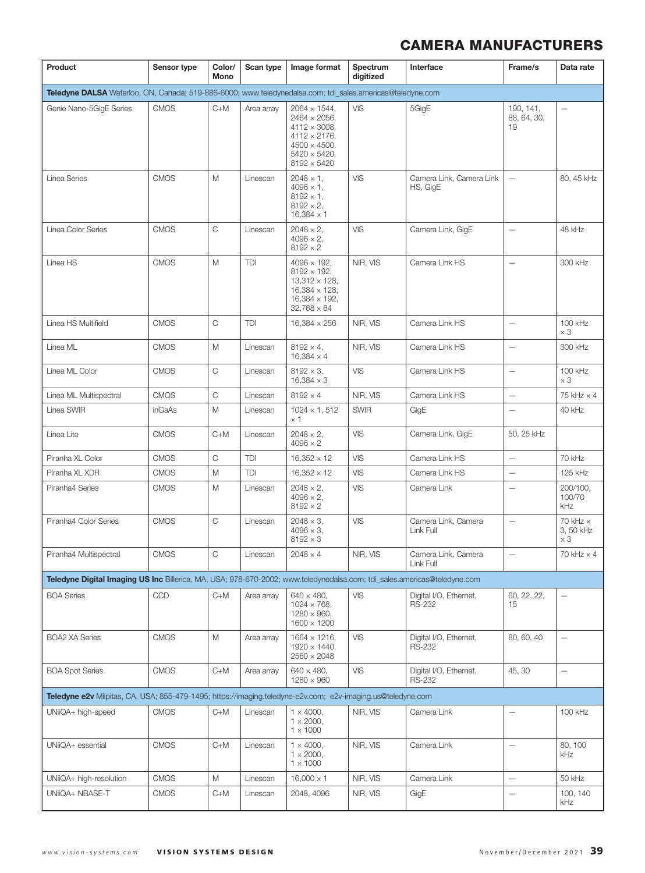| Product                                                                                                                  | Sensor type | Color/<br>Mono | Scan type  | Image format                                                                                                                                                       | Spectrum<br>digitized | Interface                               | Frame/s                          | Data rate                                  |
|--------------------------------------------------------------------------------------------------------------------------|-------------|----------------|------------|--------------------------------------------------------------------------------------------------------------------------------------------------------------------|-----------------------|-----------------------------------------|----------------------------------|--------------------------------------------|
| Teledyne DALSA Waterloo, ON, Canada; 519-886-6000; www.teledynedalsa.com; tdi_sales.americas@teledyne.com                |             |                |            |                                                                                                                                                                    |                       |                                         |                                  |                                            |
| Genie Nano-5GigE Series                                                                                                  | <b>CMOS</b> | C+M            | Area array | $2064 \times 1544$ ,<br>$2464 \times 2056$ ,<br>$4112 \times 3008$ ,<br>$4112 \times 2176$ ,<br>$4500 \times 4500$ ,<br>$5420 \times 5420$ ,<br>$8192 \times 5420$ | <b>VIS</b>            | 5GigE                                   | 190, 141,<br>88, 64, 30,<br>19   | $\overline{\phantom{0}}$                   |
| Linea Series                                                                                                             | <b>CMOS</b> | M              | Linescan   | $2048 \times 1$ ,<br>$4096 \times 1$ ,<br>$8192 \times 1$ ,<br>$8192 \times 2$ ,<br>$16,384 \times 1$                                                              | VIS                   | Camera Link, Camera Link<br>HS, GigE    | $\overline{\phantom{m}}$         | 80, 45 kHz                                 |
| Linea Color Series                                                                                                       | <b>CMOS</b> | $\mathsf{C}$   | Linescan   | $2048 \times 2$ ,<br>$4096 \times 2$ ,<br>$8192 \times 2$                                                                                                          | VIS                   | Camera Link, GigE                       | $\overbrace{\phantom{12322111}}$ | 48 kHz                                     |
| Linea HS                                                                                                                 | <b>CMOS</b> | M              | <b>TDI</b> | $4096 \times 192$ ,<br>$8192 \times 192$ ,<br>$13,312 \times 128$ ,<br>$16.384 \times 128$ .<br>$16,384 \times 192,$<br>$32.768 \times 64$                         | NIR, VIS              | Camera Link HS                          | $\overline{\phantom{m}}$         | 300 kHz                                    |
| Linea HS Multifield                                                                                                      | <b>CMOS</b> | $\mathsf C$    | TDI        | $16,384 \times 256$                                                                                                                                                | NIR, VIS              | Camera Link HS                          | $\overline{\phantom{m}}$         | 100 kHz<br>$\times 3$                      |
| Linea ML                                                                                                                 | <b>CMOS</b> | M              | Linescan   | $8192 \times 4$ ,<br>$16,384 \times 4$                                                                                                                             | NIR. VIS              | Camera Link HS                          | $\overline{\phantom{0}}$         | 300 kHz                                    |
| Linea ML Color                                                                                                           | <b>CMOS</b> | C              | Linescan   | $8192 \times 3$ ,<br>$16.384 \times 3$                                                                                                                             | <b>VIS</b>            | Camera Link HS                          | $\overline{\phantom{0}}$         | 100 kHz<br>$\times 3$                      |
| Linea ML Multispectral                                                                                                   | <b>CMOS</b> | $\mathsf C$    | Linescan   | $8192 \times 4$                                                                                                                                                    | NIR, VIS              | Camera Link HS                          | $\overline{\phantom{0}}$         | 75 kHz $\times$ 4                          |
| Linea SWIR                                                                                                               | inGaAs      | M              | Linescan   | $1024 \times 1,512$<br>$\times$ 1                                                                                                                                  | <b>SWIR</b>           | GigE                                    |                                  | 40 kHz                                     |
| Linea Lite                                                                                                               | <b>CMOS</b> | $C+M$          | Linescan   | $2048 \times 2$ ,<br>$4096 \times 2$                                                                                                                               | VIS                   | Camera Link, GigE                       | 50, 25 kHz                       |                                            |
| Piranha XL Color                                                                                                         | <b>CMOS</b> | $\mathsf C$    | TDI        | $16,352 \times 12$                                                                                                                                                 | VIS                   | Camera Link HS                          | $\qquad \qquad -$                | 70 kHz                                     |
| Piranha XL XDR                                                                                                           | <b>CMOS</b> | M              | TDI        | $16,352 \times 12$                                                                                                                                                 | VIS                   | Camera Link HS                          | $\overbrace{\phantom{12322111}}$ | 125 kHz                                    |
| Piranha4 Series                                                                                                          | <b>CMOS</b> | M              | Linescan   | $2048 \times 2$ ,<br>$4096 \times 2$ ,<br>$8192 \times 2$                                                                                                          | VIS                   | Camera Link                             | $\overbrace{\phantom{12322111}}$ | 200/100,<br>100/70<br>kHz                  |
| Piranha4 Color Series                                                                                                    | <b>CMOS</b> | C              | Linescan   | $2048 \times 3$ ,<br>$4096 \times 3$ ,<br>$8192 \times 3$                                                                                                          | <b>VIS</b>            | Camera Link, Camera<br>Link Full        | $\overbrace{\phantom{1232211}}$  | 70 kHz $\times$<br>3, 50 kHz<br>$\times 3$ |
| Piranha4 Multispectral                                                                                                   | <b>CMOS</b> | C              | Linescan   | $2048 \times 4$                                                                                                                                                    | NIR, VIS              | Camera Link, Camera<br>Link Full        | $\qquad \qquad -$                | $70$ kHz $\times$ 4                        |
| Teledyne Digital Imaging US Inc Billerica, MA, USA; 978-670-2002; www.teledynedalsa.com; tdi_sales.americas@teledyne.com |             |                |            |                                                                                                                                                                    |                       |                                         |                                  |                                            |
| <b>BOA Series</b>                                                                                                        | <b>CCD</b>  | $C+M$          | Area array | $640 \times 480$ ,<br>$1024 \times 768$ ,<br>$1280 \times 960$ ,<br>$1600 \times 1200$                                                                             | <b>VIS</b>            | Digital I/O, Ethernet,<br><b>RS-232</b> | 60, 22, 22,<br>15                | $\overline{\phantom{0}}$                   |
| <b>BOA2 XA Series</b>                                                                                                    | <b>CMOS</b> | M              | Area array | $1664 \times 1216$ ,<br>$1920 \times 1440$ ,<br>$2560 \times 2048$                                                                                                 | <b>VIS</b>            | Digital I/O, Ethernet,<br><b>RS-232</b> | 80, 60, 40                       | $\overline{\phantom{0}}$                   |
| <b>BOA Spot Series</b>                                                                                                   | <b>CMOS</b> | $C+M$          | Area array | $640 \times 480,$<br>$1280 \times 960$                                                                                                                             | <b>VIS</b>            | Digital I/O, Ethernet,<br><b>RS-232</b> | 45, 30                           | $\qquad \qquad -$                          |
| Teledyne e2v Milpitas, CA, USA; 855-479-1495; https://imaging.teledyne-e2v.com; e2v-imaging.us@teledyne.com              |             |                |            |                                                                                                                                                                    |                       |                                         |                                  |                                            |
| UNiiQA+ high-speed                                                                                                       | <b>CMOS</b> | $C+M$          | Linescan   | $1 \times 4000,$<br>$1 \times 2000,$<br>$1 \times 1000$                                                                                                            | NIR, VIS              | Camera Link                             | $\overbrace{\phantom{12322111}}$ | 100 kHz                                    |
| UNiiQA+ essential                                                                                                        | <b>CMOS</b> | $C+M$          | Linescan   | $1 \times 4000$ ,<br>$1 \times 2000,$<br>$1 \times 1000$                                                                                                           | NIR, VIS              | Camera Link                             | $\qquad \qquad -$                | 80, 100<br>kHz                             |
| UNiiQA+ high-resolution                                                                                                  | <b>CMOS</b> | М              | Linescan   | $16,000 \times 1$                                                                                                                                                  | NIR, VIS              | Camera Link                             | $\overline{\phantom{0}}$         | 50 kHz                                     |
| UNiiQA+ NBASE-T                                                                                                          | <b>CMOS</b> | $C+M$          | Linescan   | 2048, 4096                                                                                                                                                         | NIR, VIS              | GigE                                    | $\overbrace{\phantom{1232211}}$  | 100, 140<br>kHz                            |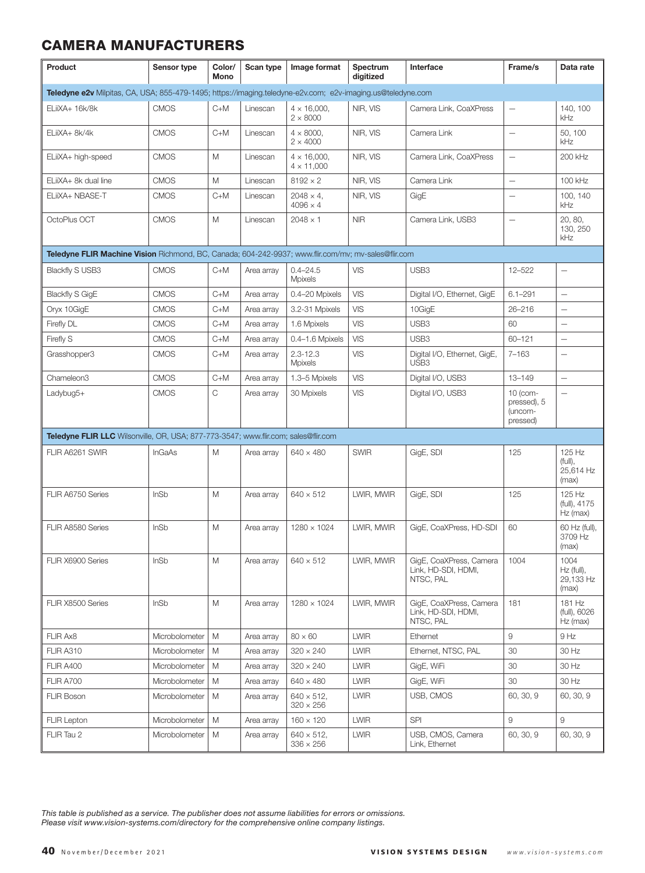| Product                                                                                                     | Sensor type    | Color/<br>Mono | Scan type  | Image format                             | Spectrum<br>digitized | Interface                                                   | Frame/s                                        | Data rate                                |
|-------------------------------------------------------------------------------------------------------------|----------------|----------------|------------|------------------------------------------|-----------------------|-------------------------------------------------------------|------------------------------------------------|------------------------------------------|
| Teledyne e2v Milpitas, CA, USA; 855-479-1495; https://imaging.teledyne-e2v.com; e2v-imaging.us@teledyne.com |                |                |            |                                          |                       |                                                             |                                                |                                          |
| ELiiXA+ 16k/8k                                                                                              | <b>CMOS</b>    | $C+M$          | Linescan   | $4 \times 16,000$ ,<br>$2 \times 8000$   | NIR, VIS              | Camera Link, CoaXPress                                      | $\overline{\phantom{0}}$                       | 140, 100<br>kHz                          |
| ELiiXA+ 8k/4k                                                                                               | <b>CMOS</b>    | $C+M$          | Linescan   | $4 \times 8000$ ,<br>$2 \times 4000$     | NIR. VIS              | Camera Link                                                 | $\overline{\phantom{0}}$                       | 50, 100<br>kHz                           |
| ELiiXA+ high-speed                                                                                          | <b>CMOS</b>    | Μ              | Linescan   | $4 \times 16,000$ ,<br>$4 \times 11,000$ | NIR, VIS              | Camera Link, CoaXPress                                      | $\qquad \qquad -$                              | 200 kHz                                  |
| ELiiXA+ 8k dual line                                                                                        | <b>CMOS</b>    | M              | Linescan   | $8192 \times 2$                          | NIR, VIS              | Camera Link                                                 | $\qquad \qquad -$                              | 100 kHz                                  |
| ELiiXA+ NBASE-T                                                                                             | <b>CMOS</b>    | $C+M$          | Linescan   | $2048 \times 4$ .<br>$4096 \times 4$     | NIR, VIS              | GigE                                                        | $\overline{\phantom{0}}$                       | 100.140<br>kHz                           |
| OctoPlus OCT                                                                                                | <b>CMOS</b>    | Μ              | Linescan   | $2048 \times 1$                          | <b>NIR</b>            | Camera Link, USB3                                           |                                                | 20, 80,<br>130, 250<br>kHz               |
| Teledyne FLIR Machine Vision Richmond, BC, Canada; 604-242-9937; www.flir.com/mv; mv-sales@flir.com         |                |                |            |                                          |                       |                                                             |                                                |                                          |
| <b>Blackfly S USB3</b>                                                                                      | <b>CMOS</b>    | $C+M$          | Area array | $0.4 - 24.5$<br><b>Mpixels</b>           | VIS                   | USB3                                                        | 12-522                                         | $\qquad \qquad -$                        |
| <b>Blackfly S GigE</b>                                                                                      | <b>CMOS</b>    | $C+M$          | Area array | 0.4-20 Mpixels                           | <b>VIS</b>            | Digital I/O, Ethernet, GigE                                 | $6.1 - 291$                                    | $\overline{\phantom{0}}$                 |
| Oryx 10GigE                                                                                                 | <b>CMOS</b>    | $C+M$          | Area array | 3.2-31 Mpixels                           | VIS                   | 10GigE                                                      | 26-216                                         |                                          |
| Firefly DL                                                                                                  | <b>CMOS</b>    | $C+M$          | Area array | 1.6 Mpixels                              | <b>VIS</b>            | USB3                                                        | 60                                             | $\overline{\phantom{0}}$                 |
| Firefly S                                                                                                   | <b>CMOS</b>    | $C+M$          | Area array | 0.4-1.6 Mpixels                          | <b>VIS</b>            | USB3                                                        | 60-121                                         | $\qquad \qquad -$                        |
| Grasshopper3                                                                                                | <b>CMOS</b>    | $C+M$          | Area array | $2.3 - 12.3$<br>Mpixels                  | <b>VIS</b>            | Digital I/O, Ethernet, GigE,<br>USB <sub>3</sub>            | $7 - 163$                                      | $\overline{\phantom{0}}$                 |
| Chameleon3                                                                                                  | <b>CMOS</b>    | $C+M$          | Area array | 1.3-5 Mpixels                            | VIS                   | Digital I/O, USB3                                           | $13 - 149$                                     | $\equiv$                                 |
| Ladybug5+                                                                                                   | <b>CMOS</b>    | C              | Area array | 30 Mpixels                               | VIS                   | Digital I/O, USB3                                           | 10 (com-<br>pressed), 5<br>(uncom-<br>pressed) | $\overline{\phantom{a}}$                 |
| Teledyne FLIR LLC Wilsonville, OR, USA; 877-773-3547; www.flir.com; sales@flir.com                          |                |                |            |                                          |                       |                                                             |                                                |                                          |
| FLIR A6261 SWIR                                                                                             | <b>InGaAs</b>  | M              | Area array | $640 \times 480$                         | <b>SWIR</b>           | GigE, SDI                                                   | 125                                            | 125 Hz<br>(full),<br>25,614 Hz<br>(max)  |
| FLIR A6750 Series                                                                                           | <b>InSb</b>    | M              | Area array | $640 \times 512$                         | LWIR, MWIR            | GigE, SDI                                                   | 125                                            | 125 Hz<br>(full), 4175<br>$Hz$ (max)     |
| FLIR A8580 Series                                                                                           | <b>InSb</b>    | Μ              | Area array | $1280 \times 1024$                       | LWIR, MWIR            | GigE, CoaXPress, HD-SDI                                     | 60                                             | 60 Hz (full),<br>3709 Hz<br>(max)        |
| FLIR X6900 Series                                                                                           | InSb           | Μ              | Area array | $640 \times 512$                         | LWIR, MWIR            | GigE, CoaXPress, Camera<br>Link, HD-SDI, HDMI,<br>NTSC, PAL | 1004                                           | 1004<br>Hz (full),<br>29,133 Hz<br>(max) |
| FLIR X8500 Series                                                                                           | InSb           | Μ              | Area array | $1280 \times 1024$                       | LWIR, MWIR            | GigE, CoaXPress, Camera<br>Link, HD-SDI, HDMI,<br>NTSC, PAL | 181                                            | 181 Hz<br>(full), 6026<br>Hz (max)       |
| FLIR Ax8                                                                                                    | Microbolometer | M              | Area array | $80 \times 60$                           | <b>LWIR</b>           | Ethernet                                                    | $\hbox{g}$                                     | 9 Hz                                     |
| FLIR A310                                                                                                   | Microbolometer | Μ              | Area array | $320 \times 240$                         | <b>LWIR</b>           | Ethernet, NTSC, PAL                                         | 30                                             | 30 Hz                                    |
| <b>FLIR A400</b>                                                                                            | Microbolometer | Μ              | Area array | $320 \times 240$                         | <b>LWIR</b>           | GigE, WiFi                                                  | 30                                             | 30 Hz                                    |
| <b>FLIR A700</b>                                                                                            | Microbolometer | M              | Area array | $640 \times 480$                         | <b>LWIR</b>           | GigE, WiFi                                                  | 30                                             | 30 Hz                                    |
| <b>FLIR Boson</b>                                                                                           | Microbolometer | M              | Area array | $640 \times 512$ ,<br>$320 \times 256$   | <b>LWIR</b>           | USB, CMOS                                                   | 60, 30, 9                                      | 60, 30, 9                                |
| <b>FLIR Lepton</b>                                                                                          | Microbolometer | Μ              | Area array | $160 \times 120$                         | <b>LWIR</b>           | SPI                                                         | 9                                              | 9                                        |
| FLIR Tau 2                                                                                                  | Microbolometer | M              | Area array | $640 \times 512$ ,<br>$336 \times 256$   | <b>LWIR</b>           | USB, CMOS, Camera<br>Link, Ethernet                         | 60, 30, 9                                      | 60, 30, 9                                |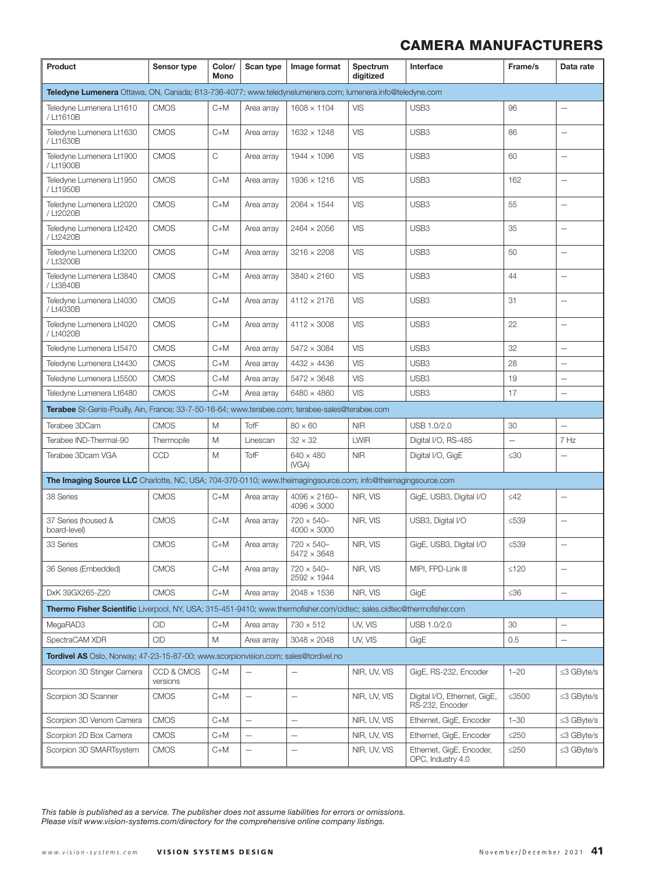| Product                                                                                                               | Sensor type            | Color/<br>Mono | Scan type                | Image format                               | Spectrum<br>digitized | Interface                                       | Frame/s           | Data rate                |
|-----------------------------------------------------------------------------------------------------------------------|------------------------|----------------|--------------------------|--------------------------------------------|-----------------------|-------------------------------------------------|-------------------|--------------------------|
| Teledyne Lumenera Ottawa, ON, Canada; 613-736-4077; www.teledynelumenera.com; lumenera.info@teledyne.com              |                        |                |                          |                                            |                       |                                                 |                   |                          |
| Teledyne Lumenera Lt1610<br>/ Lt1610B                                                                                 | <b>CMOS</b>            | $C+M$          | Area array               | $1608 \times 1104$                         | VIS                   | USB3                                            | 96                | $\overline{\phantom{0}}$ |
| Teledyne Lumenera Lt1630<br>/ Lt1630B                                                                                 | <b>CMOS</b>            | $C+M$          | Area array               | 1632 × 1248                                | VIS                   | USB <sub>3</sub>                                | 86                |                          |
| Teledyne Lumenera Lt1900<br>/ Lt1900B                                                                                 | <b>CMOS</b>            | C              | Area array               | $1944 \times 1096$                         | <b>VIS</b>            | USB3                                            | 60                |                          |
| Teledyne Lumenera Lt1950<br>/ Lt1950B                                                                                 | <b>CMOS</b>            | $C+M$          | Area array               | $1936 \times 1216$                         | <b>VIS</b>            | USB3                                            | 162               |                          |
| Teledyne Lumenera Lt2020<br>/ Lt2020B                                                                                 | <b>CMOS</b>            | $C+M$          | Area array               | $2064 \times 1544$                         | <b>VIS</b>            | USB <sub>3</sub>                                | 55                | $\qquad \qquad -$        |
| Teledyne Lumenera Lt2420<br>/ Lt2420B                                                                                 | <b>CMOS</b>            | $C+M$          | Area array               | $2464 \times 2056$                         | <b>VIS</b>            | USB3                                            | 35                | $\overline{\phantom{0}}$ |
| Teledyne Lumenera Lt3200<br>/ Lt3200B                                                                                 | <b>CMOS</b>            | $C+M$          | Area array               | $3216 \times 2208$                         | <b>VIS</b>            | USB3                                            | 50                | $\qquad \qquad -$        |
| Teledyne Lumenera Lt3840<br>/ Lt3840B                                                                                 | <b>CMOS</b>            | $C+M$          | Area array               | $3840 \times 2160$                         | VIS                   | USB <sub>3</sub>                                | 44                | $\overline{\phantom{0}}$ |
| Teledyne Lumenera Lt4030<br>/ Lt4030B                                                                                 | <b>CMOS</b>            | $C+M$          | Area array               | $4112 \times 2176$                         | VIS                   | USB <sub>3</sub>                                | 31                |                          |
| Teledyne Lumenera Lt4020<br>/ Lt4020B                                                                                 | <b>CMOS</b>            | $C+M$          | Area array               | $4112 \times 3008$                         | <b>VIS</b>            | USB3                                            | 22                |                          |
| Teledyne Lumenera Lt5470                                                                                              | <b>CMOS</b>            | $C+M$          | Area array               | $5472 \times 3084$                         | VIS                   | USB3                                            | 32                |                          |
| Teledyne Lumenera Lt4430                                                                                              | <b>CMOS</b>            | $C+M$          | Area arrav               | $4432 \times 4436$                         | <b>VIS</b>            | USB3                                            | 28                | $\qquad \qquad -$        |
| Teledyne Lumenera Lt5500                                                                                              | <b>CMOS</b>            | $C+M$          | Area array               | $5472 \times 3648$                         | <b>VIS</b>            | USB3                                            | 19                |                          |
| Teledyne Lumenera Lt6480                                                                                              | <b>CMOS</b>            | $C+M$          | Area array               | $6480 \times 4860$                         | <b>VIS</b>            | USB <sub>3</sub>                                | 17                | $\overline{\phantom{0}}$ |
| Terabee St-Genis-Pouilly, Ain, France; 33-7-50-16-64; www.terabee.com; terabee-sales@terabee.com                      |                        |                |                          |                                            |                       |                                                 |                   |                          |
| Terabee 3DCam                                                                                                         | <b>CMOS</b>            | M              | TofF                     | $80 \times 60$                             | <b>NIR</b>            | USB 1.0/2.0                                     | 30                | $\overline{\phantom{0}}$ |
| Terabee IND-Thermal-90                                                                                                | Thermopile             | M              | Linescan                 | $32 \times 32$                             | <b>LWIR</b>           | Digital I/O, RS-485                             | $\qquad \qquad -$ | 7 Hz                     |
| Terabee 3Dcam VGA                                                                                                     | CCD                    | M              | TofF                     | $640 \times 480$<br>(VGA)                  | <b>NIR</b>            | Digital I/O, GigE                               | $\leq 30$         | $\overline{\phantom{0}}$ |
| <b>The Imaging Source LLC</b> Charlotte, NC, USA; 704-370-0110; www.theimagingsource.com; info@theimagingsource.com   |                        |                |                          |                                            |                       |                                                 |                   |                          |
| 38 Series                                                                                                             | <b>CMOS</b>            | $C+M$          | Area array               | $4096 \times 2160 -$<br>$4096 \times 3000$ | NIR, VIS              | GigE, USB3, Digital I/O                         | $\leq$ 42         |                          |
| 37 Series (housed &<br>board-level)                                                                                   | <b>CMOS</b>            | $C+M$          | Area array               | $720 \times 540 -$<br>$4000 \times 3000$   | NIR, VIS              | USB3, Digital I/O                               | $≤539$            |                          |
| 33 Series                                                                                                             | <b>CMOS</b>            | $C+M$          | Area array               | $720 \times 540 -$<br>$5472 \times 3648$   | NIR, VIS              | GigE, USB3, Digital I/O                         | $\leq 539$        |                          |
| 36 Series (Embedded)                                                                                                  | <b>CMOS</b>            | $C+M$          | Area array               | $720 \times 540 -$<br>2592 × 1944          | NIR, VIS              | MIPI, FPD-Link III                              | $≤120$            |                          |
| DxK 39GX265-Z20                                                                                                       | <b>CMOS</b>            | $C+M$          | Area array               | $2048 \times 1536$                         | NIR, VIS              | GigE                                            | ≤ $36$            | $\qquad \qquad -$        |
| Thermo Fisher Scientific Liverpool, NY, USA; 315-451-9410; www.thermofisher.com/cidtec; sales.cidtec@thermofisher.com |                        |                |                          |                                            |                       |                                                 |                   |                          |
| MegaRAD3                                                                                                              | <b>CID</b>             | $C+M$          | Area array               | $730 \times 512$                           | UV, VIS               | USB 1.0/2.0                                     | 30                | $\qquad \qquad -$        |
| SpectraCAM XDR                                                                                                        | <b>CID</b>             | M              | Area array               | $3048 \times 2048$                         | UV, VIS               | GigE                                            | 0.5               | $\qquad \qquad -$        |
| Tordivel AS Oslo, Norway; 47-23-15-87-00; www.scorpionvision.com; sales@tordivel.no                                   |                        |                |                          |                                            |                       |                                                 |                   |                          |
| Scorpion 3D Stinger Camera                                                                                            | CCD & CMOS<br>versions | $C+M$          | $\overline{\phantom{0}}$ |                                            | NIR, UV, VIS          | GigE, RS-232, Encoder                           | $1 - 20$          | ≤3 GByte/s               |
| Scorpion 3D Scanner                                                                                                   | <b>CMOS</b>            | $C+M$          | $\qquad \qquad -$        | $\qquad \qquad -$                          | NIR, UV, VIS          | Digital I/O, Ethernet, GigE,<br>RS-232, Encoder | $\leq$ 3500       | ≤3 GByte/s               |
| Scorpion 3D Venom Camera                                                                                              | <b>CMOS</b>            | $C+M$          | $\overline{\phantom{0}}$ | $\overline{\phantom{0}}$                   | NIR, UV, VIS          | Ethernet, GigE, Encoder                         | $1 - 30$          | ≤3 GByte/s               |
| Scorpion 2D Box Camera                                                                                                | <b>CMOS</b>            | $C+M$          | $\overline{\phantom{0}}$ | $\overline{\phantom{0}}$                   | NIR, UV, VIS          | Ethernet, GigE, Encoder                         | $\leq$ 250        | ≤3 GByte/s               |
| Scorpion 3D SMARTsystem                                                                                               | <b>CMOS</b>            | $C+M$          | -                        | $\overline{\phantom{m}}$                   | NIR, UV, VIS          | Ethernet, GigE, Encoder,<br>OPC, Industry 4.0   | $\leq$ 250        | ≤3 GByte/s               |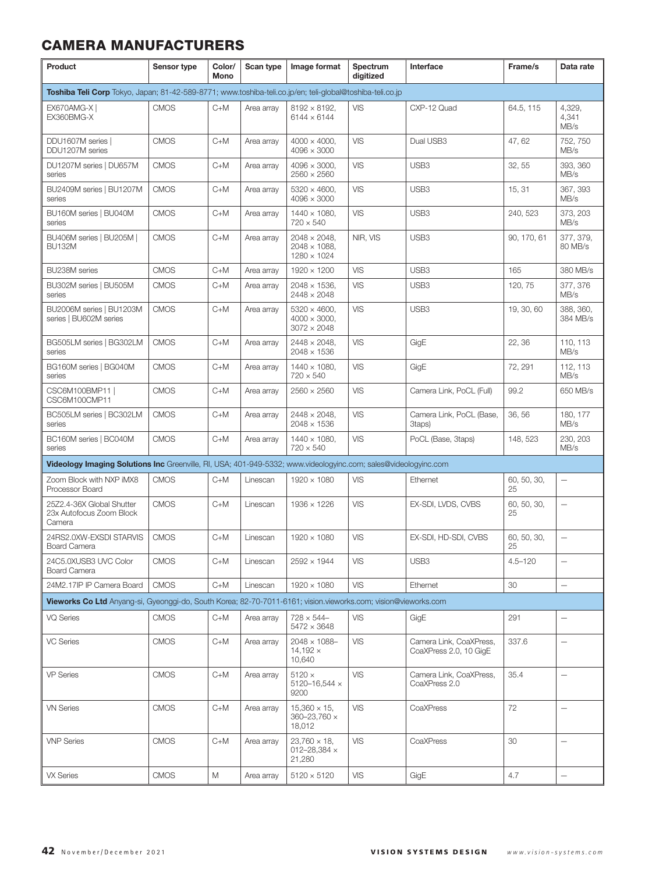| Product                                                                                                         | Sensor type | Color/<br>Mono | Scan type  | Image format                                                       | Spectrum<br>digitized | Interface                                         | Frame/s           | Data rate                |
|-----------------------------------------------------------------------------------------------------------------|-------------|----------------|------------|--------------------------------------------------------------------|-----------------------|---------------------------------------------------|-------------------|--------------------------|
| Toshiba Teli Corp Tokyo, Japan; 81-42-589-8771; www.toshiba-teli.co.jp/en; teli-global@toshiba-teli.co.jp       |             |                |            |                                                                    |                       |                                                   |                   |                          |
| EX670AMG-X  <br>EX360BMG-X                                                                                      | <b>CMOS</b> | $C+M$          | Area array | $8192 \times 8192$ ,<br>$6144 \times 6144$                         | <b>VIS</b>            | CXP-12 Quad                                       | 64.5, 115         | 4,329,<br>4,341<br>MB/s  |
| DDU1607M series  <br>DDU1207M series                                                                            | <b>CMOS</b> | $C+M$          | Area array | $4000 \times 4000$ ,<br>$4096 \times 3000$                         | VIS                   | Dual USB3                                         | 47,62             | 752, 750<br>MB/s         |
| DU1207M series   DU657M<br>series                                                                               | <b>CMOS</b> | $C+M$          | Area array | $4096 \times 3000$ ,<br>$2560 \times 2560$                         | <b>VIS</b>            | USB <sub>3</sub>                                  | 32, 55            | 393, 360<br>MB/s         |
| BU2409M series   BU1207M<br>series                                                                              | <b>CMOS</b> | $C+M$          | Area array | $5320 \times 4600$ ,<br>$4096 \times 3000$                         | <b>VIS</b>            | USB <sub>3</sub>                                  | 15, 31            | 367, 393<br>MB/s         |
| BU160M series   BU040M<br>series                                                                                | <b>CMOS</b> | $C+M$          | Area array | $1440 \times 1080$ ,<br>$720 \times 540$                           | <b>VIS</b>            | USB <sub>3</sub>                                  | 240, 523          | 373, 203<br>MB/s         |
| BU406M series   BU205M  <br><b>BU132M</b>                                                                       | <b>CMOS</b> | $C+M$          | Area array | $2048 \times 2048$ ,<br>$2048 \times 1088$ ,<br>$1280 \times 1024$ | NIR, VIS              | USB3                                              | 90, 170, 61       | 377, 379,<br>80 MB/s     |
| BU238M series                                                                                                   | <b>CMOS</b> | $C+M$          | Area array | 1920 × 1200                                                        | <b>VIS</b>            | USB <sub>3</sub>                                  | 165               | 380 MB/s                 |
| BU302M series   BU505M<br>series                                                                                | <b>CMOS</b> | $C+M$          | Area array | $2048 \times 1536$ ,<br>2448 × 2048                                | <b>VIS</b>            | USB <sub>3</sub>                                  | 120, 75           | 377, 376<br>MB/s         |
| BU2006M series   BU1203M<br>series   BU602M series                                                              | <b>CMOS</b> | $C+M$          | Area array | $5320 \times 4600$ ,<br>$4000 \times 3000$ .<br>$3072 \times 2048$ | <b>VIS</b>            | USB <sub>3</sub>                                  | 19, 30, 60        | 388, 360,<br>384 MB/s    |
| BG505LM series   BG302LM<br>series                                                                              | <b>CMOS</b> | $C+M$          | Area array | $2448 \times 2048$ ,<br>$2048 \times 1536$                         | <b>VIS</b>            | GigE                                              | 22, 36            | 110, 113<br>MB/s         |
| BG160M series   BG040M<br>series                                                                                | <b>CMOS</b> | $C+M$          | Area array | $1440 \times 1080$ ,<br>$720 \times 540$                           | <b>VIS</b>            | GigE                                              | 72, 291           | 112, 113<br>MB/s         |
| CSC6M100BMP11  <br>CSC6M100CMP11                                                                                | <b>CMOS</b> | $C+M$          | Area array | $2560 \times 2560$                                                 | <b>VIS</b>            | Camera Link, PoCL (Full)                          | 99.2              | 650 MB/s                 |
| BC505LM series   BC302LM<br>series                                                                              | <b>CMOS</b> | $C+M$          | Area array | $2448 \times 2048$ ,<br>$2048 \times 1536$                         | <b>VIS</b>            | Camera Link, PoCL (Base,<br>3taps)                | 36, 56            | 180, 177<br>MB/s         |
| BC160M series   BC040M<br>series                                                                                | <b>CMOS</b> | $C+M$          | Area array | $1440 \times 1080$ ,<br>$720 \times 540$                           | VIS                   | PoCL (Base, 3taps)                                | 148, 523          | 230, 203<br>MB/s         |
| Videology Imaging Solutions Inc Greenville, RI, USA; 401-949-5332; www.videologyinc.com; sales@videologyinc.com |             |                |            |                                                                    |                       |                                                   |                   |                          |
| Zoom Block with NXP iMX8<br>Processor Board                                                                     | <b>CMOS</b> | $C+M$          | Linescan   | 1920 × 1080                                                        | <b>VIS</b>            | Ethernet                                          | 60, 50, 30,<br>25 | $\overline{\phantom{0}}$ |
| 25Z2.4-36X Global Shutter<br>23x Autofocus Zoom Block<br>Camera                                                 | <b>CMOS</b> | $C+M$          | Linescan   | $1936 \times 1226$                                                 | <b>VIS</b>            | EX-SDI, LVDS, CVBS                                | 60, 50, 30,<br>25 | $\overline{\phantom{0}}$ |
| 24RS2.0XW-EXSDI STARVIS<br><b>Board Camera</b>                                                                  | <b>CMOS</b> | $C+M$          | Linescan   | $1920 \times 1080$                                                 | <b>VIS</b>            | EX-SDI, HD-SDI, CVBS                              | 60, 50, 30,<br>25 | $\overline{\phantom{0}}$ |
| 24C5.0XUSB3 UVC Color<br><b>Board Camera</b>                                                                    | <b>CMOS</b> | $C+M$          | Linescan   | $2592 \times 1944$                                                 | <b>VIS</b>            | USB3                                              | $4.5 - 120$       | $\overline{\phantom{0}}$ |
| 24M2.17IP IP Camera Board                                                                                       | <b>CMOS</b> | $C+M$          | Linescan   | 1920 × 1080                                                        | <b>VIS</b>            | Ethernet                                          | 30                | $\overline{\phantom{0}}$ |
| Vieworks Co Ltd Anyang-si, Gyeonggi-do, South Korea; 82-70-7011-6161; vision.vieworks.com: vision@vieworks.com  |             |                |            |                                                                    |                       |                                                   |                   |                          |
| <b>VQ Series</b>                                                                                                | <b>CMOS</b> | C+M            | Area array | $728 \times 544 -$<br>$5472 \times 3648$                           | <b>VIS</b>            | GigE                                              | 291               | $\overline{\phantom{0}}$ |
| <b>VC Series</b>                                                                                                | <b>CMOS</b> | $C+M$          | Area array | $2048 \times 1088 -$<br>$14,192 \times$<br>10,640                  | <b>VIS</b>            | Camera Link, CoaXPress,<br>CoaXPress 2.0, 10 GigE | 337.6             | $\overline{\phantom{0}}$ |
| <b>VP Series</b>                                                                                                | <b>CMOS</b> | $C+M$          | Area array | $5120 \times$<br>5120-16,544 $\times$<br>9200                      | <b>VIS</b>            | Camera Link, CoaXPress,<br>CoaXPress 2.0          | 35.4              | $\overline{\phantom{0}}$ |
| <b>VN Series</b>                                                                                                | <b>CMOS</b> | $C+M$          | Area array | $15,360 \times 15$ ,<br>$360 - 23,760 \times$<br>18,012            | <b>VIS</b>            | CoaXPress                                         | 72                | $\overline{\phantom{0}}$ |
| <b>VNP Series</b>                                                                                               | <b>CMOS</b> | $C+M$          | Area array | $23,760 \times 18,$<br>012-28,384 $\times$<br>21,280               | VIS                   | CoaXPress                                         | 30                | $\overline{\phantom{0}}$ |
| <b>VX Series</b>                                                                                                | <b>CMOS</b> | M              | Area array | $5120 \times 5120$                                                 | <b>VIS</b>            | GigE                                              | 4.7               | -                        |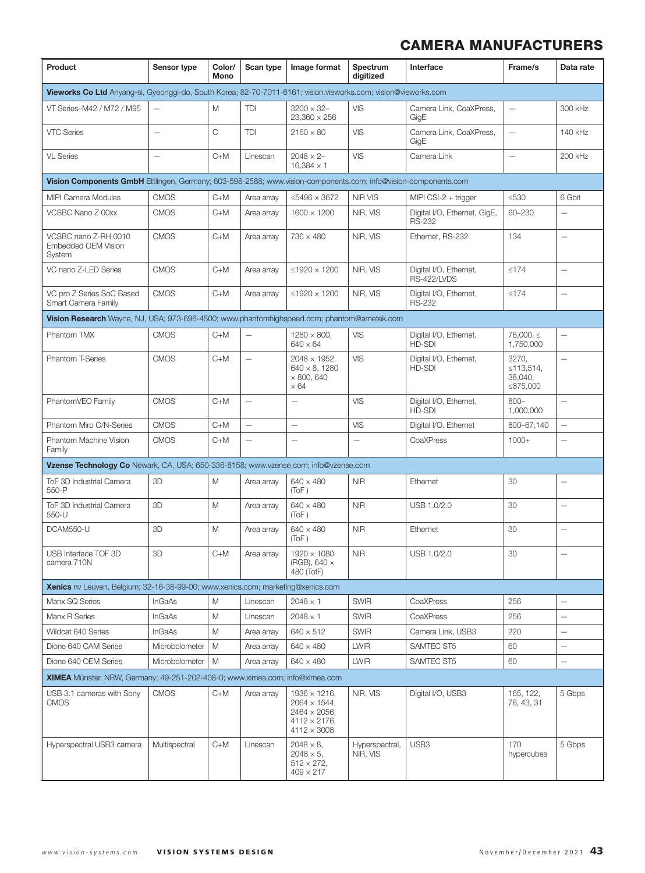| Product                                                                                                        | Sensor type              | Color/<br>Mono | Scan type                | Image format                                                                                                       | Spectrum<br>digitized      | Interface                                     | Frame/s                                   | Data rate                |
|----------------------------------------------------------------------------------------------------------------|--------------------------|----------------|--------------------------|--------------------------------------------------------------------------------------------------------------------|----------------------------|-----------------------------------------------|-------------------------------------------|--------------------------|
| Vieworks Co Ltd Anyang-si, Gyeonggi-do, South Korea; 82-70-7011-6161; vision.vieworks.com; vision@vieworks.com |                          |                |                          |                                                                                                                    |                            |                                               |                                           |                          |
| VT Series-M42 / M72 / M95                                                                                      | $\overline{\phantom{0}}$ | M              | TDI                      | $3200 \times 32 -$<br>$23,360 \times 256$                                                                          | <b>VIS</b>                 | Camera Link, CoaXPress,<br>GigE               | $\overline{\phantom{0}}$                  | 300 kHz                  |
| <b>VTC Series</b>                                                                                              | $\overline{\phantom{0}}$ | C              | TDI                      | $2160 \times 80$                                                                                                   | <b>VIS</b>                 | Camera Link, CoaXPress,<br>GigE               | $\overline{\phantom{0}}$                  | 140 kHz                  |
| <b>VL Series</b>                                                                                               |                          | $C+M$          | Linescan                 | $2048 \times 2 -$<br>$16,384 \times 1$                                                                             | <b>VIS</b>                 | Camera Link                                   | $\overline{\phantom{0}}$                  | 200 kHz                  |
| Vision Components GmbH Ettlingen, Germany; 603-598-2588; www.vision-components.com; info@vision-components.com |                          |                |                          |                                                                                                                    |                            |                                               |                                           |                          |
| <b>MIPI Camera Modules</b>                                                                                     | <b>CMOS</b>              | $C+M$          | Area array               | ≤5496 × 3672                                                                                                       | <b>NIR VIS</b>             | MIPI CSI-2 $+$ trigger                        | $\leq 530$                                | 6 Gbit                   |
| VCSBC Nano Z 00xx                                                                                              | <b>CMOS</b>              | $C+M$          | Area array               | $1600 \times 1200$                                                                                                 | NIR, VIS                   | Digital I/O, Ethernet, GigE,<br><b>RS-232</b> | 60-230                                    | $\overline{\phantom{0}}$ |
| VCSBC nano Z-RH 0010<br><b>Embedded OEM Vision</b><br>System                                                   | <b>CMOS</b>              | $C+M$          | Area array               | $736 \times 480$                                                                                                   | NIR, VIS                   | Ethernet, RS-232                              | 134                                       |                          |
| VC nano Z-LED Series                                                                                           | <b>CMOS</b>              | $C+M$          | Area array               | ≤1920 $\times$ 1200                                                                                                | NIR, VIS                   | Digital I/O, Ethernet,<br>RS-422/LVDS         | $≤174$                                    | $\qquad \qquad -$        |
| VC pro Z Series SoC Based<br>Smart Camera Family                                                               | <b>CMOS</b>              | $C+M$          | Area array               | ≤1920 $\times$ 1200                                                                                                | NIR, VIS                   | Digital I/O, Ethernet,<br><b>RS-232</b>       | $≤174$                                    | $\overline{\phantom{0}}$ |
| Vision Research Wayne, NJ, USA; 973-696-4500; www.phantomhighspeed.com; phantom@ametek.com                     |                          |                |                          |                                                                                                                    |                            |                                               |                                           |                          |
| Phantom TMX                                                                                                    | <b>CMOS</b>              | $C+M$          |                          | $1280 \times 800$ ,<br>$640 \times 64$                                                                             | <b>VIS</b>                 | Digital I/O, Ethernet,<br>HD-SDI              | $76.000.\le$<br>1,750,000                 |                          |
| <b>Phantom T-Series</b>                                                                                        | <b>CMOS</b>              | $C+M$          | $\qquad \qquad -$        | $2048 \times 1952$ ,<br>$640 \times 8, 1280$<br>$\times$ 800, 640<br>$\times 64$                                   | <b>VIS</b>                 | Digital I/O, Ethernet,<br>HD-SDI              | 3270,<br>≤113,514,<br>38,040,<br>≤875,000 | $\overline{\phantom{0}}$ |
| PhantomVEO Family                                                                                              | <b>CMOS</b>              | $C+M$          | $\overline{\phantom{0}}$ | $\overline{\phantom{0}}$                                                                                           | <b>VIS</b>                 | Digital I/O, Ethernet,<br><b>HD-SDI</b>       | $800 -$<br>1,000,000                      |                          |
| Phantom Miro C/N-Series                                                                                        | <b>CMOS</b>              | $C+M$          |                          | $\overline{\phantom{0}}$                                                                                           | <b>VIS</b>                 | Digital I/O, Ethernet                         | 800-67,140                                | $\overline{\phantom{0}}$ |
| Phantom Machine Vision<br>Family                                                                               | <b>CMOS</b>              | $C+M$          | $\overline{\phantom{0}}$ | $\overline{\phantom{0}}$                                                                                           | -                          | CoaXPress                                     | $1000+$                                   | $\overline{\phantom{0}}$ |
| Vzense Technology Co Newark, CA, USA; 650-336-8158; www.vzense.com; info@vzense.com                            |                          |                |                          |                                                                                                                    |                            |                                               |                                           |                          |
| ToF 3D Industrial Camera<br>550-P                                                                              | 3D                       | M              | Area array               | $640 \times 480$<br>(ToF)                                                                                          | <b>NIR</b>                 | Ethernet                                      | 30                                        | $\qquad \qquad -$        |
| ToF 3D Industrial Camera<br>550-U                                                                              | 3D                       | M              | Area array               | $640 \times 480$<br>(ToF)                                                                                          | <b>NIR</b>                 | USB 1.0/2.0                                   | 30                                        | $\qquad \qquad -$        |
| DCAM550-U                                                                                                      | 3D                       | M              | Area array               | $640 \times 480$<br>(TOF)                                                                                          | <b>NIR</b>                 | Ethernet                                      | 30                                        | $\overline{\phantom{0}}$ |
| USB Interface TOF 3D<br>camera 710N                                                                            | 3D                       | $C+M$          | Area array               | $1920 \times 1080$<br>(RGB), 640 ×<br>480 (TofF)                                                                   | <b>NIR</b>                 | USB 1.0/2.0                                   | 30                                        | $\overline{\phantom{0}}$ |
| <b>Xenics</b> nv Leuven, Belgium; 32-16-38-99-00; www.xenics.com; marketing@xenics.com                         |                          |                |                          |                                                                                                                    |                            |                                               |                                           |                          |
| Manx SQ Series                                                                                                 | InGaAs                   | M              | Linescan                 | $2048 \times 1$                                                                                                    | <b>SWIR</b>                | CoaXPress                                     | 256                                       | $\qquad \qquad -$        |
| Manx R Series                                                                                                  | <b>InGaAs</b>            | M              | Linescan                 | $2048 \times 1$                                                                                                    | <b>SWIR</b>                | CoaXPress                                     | 256                                       | $\qquad \qquad -$        |
| Wildcat 640 Series                                                                                             | InGaAs                   | M              | Area array               | $640 \times 512$                                                                                                   | <b>SWIR</b>                | Camera Link, USB3                             | 220                                       | $\qquad \qquad -$        |
| Dione 640 CAM Series                                                                                           | Microbolometer           | M              | Area array               | $640 \times 480$                                                                                                   | <b>LWIR</b>                | SAMTEC ST5                                    | 60                                        | $\qquad \qquad -$        |
| Dione 640 OEM Series                                                                                           | Microbolometer           | M              | Area array               | $640 \times 480$                                                                                                   | <b>LWIR</b>                | SAMTEC ST5                                    | 60                                        | $\overline{\phantom{0}}$ |
| <b>XIMEA</b> Münster, NRW, Germany; 49-251-202-408-0; www.ximea.com; info@ximea.com                            |                          |                |                          |                                                                                                                    |                            |                                               |                                           |                          |
| USB 3.1 cameras with Sony<br><b>CMOS</b>                                                                       | <b>CMOS</b>              | C+M            | Area array               | $1936 \times 1216$ ,<br>$2064 \times 1544$ ,<br>$2464 \times 2056$ ,<br>$4112 \times 2176$ ,<br>$4112 \times 3008$ | NIR, VIS                   | Digital I/O, USB3                             | 165, 122,<br>76, 43, 31                   | 5 Gbps                   |
| Hyperspectral USB3 camera                                                                                      | Multispectral            | $C+M$          | Linescan                 | $2048 \times 8$ ,<br>$2048 \times 5$ ,<br>$512 \times 272$ ,<br>$409 \times 217$                                   | Hyperspectral,<br>NIR, VIS | USB3                                          | 170<br>hypercubes                         | 5 Gbps                   |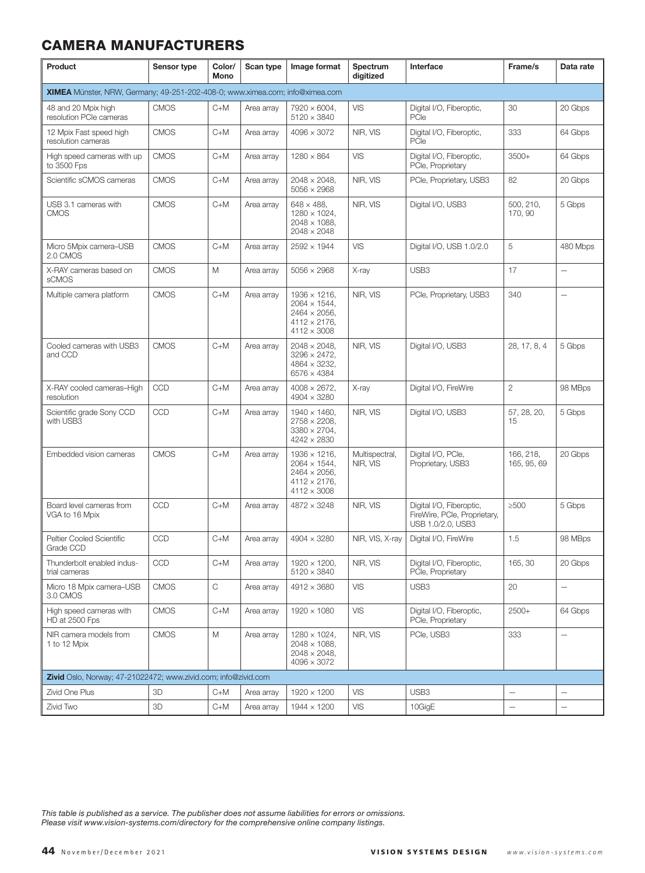| Product                                                                      | Sensor type | Color/<br>Mono | Scan type  | Image format                                                                                                       | Spectrum<br>digitized      | Interface                                                                     | Frame/s                         | Data rate                |
|------------------------------------------------------------------------------|-------------|----------------|------------|--------------------------------------------------------------------------------------------------------------------|----------------------------|-------------------------------------------------------------------------------|---------------------------------|--------------------------|
| XIMEA Münster, NRW, Germany; 49-251-202-408-0; www.ximea.com; info@ximea.com |             |                |            |                                                                                                                    |                            |                                                                               |                                 |                          |
| 48 and 20 Mpix high<br>resolution PCIe cameras                               | <b>CMOS</b> | $C+M$          | Area array | $7920 \times 6004$ ,<br>$5120 \times 3840$                                                                         | VIS                        | Digital I/O, Fiberoptic,<br>PCle                                              | 30                              | 20 Gbps                  |
| 12 Mpix Fast speed high<br>resolution cameras                                | <b>CMOS</b> | $C+M$          | Area array | $4096 \times 3072$                                                                                                 | NIR, VIS                   | Digital I/O, Fiberoptic,<br>PCle                                              | 333                             | 64 Gbps                  |
| High speed cameras with up<br>to 3500 Fps                                    | <b>CMOS</b> | $C+M$          | Area array | $1280 \times 864$                                                                                                  | VIS                        | Digital I/O, Fiberoptic,<br>PCle, Proprietary                                 | 3500+                           | 64 Gbps                  |
| Scientific sCMOS cameras                                                     | <b>CMOS</b> | C+M            | Area array | $2048 \times 2048$ ,<br>$5056 \times 2968$                                                                         | NIR, VIS                   | PCle, Proprietary, USB3                                                       | 82                              | 20 Gbps                  |
| USB 3.1 cameras with<br><b>CMOS</b>                                          | <b>CMOS</b> | $C+M$          | Area array | $648 \times 488$ .<br>$1280 \times 1024$ ,<br>$2048 \times 1088$ ,<br>$2048 \times 2048$                           | NIR, VIS                   | Digital I/O, USB3                                                             | 500, 210,<br>170, 90            | 5 Gbps                   |
| Micro 5Mpix camera-USB<br>2.0 CMOS                                           | <b>CMOS</b> | $C+M$          | Area array | $2592 \times 1944$                                                                                                 | VIS                        | Digital I/O, USB 1.0/2.0                                                      | 5                               | 480 Mbps                 |
| X-RAY cameras based on<br>sCMOS                                              | <b>CMOS</b> | M              | Area array | $5056 \times 2968$                                                                                                 | X-ray                      | USB <sub>3</sub>                                                              | 17                              | $\overline{\phantom{0}}$ |
| Multiple camera platform                                                     | <b>CMOS</b> | $C+M$          | Area array | $1936 \times 1216$ .<br>$2064 \times 1544$ ,<br>$2464 \times 2056$ ,<br>$4112 \times 2176$ ,<br>$4112 \times 3008$ | NIR, VIS                   | PCle, Proprietary, USB3                                                       | 340                             | $\overline{\phantom{0}}$ |
| Cooled cameras with USB3<br>and CCD                                          | <b>CMOS</b> | $C+M$          | Area array | $2048 \times 2048$ .<br>$3296 \times 2472$ .<br>$4864 \times 3232$ ,<br>$6576 \times 4384$                         | NIR. VIS                   | Digital I/O, USB3                                                             | 28, 17, 8, 4                    | 5 Gbps                   |
| X-RAY cooled cameras-High<br>resolution                                      | CCD         | $C+M$          | Area array | $4008 \times 2672$ ,<br>$4904 \times 3280$                                                                         | X-ray                      | Digital I/O, FireWire                                                         | $\mathbf{2}$                    | 98 MBps                  |
| Scientific grade Sony CCD<br>with USB3                                       | CCD         | $C+M$          | Area array | $1940 \times 1460$ ,<br>$2758 \times 2208$ ,<br>$3380 \times 2704$ ,<br>$4242 \times 2830$                         | NIR, VIS                   | Digital I/O, USB3                                                             | 57, 28, 20,<br>15               | 5 Gbps                   |
| Embedded vision cameras                                                      | <b>CMOS</b> | $C+M$          | Area array | $1936 \times 1216$ ,<br>$2064 \times 1544$ ,<br>$2464 \times 2056$ ,<br>$4112 \times 2176$ ,<br>$4112 \times 3008$ | Multispectral,<br>NIR, VIS | Digital I/O, PCle,<br>Proprietary, USB3                                       | 166, 218,<br>165, 95, 69        | 20 Gbps                  |
| Board level cameras from<br>VGA to 16 Mpix                                   | CCD         | $C+M$          | Area array | $4872 \times 3248$                                                                                                 | NIR, VIS                   | Digital I/O, Fiberoptic,<br>FireWire, PCle, Proprietary,<br>USB 1.0/2.0, USB3 | $\geq$ 500                      | 5 Gbps                   |
| Peltier Cooled Scientific<br>Grade CCD                                       | CCD         | $C+M$          | Area array | $4904 \times 3280$                                                                                                 | NIR, VIS, X-ray            | Digital I/O, FireWire                                                         | 1.5                             | 98 MBps                  |
| Thunderbolt enabled indus-<br>trial cameras                                  | CCD         | $C+M$          | Area array | $1920 \times 1200$ ,<br>$5120 \times 3840$                                                                         | NIR, VIS                   | Digital I/O, Fiberoptic,<br>PCle, Proprietary                                 | 165, 30                         | 20 Gbps                  |
| Micro 18 Mpix camera-USB<br>3.0 CMOS                                         | <b>CMOS</b> | С              | Area array | 4912 × 3680                                                                                                        | VIS                        | USB3                                                                          | 20                              | $\qquad \qquad -$        |
| High speed cameras with<br>HD at 2500 Fps                                    | <b>CMOS</b> | $C+M$          | Area array | $1920 \times 1080$                                                                                                 | <b>VIS</b>                 | Digital I/O, Fiberoptic,<br>PCle, Proprietary                                 | $2500+$                         | 64 Gbps                  |
| NIR camera models from<br>1 to 12 Mpix                                       | <b>CMOS</b> | M              | Area array | $1280 \times 1024$ ,<br>$2048 \times 1088$ ,<br>$2048 \times 2048$ ,<br>$4096 \times 3072$                         | NIR, VIS                   | PCle, USB3                                                                    | 333                             | $\qquad \qquad -$        |
| Zivid Oslo, Norway; 47-21022472; www.zivid.com; info@zivid.com               |             |                |            |                                                                                                                    |                            |                                                                               |                                 |                          |
| Zivid One Plus                                                               | 3D          | C+M            | Area array | $1920 \times 1200$                                                                                                 | VIS                        | USB <sub>3</sub>                                                              | $\overbrace{\phantom{1232211}}$ |                          |
| Zivid Two                                                                    | 3D          | $C+M$          | Area array | 1944 × 1200                                                                                                        | <b>VIS</b>                 | 10GigE                                                                        | $\overline{\phantom{0}}$        | $\overline{\phantom{0}}$ |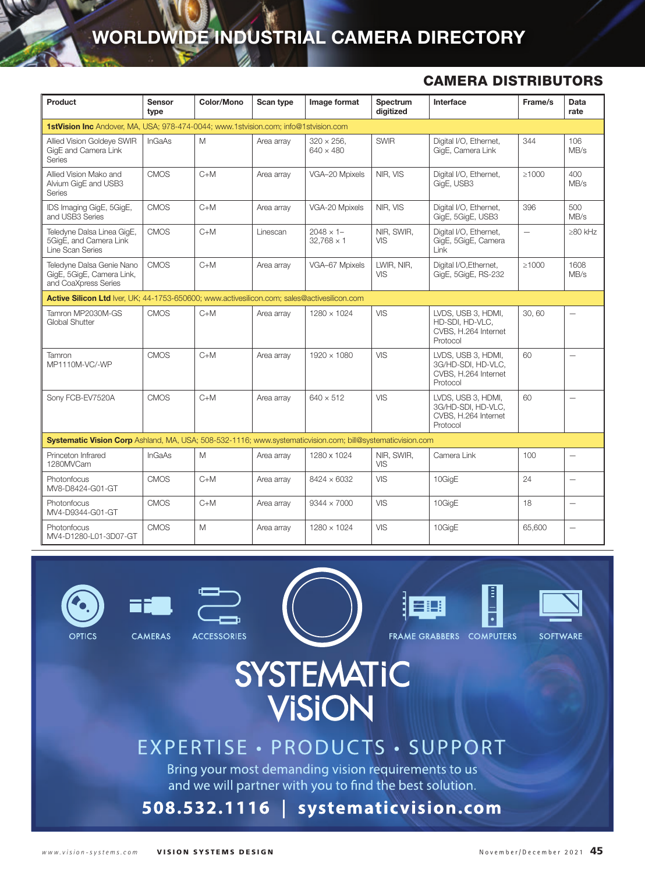# WORLDWIDE INDUSTRIAL CAMERA DIRECTORY

#### CAMERA DISTRIBUTORS

| Product                                                                                                    | <b>Sensor</b><br>type | Color/Mono | Scan type  | Image format                           | Spectrum<br>diaitized    | Interface                                                                    | Frame/s     | Data<br>rate             |
|------------------------------------------------------------------------------------------------------------|-----------------------|------------|------------|----------------------------------------|--------------------------|------------------------------------------------------------------------------|-------------|--------------------------|
| <b>1stVision Inc</b> Andover, MA, USA: 978-474-0044: www.1stvision.com: info@1stvision.com                 |                       |            |            |                                        |                          |                                                                              |             |                          |
| Allied Vision Goldeye SWIR<br>GigE and Camera Link<br><b>Series</b>                                        | InGaAs                | M          | Area array | $320 \times 256$ .<br>$640 \times 480$ | <b>SWIR</b>              | Digital I/O. Ethernet.<br>GigE, Camera Link                                  | 344         | 106<br>MB/s              |
| Allied Vision Mako and<br>Alvium GigE and USB3<br>Series                                                   | <b>CMOS</b>           | $C+M$      | Area array | VGA-20 Mpixels                         | NIR, VIS                 | Digital I/O, Ethernet,<br>GigE, USB3                                         | $\geq 1000$ | 400<br>MB/s              |
| IDS Imaging GigE, 5GigE,<br>and USB3 Series                                                                | <b>CMOS</b>           | $C+M$      | Area array | VGA-20 Mpixels                         | NIR, VIS                 | Digital I/O, Ethernet,<br>GigE, 5GigE, USB3                                  | 396         | 500<br>MB/s              |
| Teledyne Dalsa Linea GigE,<br>5GigE, and Camera Link<br>Line Scan Series                                   | <b>CMOS</b>           | $C+M$      | Linescan   | $2048 \times 1 -$<br>$32.768 \times 1$ | NIR, SWIR,<br><b>VIS</b> | Digital I/O, Ethernet,<br>GigE, 5GigE, Camera<br>Link                        | $\equiv$    | $\geq 80$ kHz            |
| Teledyne Dalsa Genie Nano<br>GigE, 5GigE, Camera Link,<br>and CoaXpress Series                             | <b>CMOS</b>           | $C+M$      | Area array | VGA-67 Mpixels                         | LWIR, NIR,<br>VIS        | Digital I/O, Ethernet,<br>GigE, 5GigE, RS-232                                | $\geq 1000$ | 1608<br>MB/s             |
| Active Silicon Ltd Iver, UK; 44-1753-650600; www.activesilicon.com; sales@activesilicon.com                |                       |            |            |                                        |                          |                                                                              |             |                          |
| Tamron MP2030M-GS<br>Global Shutter                                                                        | <b>CMOS</b>           | $C+M$      | Area array | $1280 \times 1024$                     | <b>VIS</b>               | LVDS, USB 3, HDMI,<br>HD-SDI, HD-VLC.<br>CVBS, H.264 Internet<br>Protocol    | 30.60       |                          |
| Tamron<br>MP1110M-VC/-WP                                                                                   | <b>CMOS</b>           | $C+M$      | Area arrav | 1920 × 1080                            | <b>VIS</b>               | LVDS. USB 3. HDMI.<br>3G/HD-SDI, HD-VLC.<br>CVBS, H.264 Internet<br>Protocol | 60          | $\overline{\phantom{0}}$ |
| Sony FCB-EV7520A                                                                                           | <b>CMOS</b>           | $C+M$      | Area array | $640 \times 512$                       | VIS                      | LVDS, USB 3, HDMI,<br>3G/HD-SDI, HD-VLC,<br>CVBS, H.264 Internet<br>Protocol | 60          | $\equiv$                 |
| Systematic Vision Corp Ashland, MA, USA; 508-532-1116; www.systematicvision.com; bill@systematicvision.com |                       |            |            |                                        |                          |                                                                              |             |                          |
| Princeton Infrared<br>1280MVCam                                                                            | <b>InGaAs</b>         | M          | Area array | 1280 x 1024                            | NIR, SWIR,<br>VIS        | Camera Link                                                                  | 100         | —                        |
| Photonfocus<br>MV8-D8424-G01-GT                                                                            | <b>CMOS</b>           | $C+M$      | Area array | $8424 \times 6032$                     | <b>VIS</b>               | 10GiqE                                                                       | 24          | —                        |
| Photonfocus<br>MV4-D9344-G01-GT                                                                            | <b>CMOS</b>           | $C+M$      | Area array | $9344 \times 7000$                     | VIS                      | 10GigE                                                                       | 18          | —                        |
| Photonfocus<br>MV4-D1280-L01-3D07-GT                                                                       | CMOS                  | M          | Area array | $1280 \times 1024$                     | VIS                      | 10GigE                                                                       | 65,600      | $\overline{\phantom{0}}$ |





**ACCESSORIES** 

FRAME GRABBERS COMPUTERS

**SOFTWARE** 

# **SYSTEMATIC VISION**

# EXPERTISE · PRODUCTS · SUPPORT

Bring your most demanding vision requirements to us and we will partner with you to find the best solution.

# 508.532.1116 | systematicvision.com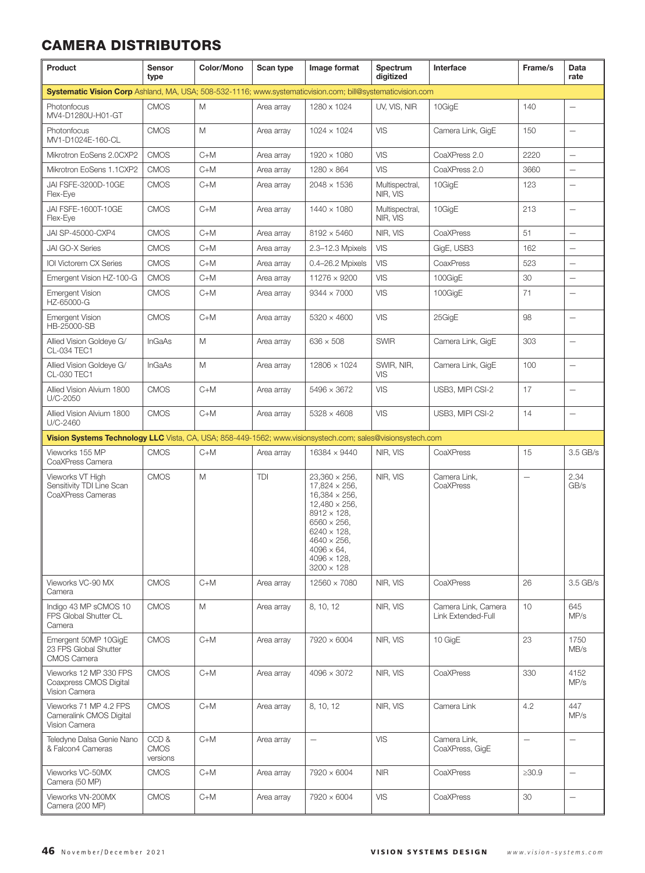# CAMERA DISTRIBUTORS

| Product                                                                                                    | Sensor<br>type                  | Color/Mono | Scan type  | Image format                                                                                                                                                                                                                                                   | Spectrum<br>digitized      | Interface                                 | Frame/s                  | Data<br>rate                      |
|------------------------------------------------------------------------------------------------------------|---------------------------------|------------|------------|----------------------------------------------------------------------------------------------------------------------------------------------------------------------------------------------------------------------------------------------------------------|----------------------------|-------------------------------------------|--------------------------|-----------------------------------|
| Systematic Vision Corp Ashland, MA, USA; 508-532-1116; www.systematicvision.com; bill@systematicvision.com |                                 |            |            |                                                                                                                                                                                                                                                                |                            |                                           |                          |                                   |
| Photonfocus<br>MV4-D1280U-H01-GT                                                                           | <b>CMOS</b>                     | M          | Area array | 1280 x 1024                                                                                                                                                                                                                                                    | UV, VIS, NIR               | 10GigE                                    | 140                      | $\overline{\phantom{0}}$          |
| Photonfocus<br>MV1-D1024E-160-CL                                                                           | <b>CMOS</b>                     | Μ          | Area array | $1024 \times 1024$                                                                                                                                                                                                                                             | <b>VIS</b>                 | Camera Link, GigE                         | 150                      | $\overline{\phantom{0}}$          |
| Mikrotron EoSens 2.0CXP2                                                                                   | <b>CMOS</b>                     | $C+M$      | Area array | $1920 \times 1080$                                                                                                                                                                                                                                             | <b>VIS</b>                 | CoaXPress 2.0                             | 2220                     | $\overline{\phantom{0}}$          |
| Mikrotron EoSens 1.1CXP2                                                                                   | <b>CMOS</b>                     | $C+M$      | Area array | $1280 \times 864$                                                                                                                                                                                                                                              | <b>VIS</b>                 | CoaXPress 2.0                             | 3660                     |                                   |
| JAI FSFE-3200D-10GE<br>Flex-Eye                                                                            | <b>CMOS</b>                     | $C+M$      | Area array | $2048 \times 1536$                                                                                                                                                                                                                                             | Multispectral,<br>NIR, VIS | 10GigE                                    | 123                      |                                   |
| JAI FSFE-1600T-10GE<br>Flex-Eye                                                                            | <b>CMOS</b>                     | $C+M$      | Area array | $1440 \times 1080$                                                                                                                                                                                                                                             | Multispectral,<br>NIR. VIS | 10GigE                                    | 213                      | $\qquad \qquad -$                 |
| JAI SP-45000-CXP4                                                                                          | <b>CMOS</b>                     | $C+M$      | Area array | $8192 \times 5460$                                                                                                                                                                                                                                             | NIR, VIS                   | CoaXPress                                 | 51                       | $\overline{\phantom{0}}$          |
| JAI GO-X Series                                                                                            | <b>CMOS</b>                     | $C+M$      | Area array | 2.3-12.3 Mpixels                                                                                                                                                                                                                                               | VIS                        | GigE, USB3                                | 162                      | $\overline{\phantom{0}}$          |
| IOI Victorem CX Series                                                                                     | <b>CMOS</b>                     | $C+M$      | Area array | 0.4-26.2 Mpixels                                                                                                                                                                                                                                               | <b>VIS</b>                 | CoaxPress                                 | 523                      | $\qquad \qquad -$                 |
| Emergent Vision HZ-100-G                                                                                   | <b>CMOS</b>                     | $C+M$      | Area array | 11276 × 9200                                                                                                                                                                                                                                                   | <b>VIS</b>                 | 100GigE                                   | 30                       | $\overline{\phantom{0}}$          |
| <b>Emergent Vision</b><br>HZ-65000-G                                                                       | <b>CMOS</b>                     | $C+M$      | Area array | $9344 \times 7000$                                                                                                                                                                                                                                             | <b>VIS</b>                 | 100GigE                                   | 71                       | $\overline{\phantom{0}}$          |
| <b>Emergent Vision</b><br>HB-25000-SB                                                                      | <b>CMOS</b>                     | $C+M$      | Area array | $5320 \times 4600$                                                                                                                                                                                                                                             | <b>VIS</b>                 | 25GigE                                    | 98                       | $\overline{\phantom{0}}$          |
| Allied Vision Goldeye G/<br>CL-034 TEC1                                                                    | InGaAs                          | M          | Area array | $636 \times 508$                                                                                                                                                                                                                                               | <b>SWIR</b>                | Camera Link, GigE                         | 303                      | $\overline{\phantom{0}}$          |
| Allied Vision Goldeye G/<br>CL-030 TEC1                                                                    | InGaAs                          | M          | Area array | 12806 × 1024                                                                                                                                                                                                                                                   | SWIR, NIR,<br>VIS          | Camera Link, GigE                         | 100                      | $\overline{\phantom{0}}$          |
| Allied Vision Alvium 1800<br>U/C-2050                                                                      | <b>CMOS</b>                     | $C+M$      | Area array | $5496 \times 3672$                                                                                                                                                                                                                                             | <b>VIS</b>                 | USB3, MIPI CSI-2                          | 17                       | $\overbrace{\phantom{123221111}}$ |
| Allied Vision Alvium 1800<br>U/C-2460                                                                      | <b>CMOS</b>                     | $C+M$      | Area array | $5328 \times 4608$                                                                                                                                                                                                                                             | <b>VIS</b>                 | USB3, MIPI CSI-2                          | 14                       | $\qquad \qquad -$                 |
| Vision Systems Technology LLC Vista, CA, USA; 858-449-1562; www.visionsystech.com; sales@visionsystech.com |                                 |            |            |                                                                                                                                                                                                                                                                |                            |                                           |                          |                                   |
| Vieworks 155 MP<br>CoaXPress Camera                                                                        | <b>CMOS</b>                     | $C+M$      | Area array | 16384 × 9440                                                                                                                                                                                                                                                   | NIR, VIS                   | CoaXPress                                 | 15                       | 3.5 GB/s                          |
| Vieworks VT High<br>Sensitivity TDI Line Scan<br>CoaXPress Cameras                                         | <b>CMOS</b>                     | M          | TDI        | $23,360 \times 256$ ,<br>$17,824 \times 256$ ,<br>$16,384 \times 256$ ,<br>$12,480 \times 256$ ,<br>$8912 \times 128$ .<br>$6560 \times 256$ ,<br>$6240 \times 128$ ,<br>$4640 \times 256$ ,<br>$4096 \times 64$ ,<br>$4096 \times 128$ ,<br>$3200 \times 128$ | NIR, VIS                   | Camera Link,<br>CoaXPress                 | $\overline{\phantom{0}}$ | 2.34<br>GB/s                      |
| Vieworks VC-90 MX<br>Camera                                                                                | <b>CMOS</b>                     | $C+M$      | Area array | $12560 \times 7080$                                                                                                                                                                                                                                            | NIR, VIS                   | CoaXPress                                 | 26                       | 3.5 GB/s                          |
| Indigo 43 MP sCMOS 10<br>FPS Global Shutter CL<br>Camera                                                   | <b>CMOS</b>                     | M          | Area array | 8, 10, 12                                                                                                                                                                                                                                                      | NIR, VIS                   | Camera Link, Camera<br>Link Extended-Full | 10                       | 645<br>MP/s                       |
| Emergent 50MP 10GigE<br>23 FPS Global Shutter<br><b>CMOS Camera</b>                                        | <b>CMOS</b>                     | $C+M$      | Area array | 7920 × 6004                                                                                                                                                                                                                                                    | NIR, VIS                   | 10 GigE                                   | 23                       | 1750<br>MB/s                      |
| Vieworks 12 MP 330 FPS<br>Coaxpress CMOS Digital<br>Vision Camera                                          | <b>CMOS</b>                     | $C+M$      | Area array | $4096 \times 3072$                                                                                                                                                                                                                                             | NIR, VIS                   | CoaXPress                                 | 330                      | 4152<br>MP/s                      |
| Vieworks 71 MP 4.2 FPS<br>Cameralink CMOS Digital<br>Vision Camera                                         | <b>CMOS</b>                     | $C+M$      | Area array | 8, 10, 12                                                                                                                                                                                                                                                      | NIR, VIS                   | Camera Link                               | 4.2                      | 447<br>MP/s                       |
| Teledyne Dalsa Genie Nano<br>& Falcon4 Cameras                                                             | CCD&<br><b>CMOS</b><br>versions | $C+M$      | Area array | $\overline{\phantom{0}}$                                                                                                                                                                                                                                       | <b>VIS</b>                 | Camera Link,<br>CoaXPress, GigE           | $\overline{\phantom{0}}$ | $\qquad \qquad -$                 |
| Vieworks VC-50MX<br>Camera (50 MP)                                                                         | <b>CMOS</b>                     | $C+M$      | Area array | 7920 × 6004                                                                                                                                                                                                                                                    | <b>NIR</b>                 | CoaXPress                                 | $\geq 30.9$              | $\overline{\phantom{0}}$          |
| Vieworks VN-200MX<br>Camera (200 MP)                                                                       | <b>CMOS</b>                     | $C+M$      | Area array | 7920 × 6004                                                                                                                                                                                                                                                    | <b>VIS</b>                 | CoaXPress                                 | 30                       | $\qquad \qquad -$                 |